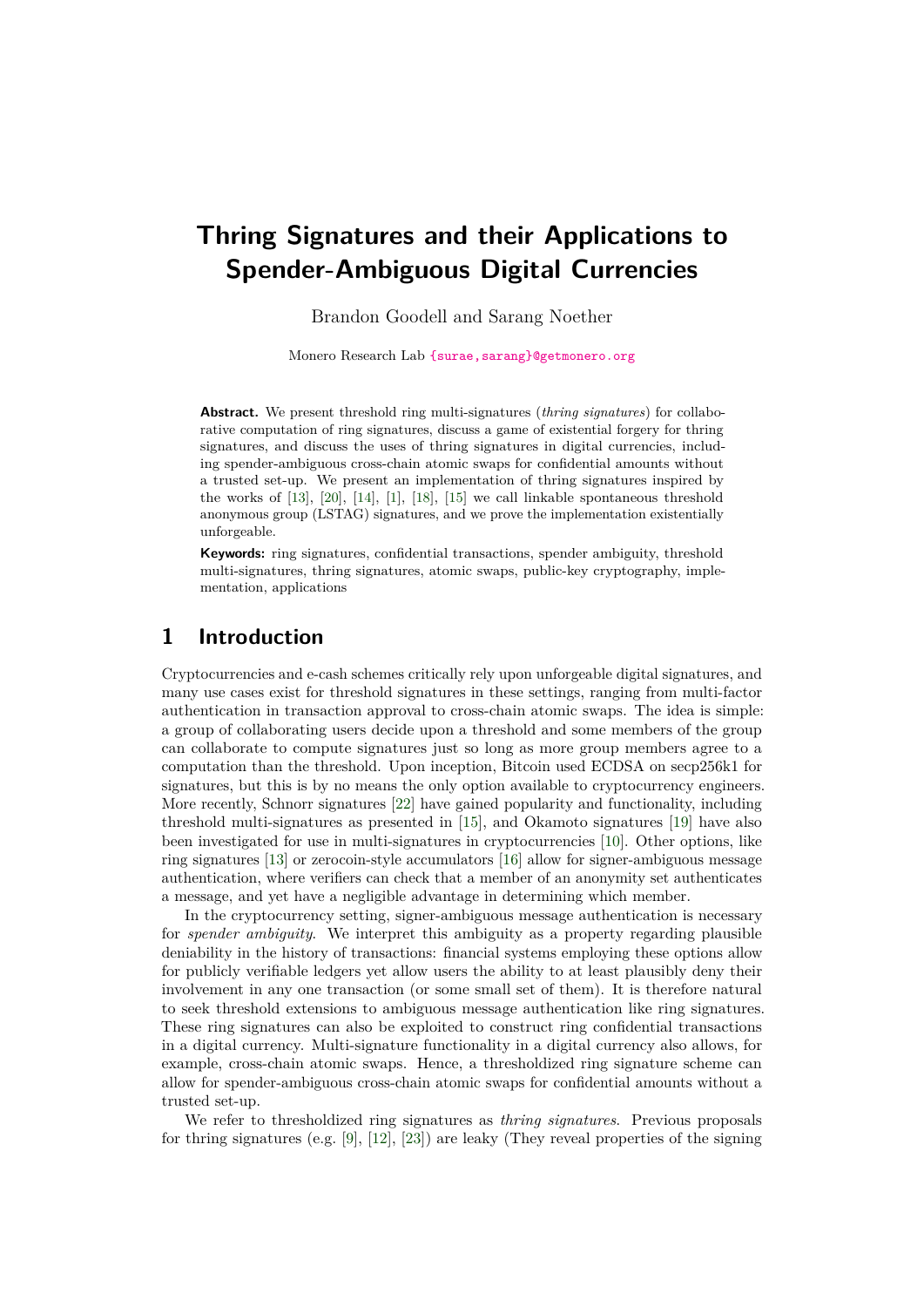# **Thring Signatures and their Applications to Spender-Ambiguous Digital Currencies**

Brandon Goodell and Sarang Noether

Monero Research Lab {surae, sarang}@getmonero.org

**Abstract.** We present threshold ring multi-signatures (*thring signatures*) for collaborative computation of ring signatures, discuss a game of existential forgery for thring signatures, and discuss the uses of thring signatures in digital currencies, including spender-ambiguous cross-chain atomic swaps for confidential amounts without a trusted set-up. We present an implementation of thring signatures inspired by the works of [\[13\]](#page-13-0), [\[20\]](#page-14-0), [\[14\]](#page-13-1), [\[1\]](#page-12-0), [\[18\]](#page-14-1), [\[15\]](#page-13-2) we call linkable spontaneous threshold anonymous group (LSTAG) signatures, and we prove the implementation existentially unforgeable.

**Keywords:** ring signatures, confidential transactions, spender ambiguity, threshold multi-signatures, thring signatures, atomic swaps, public-key cryptography, implementation, applications

# **1 Introduction**

Cryptocurrencies and e-cash schemes critically rely upon unforgeable digital signatures, and many use cases exist for threshold signatures in these settings, ranging from multi-factor authentication in transaction approval to cross-chain atomic swaps. The idea is simple: a group of collaborating users decide upon a threshold and some members of the group can collaborate to compute signatures just so long as more group members agree to a computation than the threshold. Upon inception, Bitcoin used ECDSA on secp256k1 for signatures, but this is by no means the only option available to cryptocurrency engineers. More recently, Schnorr signatures [\[22\]](#page-14-2) have gained popularity and functionality, including threshold multi-signatures as presented in [\[15\]](#page-13-2), and Okamoto signatures [\[19\]](#page-14-3) have also been investigated for use in multi-signatures in cryptocurrencies [\[10\]](#page-13-3). Other options, like ring signatures [\[13\]](#page-13-0) or zerocoin-style accumulators [\[16\]](#page-14-4) allow for signer-ambiguous message authentication, where verifiers can check that a member of an anonymity set authenticates a message, and yet have a negligible advantage in determining which member.

In the cryptocurrency setting, signer-ambiguous message authentication is necessary for *spender ambiguity*. We interpret this ambiguity as a property regarding plausible deniability in the history of transactions: financial systems employing these options allow for publicly verifiable ledgers yet allow users the ability to at least plausibly deny their involvement in any one transaction (or some small set of them). It is therefore natural to seek threshold extensions to ambiguous message authentication like ring signatures. These ring signatures can also be exploited to construct ring confidential transactions in a digital currency. Multi-signature functionality in a digital currency also allows, for example, cross-chain atomic swaps. Hence, a thresholdized ring signature scheme can allow for spender-ambiguous cross-chain atomic swaps for confidential amounts without a trusted set-up.

We refer to thresholdized ring signatures as *thring signatures*. Previous proposals for thring signatures (e.g. [\[9\]](#page-13-4), [\[12\]](#page-13-5), [\[23\]](#page-14-5)) are leaky (They reveal properties of the signing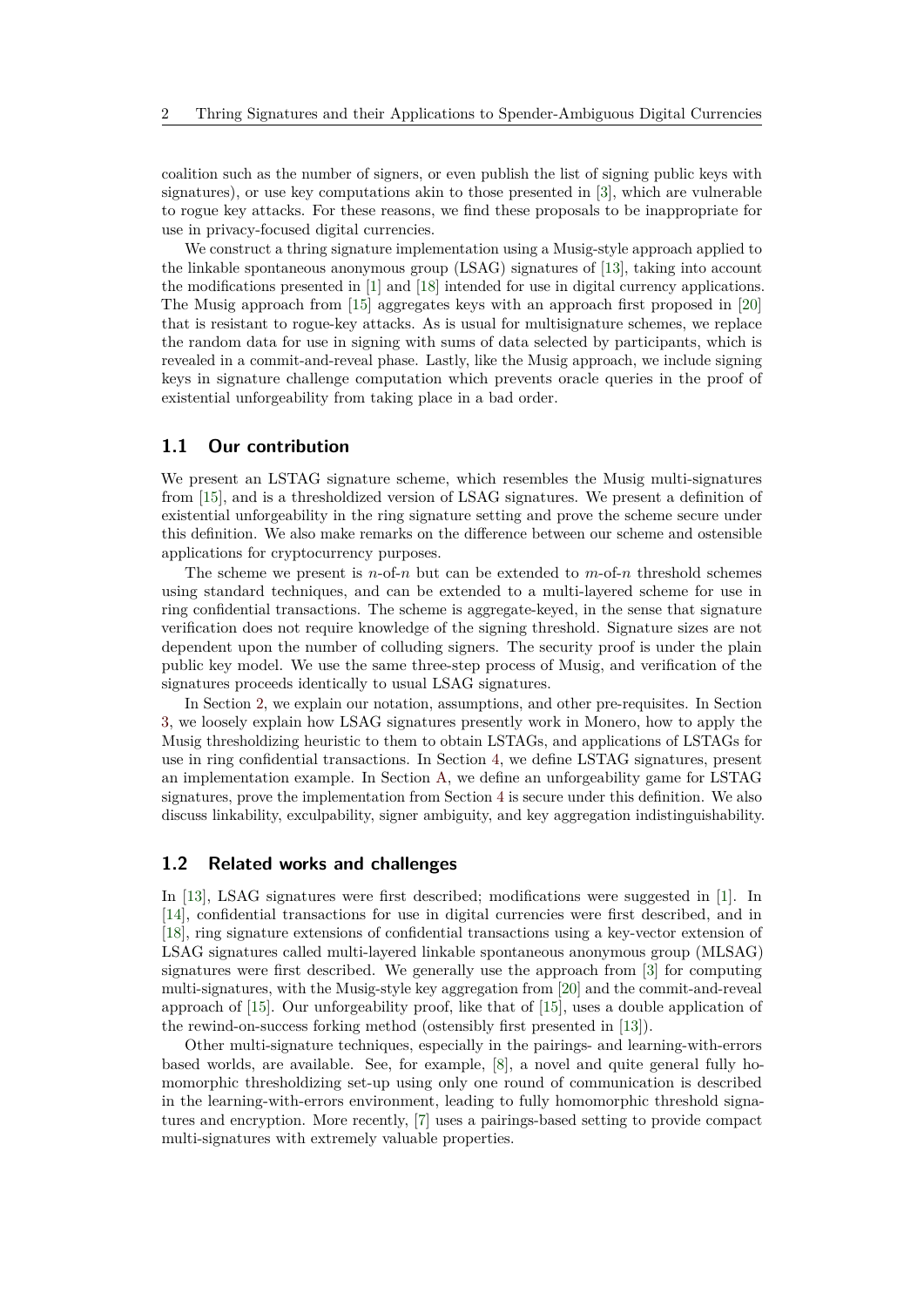coalition such as the number of signers, or even publish the list of signing public keys with signatures), or use key computations akin to those presented in [\[3\]](#page-13-6), which are vulnerable to rogue key attacks. For these reasons, we find these proposals to be inappropriate for use in privacy-focused digital currencies.

We construct a thring signature implementation using a Musig-style approach applied to the linkable spontaneous anonymous group (LSAG) signatures of [\[13\]](#page-13-0), taking into account the modifications presented in [\[1\]](#page-12-0) and [\[18\]](#page-14-1) intended for use in digital currency applications. The Musig approach from [\[15\]](#page-13-2) aggregates keys with an approach first proposed in [\[20\]](#page-14-0) that is resistant to rogue-key attacks. As is usual for multisignature schemes, we replace the random data for use in signing with sums of data selected by participants, which is revealed in a commit-and-reveal phase. Lastly, like the Musig approach, we include signing keys in signature challenge computation which prevents oracle queries in the proof of existential unforgeability from taking place in a bad order.

#### **1.1 Our contribution**

We present an LSTAG signature scheme, which resembles the Musig multi-signatures from [\[15\]](#page-13-2), and is a thresholdized version of LSAG signatures. We present a definition of existential unforgeability in the ring signature setting and prove the scheme secure under this definition. We also make remarks on the difference between our scheme and ostensible applications for cryptocurrency purposes.

The scheme we present is  $n$ -of- $n$  but can be extended to  $m$ -of- $n$  threshold schemes using standard techniques, and can be extended to a multi-layered scheme for use in ring confidential transactions. The scheme is aggregate-keyed, in the sense that signature verification does not require knowledge of the signing threshold. Signature sizes are not dependent upon the number of colluding signers. The security proof is under the plain public key model. We use the same three-step process of Musig, and verification of the signatures proceeds identically to usual LSAG signatures.

In Section [2,](#page-2-0) we explain our notation, assumptions, and other pre-requisites. In Section [3,](#page-4-0) we loosely explain how LSAG signatures presently work in Monero, how to apply the Musig thresholdizing heuristic to them to obtain LSTAGs, and applications of LSTAGs for use in ring confidential transactions. In Section [4,](#page-6-0) we define LSTAG signatures, present an implementation example. In Section [A,](#page-14-6) we define an unforgeability game for LSTAG signatures, prove the implementation from Section [4](#page-6-0) is secure under this definition. We also discuss linkability, exculpability, signer ambiguity, and key aggregation indistinguishability.

#### **1.2 Related works and challenges**

In [\[13\]](#page-13-0), LSAG signatures were first described; modifications were suggested in [\[1\]](#page-12-0). In [\[14\]](#page-13-1), confidential transactions for use in digital currencies were first described, and in [\[18\]](#page-14-1), ring signature extensions of confidential transactions using a key-vector extension of LSAG signatures called multi-layered linkable spontaneous anonymous group (MLSAG) signatures were first described. We generally use the approach from [\[3\]](#page-13-6) for computing multi-signatures, with the Musig-style key aggregation from [\[20\]](#page-14-0) and the commit-and-reveal approach of [\[15\]](#page-13-2). Our unforgeability proof, like that of [\[15\]](#page-13-2), uses a double application of the rewind-on-success forking method (ostensibly first presented in [\[13\]](#page-13-0)).

Other multi-signature techniques, especially in the pairings- and learning-with-errors based worlds, are available. See, for example, [\[8\]](#page-13-7), a novel and quite general fully homomorphic thresholdizing set-up using only one round of communication is described in the learning-with-errors environment, leading to fully homomorphic threshold signatures and encryption. More recently, [\[7\]](#page-13-8) uses a pairings-based setting to provide compact multi-signatures with extremely valuable properties.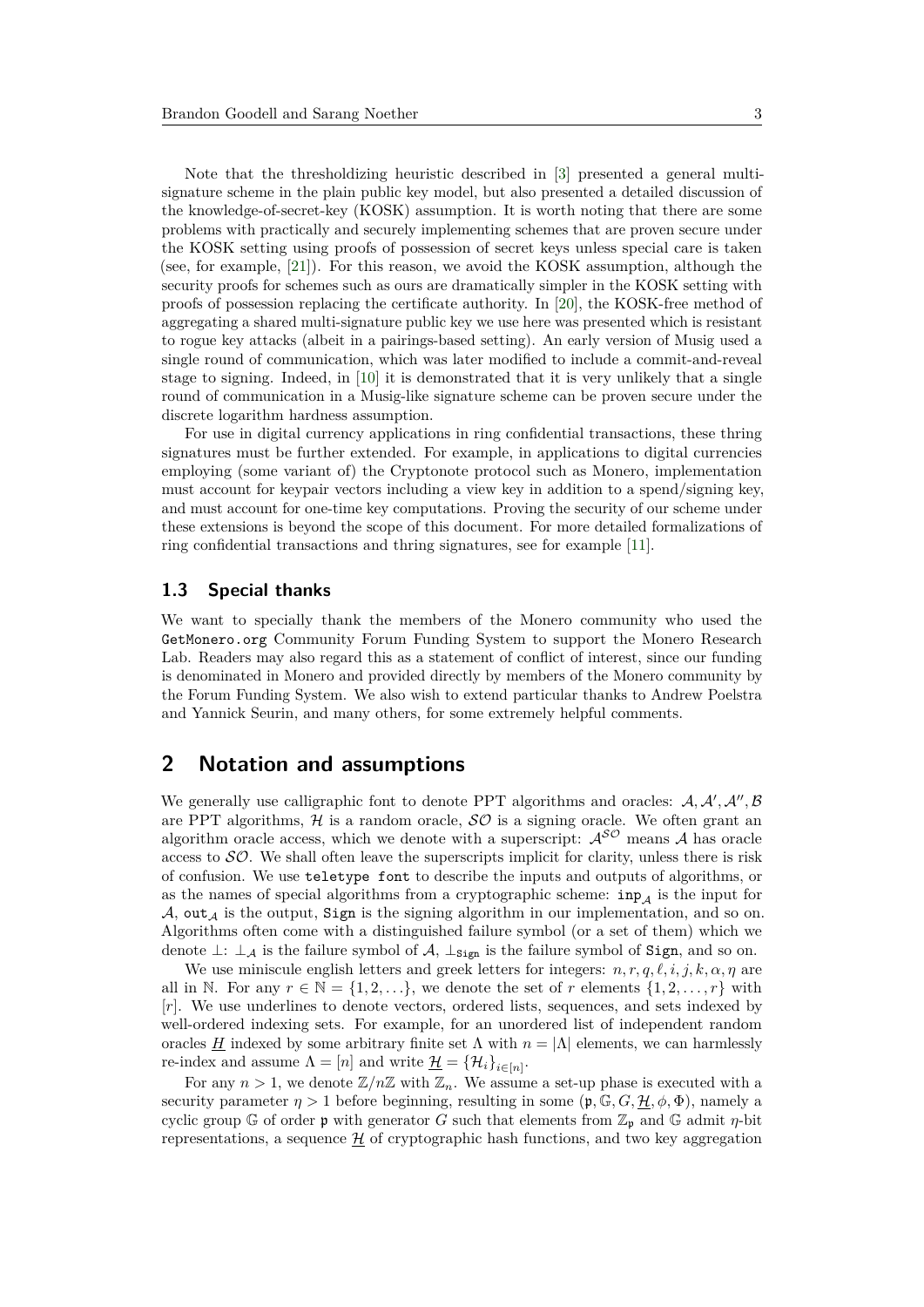Note that the thresholdizing heuristic described in [\[3\]](#page-13-6) presented a general multisignature scheme in the plain public key model, but also presented a detailed discussion of the knowledge-of-secret-key (KOSK) assumption. It is worth noting that there are some problems with practically and securely implementing schemes that are proven secure under the KOSK setting using proofs of possession of secret keys unless special care is taken (see, for example, [\[21\]](#page-14-7)). For this reason, we avoid the KOSK assumption, although the security proofs for schemes such as ours are dramatically simpler in the KOSK setting with proofs of possession replacing the certificate authority. In [\[20\]](#page-14-0), the KOSK-free method of aggregating a shared multi-signature public key we use here was presented which is resistant to rogue key attacks (albeit in a pairings-based setting). An early version of Musig used a single round of communication, which was later modified to include a commit-and-reveal stage to signing. Indeed, in [\[10\]](#page-13-3) it is demonstrated that it is very unlikely that a single round of communication in a Musig-like signature scheme can be proven secure under the discrete logarithm hardness assumption.

For use in digital currency applications in ring confidential transactions, these thring signatures must be further extended. For example, in applications to digital currencies employing (some variant of) the Cryptonote protocol such as Monero, implementation must account for keypair vectors including a view key in addition to a spend/signing key, and must account for one-time key computations. Proving the security of our scheme under these extensions is beyond the scope of this document. For more detailed formalizations of ring confidential transactions and thring signatures, see for example [\[11\]](#page-13-9).

#### **1.3 Special thanks**

We want to specially thank the members of the Monero community who used the GetMonero.org Community Forum Funding System to support the Monero Research Lab. Readers may also regard this as a statement of conflict of interest, since our funding is denominated in Monero and provided directly by members of the Monero community by the Forum Funding System. We also wish to extend particular thanks to Andrew Poelstra and Yannick Seurin, and many others, for some extremely helpful comments.

# <span id="page-2-0"></span>**2 Notation and assumptions**

We generally use calligraphic font to denote PPT algorithms and oracles:  $A, A', A'', B'$ are PPT algorithms,  $H$  is a random oracle,  $\mathcal{SO}$  is a signing oracle. We often grant an algorithm oracle access, which we denote with a superscript:  $A^{\mathcal{SO}}$  means A has oracle access to  $SO$ . We shall often leave the superscripts implicit for clarity, unless there is risk of confusion. We use teletype font to describe the inputs and outputs of algorithms, or as the names of special algorithms from a cryptographic scheme:  $\text{inp}_{A}$  is the input for A, out<sub>A</sub> is the output, Sign is the signing algorithm in our implementation, and so on. Algorithms often come with a distinguished failure symbol (or a set of them) which we denote  $\perp$ :  $\perp_A$  is the failure symbol of  $\mathcal{A}$ ,  $\perp$ <sub>Sign</sub> is the failure symbol of Sign, and so on.

We use miniscule english letters and greek letters for integers:  $n, r, q, \ell, i, j, k, \alpha, \eta$  are all in N. For any  $r \in \mathbb{N} = \{1, 2, \ldots\}$ , we denote the set of *r* elements  $\{1, 2, \ldots, r\}$  with [*r*]. We use underlines to denote vectors, ordered lists, sequences, and sets indexed by well-ordered indexing sets. For example, for an unordered list of independent random oracles *H* indexed by some arbitrary finite set  $\Lambda$  with  $n = |\Lambda|$  elements, we can harmlessly re-index and assume  $\Lambda = [n]$  and write  $\underline{\mathcal{H}} = {\mathcal{H}_i}_{i \in [n]}$ .

For any  $n > 1$ , we denote  $\mathbb{Z}/n\mathbb{Z}$  with  $\mathbb{Z}_n$ . We assume a set-up phase is executed with a security parameter  $η > 1$  before beginning, resulting in some  $(φ, G, H, φ, Φ)$ , namely a cyclic group G of order  $\mathfrak p$  with generator *G* such that elements from  $\mathbb{Z}_{\mathfrak p}$  and G admit  $\eta$ -bit representations, a sequence  $\mathcal{H}$  of cryptographic hash functions, and two key aggregation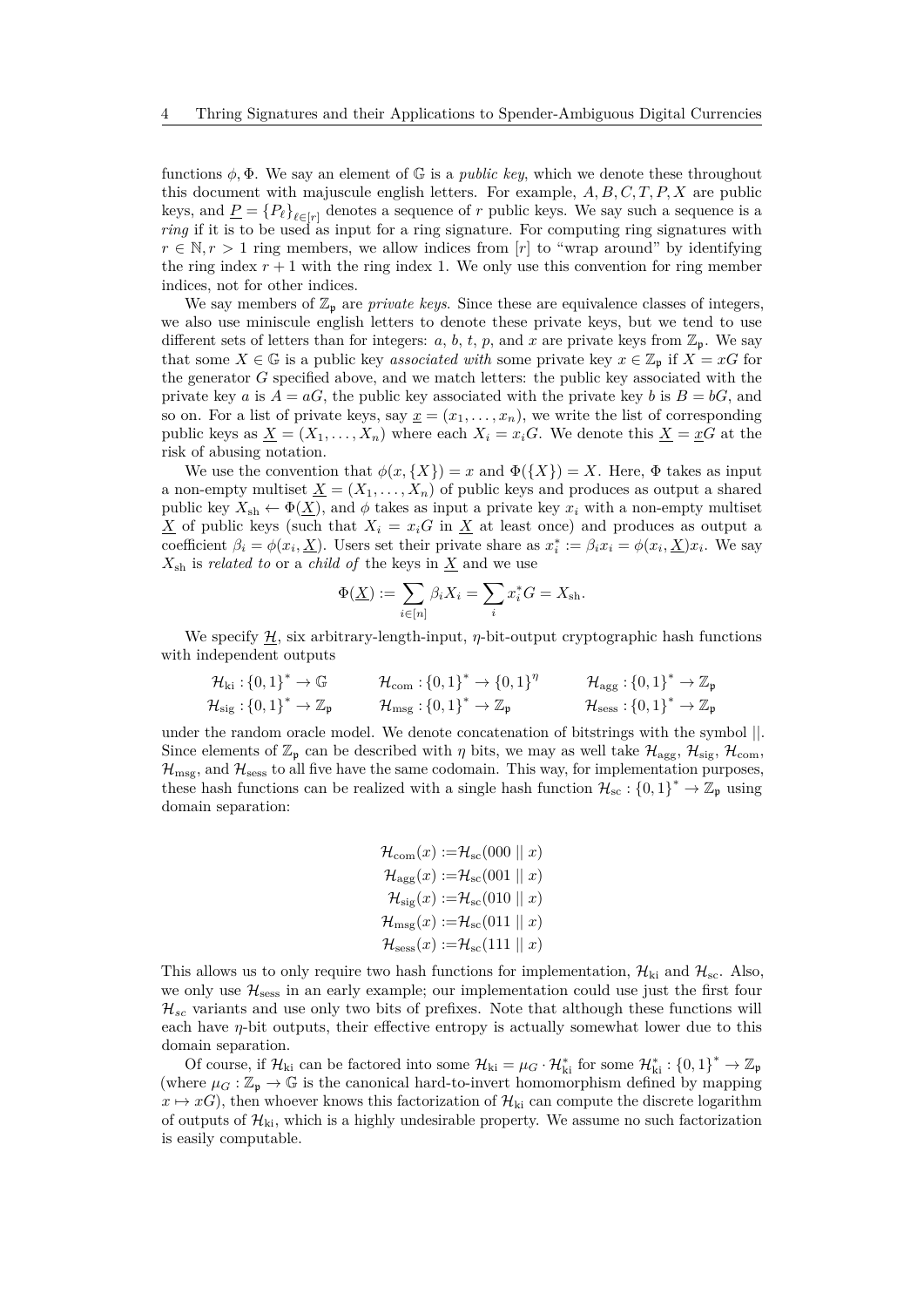functions  $\phi$ ,  $\Phi$ . We say an element of  $\mathbb{G}$  is a *public key*, which we denote these throughout this document with majuscule english letters. For example, *A, B, C, T, P, X* are public keys, and  $\underline{P} = \{P_\ell\}_{\ell \in [r]}$  denotes a sequence of *r* public keys. We say such a sequence is a *ring* if it is to be used as input for a ring signature. For computing ring signatures with  $r \in \mathbb{N}, r > 1$  ring members, we allow indices from [*r*] to "wrap around" by identifying the ring index  $r + 1$  with the ring index 1. We only use this convention for ring member indices, not for other indices.

We say members of  $\mathbb{Z}_p$  are *private keys*. Since these are equivalence classes of integers, we also use miniscule english letters to denote these private keys, but we tend to use different sets of letters than for integers: *a*, *b*, *t*, *p*, and *x* are private keys from  $\mathbb{Z}_p$ . We say that some  $X \in \mathbb{G}$  is a public key *associated with* some private key  $x \in \mathbb{Z}_p$  if  $X = xG$  for the generator *G* specified above, and we match letters: the public key associated with the private key *a* is  $A = aG$ , the public key associated with the private key *b* is  $B = bG$ , and so on. For a list of private keys, say  $\underline{x} = (x_1, \ldots, x_n)$ , we write the list of corresponding public keys as  $X = (X_1, \ldots, X_n)$  where each  $X_i = x_i G$ . We denote this  $X = x G$  at the risk of abusing notation.

We use the convention that  $\phi(x, \{X\}) = x$  and  $\Phi(\{X\}) = X$ . Here,  $\Phi$  takes as input a non-empty multiset  $\underline{X} = (X_1, \ldots, X_n)$  of public keys and produces as output a shared public key  $X_{\text{sh}} \leftarrow \Phi(X)$ , and  $\phi$  takes as input a private key  $x_i$  with a non-empty multiset  $\underline{X}$  of public keys (such that  $X_i = x_i G$  in  $\underline{X}$  at least once) and produces as output a coefficient  $\beta_i = \phi(x_i, \underline{X})$ . Users set their private share as  $x_i^* := \beta_i x_i = \phi(x_i, \underline{X}) x_i$ . We say  $X_{\text{sh}}$  is *related to* or a *child of* the keys in  $\underline{X}$  and we use

$$
\Phi(\underline{X}) := \sum_{i \in [n]} \beta_i X_i = \sum_i x_i^* G = X_{\text{sh}}.
$$

We specify  $H$ , six arbitrary-length-input,  $\eta$ -bit-output cryptographic hash functions with independent outputs

$$
\mathcal{H}_{ki} : \{0,1\}^* \to \mathbb{G} \qquad \mathcal{H}_{com} : \{0,1\}^* \to \{0,1\}^{\eta} \qquad \mathcal{H}_{agg} : \{0,1\}^* \to \mathbb{Z}_{\mathfrak{p}} \n\mathcal{H}_{sig} : \{0,1\}^* \to \mathbb{Z}_{\mathfrak{p}} \qquad \mathcal{H}_{msg} : \{0,1\}^* \to \mathbb{Z}_{\mathfrak{p}} \qquad \mathcal{H}_{sess} : \{0,1\}^* \to \mathbb{Z}_{\mathfrak{p}} \qquad
$$

under the random oracle model. We denote concatenation of bitstrings with the symbol ||. Since elements of  $\mathbb{Z}_p$  can be described with *η* bits, we may as well take  $\mathcal{H}_{\text{agg}}, \mathcal{H}_{\text{sig}}, \mathcal{H}_{\text{com}}$ ,  $\mathcal{H}_{\text{msg}}$ , and  $\mathcal{H}_{\text{sess}}$  to all five have the same codomain. This way, for implementation purposes, these hash functions can be realized with a single hash function  $\mathcal{H}_{\text{sc}} : \{0,1\}^* \to \mathbb{Z}_p$  using domain separation:

```
\mathcal{H}_{com}(x) := \mathcal{H}_{sc}(000 \mid x)\mathcal{H}_{\text{age}}(x) := \mathcal{H}_{\text{sc}}(001 \mid x)\mathcal{H}_{\text{sig}}(x) := \mathcal{H}_{\text{sc}}(010 \mid x)\mathcal{H}_{\text{msg}}(x) := \mathcal{H}_{\text{sc}}(011 \mid x)\mathcal{H}_{\text{sess}}(x) := \mathcal{H}_{\text{sc}}(111 \mid x)
```
This allows us to only require two hash functions for implementation,  $\mathcal{H}_{ki}$  and  $\mathcal{H}_{sc}$ . Also, we only use  $\mathcal{H}_{\text{sess}}$  in an early example; our implementation could use just the first four  $\mathcal{H}_{sc}$  variants and use only two bits of prefixes. Note that although these functions will each have  $\eta$ -bit outputs, their effective entropy is actually somewhat lower due to this domain separation.

Of course, if  $\mathcal{H}_{ki}$  can be factored into some  $\mathcal{H}_{ki} = \mu_G \cdot \mathcal{H}_{ki}^*$  for some  $\mathcal{H}_{ki}^* : \{0,1\}^* \to \mathbb{Z}_p$ (where  $\mu_G : \mathbb{Z}_p \to \mathbb{G}$  is the canonical hard-to-invert homomorphism defined by mapping  $x \mapsto xG$ , then whoever knows this factorization of  $\mathcal{H}_{\text{ki}}$  can compute the discrete logarithm of outputs of  $\mathcal{H}_{ki}$ , which is a highly undesirable property. We assume no such factorization is easily computable.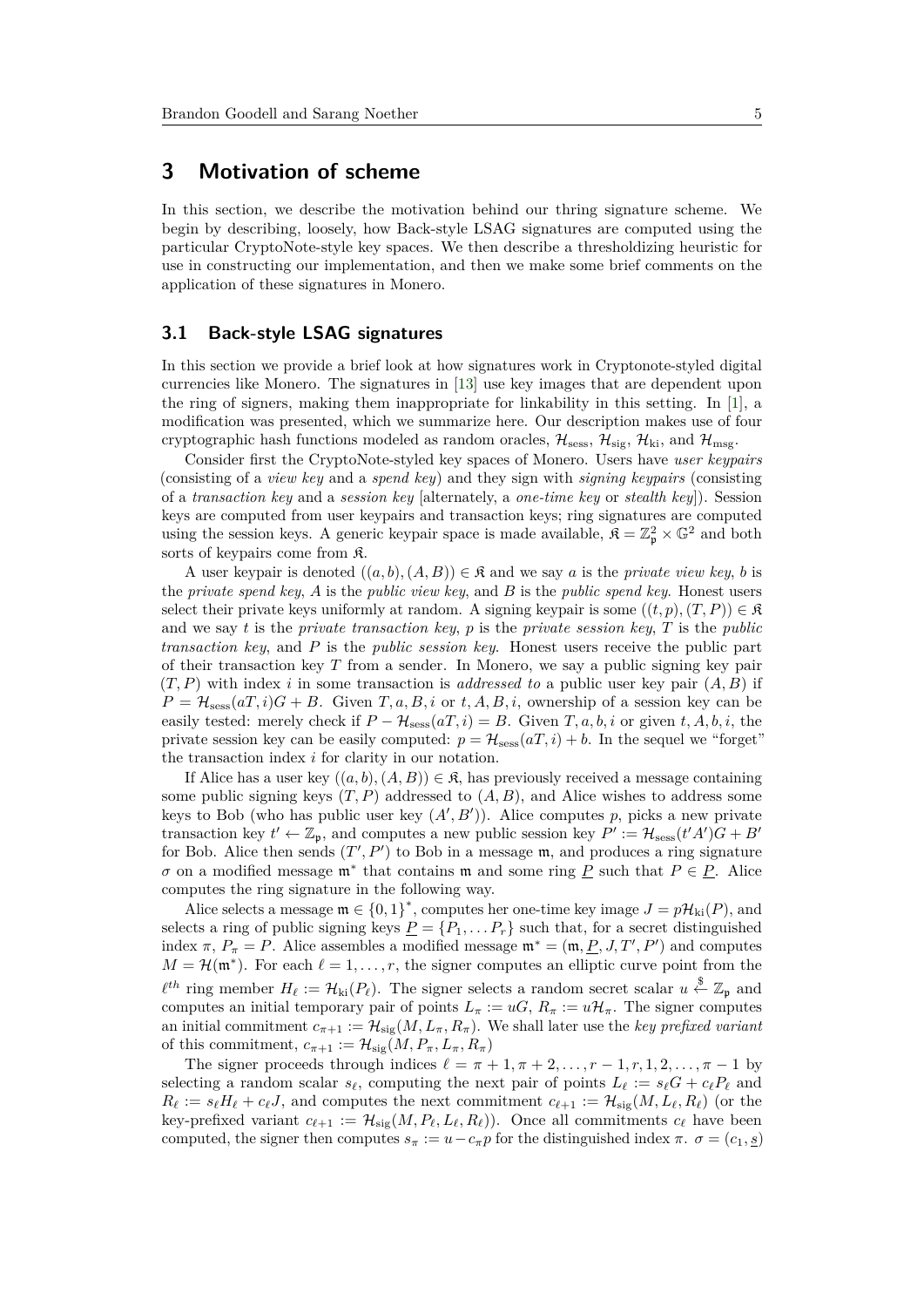# <span id="page-4-0"></span>**3 Motivation of scheme**

In this section, we describe the motivation behind our thring signature scheme. We begin by describing, loosely, how Back-style LSAG signatures are computed using the particular CryptoNote-style key spaces. We then describe a thresholdizing heuristic for use in constructing our implementation, and then we make some brief comments on the application of these signatures in Monero.

#### <span id="page-4-1"></span>**3.1 Back-style LSAG signatures**

In this section we provide a brief look at how signatures work in Cryptonote-styled digital currencies like Monero. The signatures in [\[13\]](#page-13-0) use key images that are dependent upon the ring of signers, making them inappropriate for linkability in this setting. In [\[1\]](#page-12-0), a modification was presented, which we summarize here. Our description makes use of four cryptographic hash functions modeled as random oracles,  $\mathcal{H}_{\text{sess}}, \mathcal{H}_{\text{sig}}, \mathcal{H}_{\text{ki}},$  and  $\mathcal{H}_{\text{msg}}$ .

Consider first the CryptoNote-styled key spaces of Monero. Users have *user keypairs* (consisting of a *view key* and a *spend key*) and they sign with *signing keypairs* (consisting of a *transaction key* and a *session key* [alternately, a *one-time key* or *stealth key*]). Session keys are computed from user keypairs and transaction keys; ring signatures are computed using the session keys. A generic keypair space is made available,  $\mathfrak{K} = \mathbb{Z}_p^2 \times \mathbb{G}^2$  and both sorts of keypairs come from K.

A user keypair is denoted  $((a, b), (A, B)) \in \mathfrak{K}$  and we say a is the *private view key*, *b* is the *private spend key*, *A* is the *public view key*, and *B* is the *public spend key*. Honest users select their private keys uniformly at random. A signing keypair is some  $((t, p), (T, P)) \in \mathfrak{K}$ and we say *t* is the *private transaction key*, *p* is the *private session key*, *T* is the *public transaction key*, and *P* is the *public session key*. Honest users receive the public part of their transaction key *T* from a sender. In Monero, we say a public signing key pair  $(T, P)$  with index *i* in some transaction is *addressed to* a public user key pair  $(A, B)$  if  $P = H_{\text{sess}}(aT, i)G + B$ . Given *T*, *a*, *B*, *i* or *t*, *A*, *B*, *i*, ownership of a session key can be easily tested: merely check if  $P - H_{\text{sess}}(aT, i) = B$ . Given  $T, a, b, i$  or given  $t, A, b, i$ , the private session key can be easily computed:  $p = H_{\text{sess}}(aT, i) + b$ . In the sequel we "forget" the transaction index *i* for clarity in our notation.

If Alice has a user key  $((a, b), (A, B)) \in \mathcal{R}$ , has previously received a message containing some public signing keys  $(T, P)$  addressed to  $(A, B)$ , and Alice wishes to address some keys to Bob (who has public user key  $(A', B')$ ). Alice computes p, picks a new private transaction key  $t' \leftarrow \mathbb{Z}_p$ , and computes a new public session key  $P' := \mathcal{H}_{\text{sess}}(t'A')G + B'$ for Bob. Alice then sends  $(T', P')$  to Bob in a message  $\mathfrak{m}$ , and produces a ring signature *σ* on a modified message  $\mathfrak{m}^*$  that contains  $\mathfrak{m}$  and some ring  $\underline{P}$  such that  $P \in \underline{P}$ . Alice computes the ring signature in the following way.

Alice selects a message  $\mathfrak{m} \in \{0,1\}^*$ , computes her one-time key image  $J = p\mathcal{H}_{ki}(P)$ , and selects a ring of public signing keys  $P = \{P_1, \ldots, P_r\}$  such that, for a secret distinguished index  $\pi$ ,  $P_{\pi} = P$ . Alice assembles a modified message  $\mathfrak{m}^* = (\mathfrak{m}, \underline{P}, J, T', P')$  and computes  $M = H(\mathfrak{m}^*)$ . For each  $\ell = 1, \ldots, r$ , the signer computes an elliptic curve point from the  $\ell^{th}$  ring member  $H_{\ell} := \mathcal{H}_{ki}(P_{\ell})$ . The signer selects a random secret scalar  $u \stackrel{\$}{\leftarrow} \mathbb{Z}_{p}$  and computes an initial temporary pair of points  $L_{\pi} := uG, R_{\pi} := u\mathcal{H}_{\pi}$ . The signer computes an initial commitment  $c_{\pi+1} := \mathcal{H}_{\text{sig}}(M, L_{\pi}, R_{\pi})$ . We shall later use the *key prefixed variant* of this commitment,  $c_{\pi+1} := \mathcal{H}_{\text{sig}}(M, P_{\pi}, L_{\pi}, R_{\pi})$ 

The signer proceeds through indices  $\ell = \pi + 1, \pi + 2, \ldots, r - 1, r, 1, 2, \ldots, \pi - 1$  by selecting a random scalar  $s_\ell$ , computing the next pair of points  $L_\ell := s_\ell G + c_\ell P_\ell$  and  $R_{\ell} := s_{\ell}H_{\ell} + c_{\ell}J$ , and computes the next commitment  $c_{\ell+1} := \mathcal{H}_{\text{sig}}(M, L_{\ell}, R_{\ell})$  (or the key-prefixed variant  $c_{\ell+1} := \mathcal{H}_{sig}(M, P_{\ell}, L_{\ell}, R_{\ell})$ . Once all commitments  $c_{\ell}$  have been computed, the signer then computes  $s_\pi := u - c_\pi p$  for the distinguished index  $\pi$ .  $\sigma = (c_1, \underline{s})$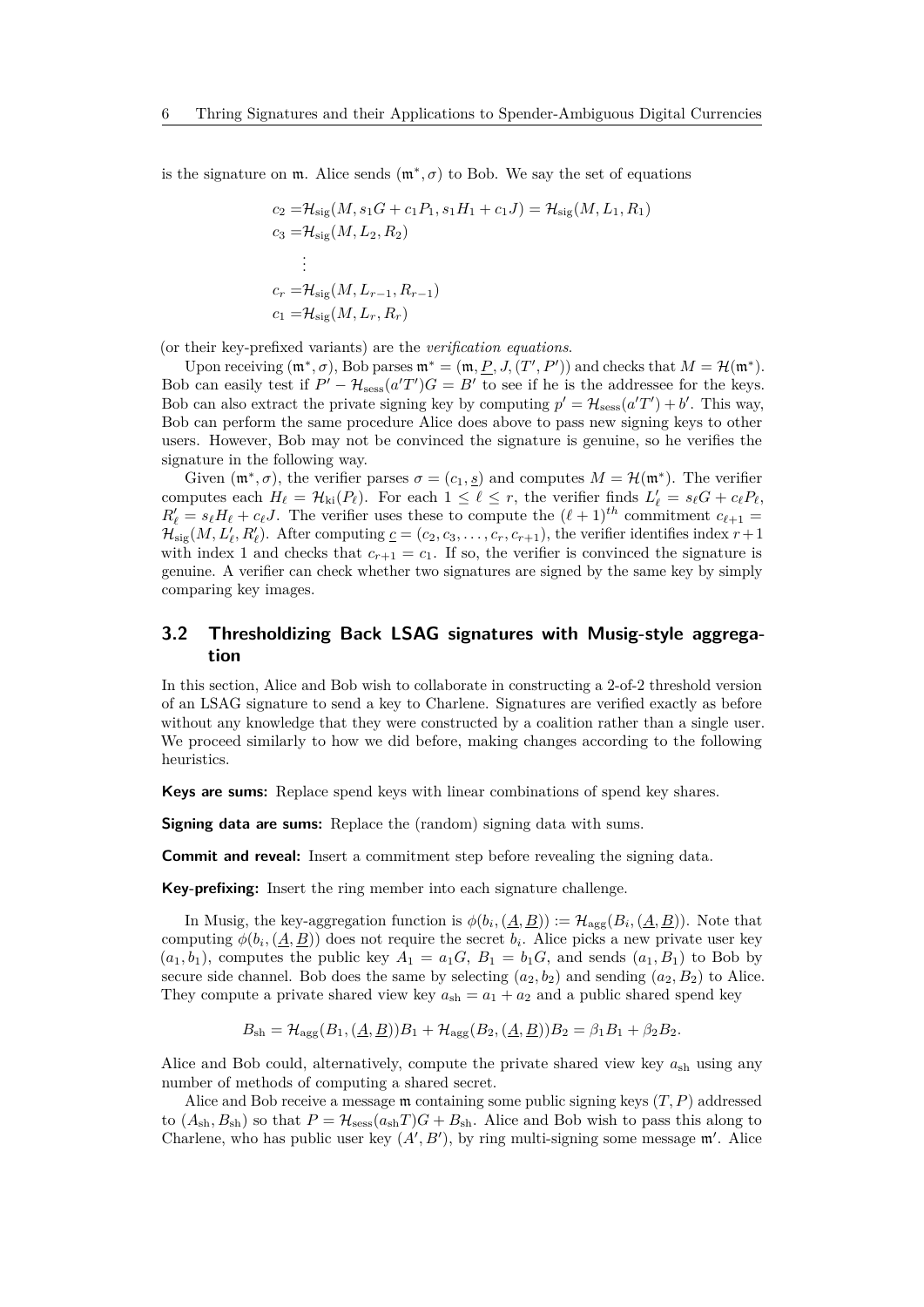is the signature on  $m$ . Alice sends  $(m^*, \sigma)$  to Bob. We say the set of equations

$$
c_2 = \mathcal{H}_{sig}(M, s_1G + c_1P_1, s_1H_1 + c_1J) = \mathcal{H}_{sig}(M, L_1, R_1)
$$
  
\n
$$
c_3 = \mathcal{H}_{sig}(M, L_2, R_2)
$$
  
\n:  
\n:  
\n
$$
c_r = \mathcal{H}_{sig}(M, L_{r-1}, R_{r-1})
$$
  
\n
$$
c_1 = \mathcal{H}_{sig}(M, L_r, R_r)
$$

(or their key-prefixed variants) are the *verification equations*.

Upon receiving  $(\mathfrak{m}^*, \sigma)$ , Bob parses  $\mathfrak{m}^* = (\mathfrak{m}, \underline{P}, J, (T', P'))$  and checks that  $M = \mathcal{H}(\mathfrak{m}^*)$ . Bob can easily test if  $P' - H_{\text{sess}}(a'T')G = B'$  to see if he is the addressee for the keys. Bob can also extract the private signing key by computing  $p' = H_{\text{sess}}(a'T') + b'$ . This way, Bob can perform the same procedure Alice does above to pass new signing keys to other users. However, Bob may not be convinced the signature is genuine, so he verifies the signature in the following way.

Given  $(\mathfrak{m}^*, \sigma)$ , the verifier parses  $\sigma = (c_1, s)$  and computes  $M = \mathcal{H}(\mathfrak{m}^*)$ . The verifier computes each  $H_{\ell} = \mathcal{H}_{ki}(P_{\ell})$ . For each  $1 \leq \ell \leq r$ , the verifier finds  $L'_{\ell} = s_{\ell}G + c_{\ell}P_{\ell}$ ,  $R'_\ell = s_\ell H_\ell + c_\ell J$ . The verifier uses these to compute the  $(\ell + 1)^{th}$  commitment  $c_{\ell+1} =$  $\mathcal{H}_{sig}(M, L'_{\ell}, R'_{\ell})$ . After computing  $\underline{c} = (c_2, c_3, \ldots, c_r, c_{r+1})$ , the verifier identifies index  $r+1$ with index 1 and checks that  $c_{r+1} = c_1$ . If so, the verifier is convinced the signature is genuine. A verifier can check whether two signatures are signed by the same key by simply comparing key images.

### <span id="page-5-0"></span>**3.2 Thresholdizing Back LSAG signatures with Musig-style aggregation**

In this section, Alice and Bob wish to collaborate in constructing a 2-of-2 threshold version of an LSAG signature to send a key to Charlene. Signatures are verified exactly as before without any knowledge that they were constructed by a coalition rather than a single user. We proceed similarly to how we did before, making changes according to the following heuristics.

**Keys are sums:** Replace spend keys with linear combinations of spend key shares.

**Signing data are sums:** Replace the (random) signing data with sums.

**Commit and reveal:** Insert a commitment step before revealing the signing data.

**Key-prefixing:** Insert the ring member into each signature challenge.

In Musig, the key-aggregation function is  $\phi(b_i, (A, B)) := \mathcal{H}_{\text{agg}}(B_i, (A, B))$ . Note that computing  $\phi(b_i, (\underline{A}, \underline{B}))$  does not require the secret  $b_i$ . Alice picks a new private user key  $(a_1, b_1)$ , computes the public key  $A_1 = a_1 G$ ,  $B_1 = b_1 G$ , and sends  $(a_1, B_1)$  to Bob by secure side channel. Bob does the same by selecting  $(a_2, b_2)$  and sending  $(a_2, B_2)$  to Alice. They compute a private shared view key  $a_{\rm sh} = a_1 + a_2$  and a public shared spend key

$$
B_{\rm sh} = \mathcal{H}_{\rm agg}(B_1, (\underline{A}, \underline{B}))B_1 + \mathcal{H}_{\rm agg}(B_2, (\underline{A}, \underline{B}))B_2 = \beta_1 B_1 + \beta_2 B_2.
$$

Alice and Bob could, alternatively, compute the private shared view key  $a_{\rm sh}$  using any number of methods of computing a shared secret.

Alice and Bob receive a message m containing some public signing keys (*T, P*) addressed to  $(A_{\rm sh}, B_{\rm sh})$  so that  $P = \mathcal{H}_{\rm sess}(a_{\rm sh}T)G + B_{\rm sh}$ . Alice and Bob wish to pass this along to Charlene, who has public user key  $(A', B')$ , by ring multi-signing some message  $\mathfrak{m}'$ . Alice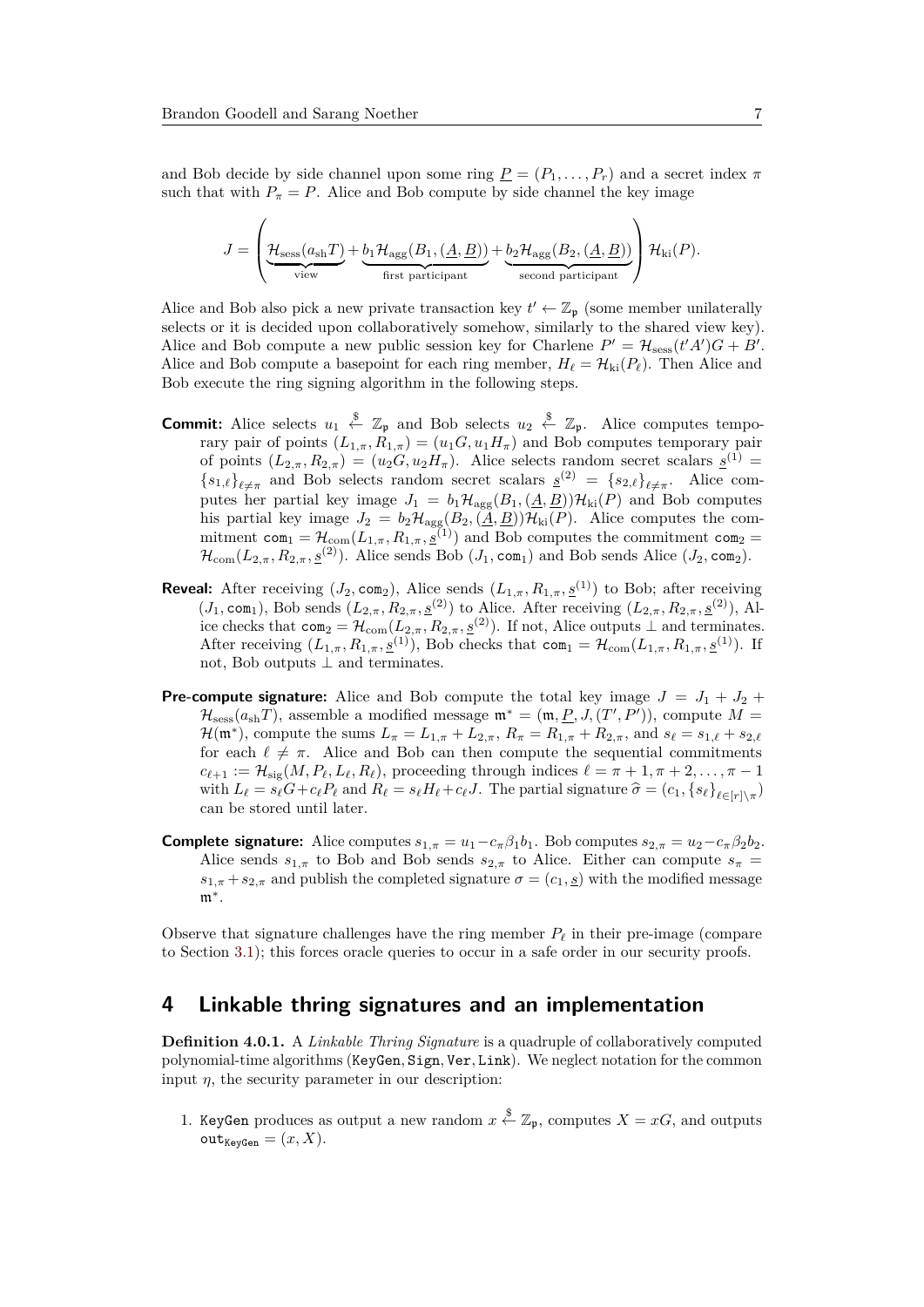and Bob decide by side channel upon some ring  $\underline{P} = (P_1, \ldots, P_r)$  and a secret index  $\pi$ such that with  $P_{\pi} = P$ . Alice and Bob compute by side channel the key image

$$
J = \left(\underbrace{\mathcal{H}_{\text{sess}}(a_{\text{sh}}T)}_{\text{view}} + \underbrace{b_1 \mathcal{H}_{\text{agg}}(B_1, (\underline{A}, \underline{B}))}_{\text{first participant}} + \underbrace{b_2 \mathcal{H}_{\text{agg}}(B_2, (\underline{A}, \underline{B}))}_{\text{second participant}}\right) \mathcal{H}_{\text{ki}}(P).
$$

Alice and Bob also pick a new private transaction key  $t' \leftarrow \mathbb{Z}_{p}$  (some member unilaterally selects or it is decided upon collaboratively somehow, similarly to the shared view key). Alice and Bob compute a new public session key for Charlene  $P' = \mathcal{H}_{\text{sess}}(t'A')G + B'$ . Alice and Bob compute a basepoint for each ring member,  $H_{\ell} = \mathcal{H}_{\text{ki}}(P_{\ell})$ . Then Alice and Bob execute the ring signing algorithm in the following steps.

- **Commit:** Alice selects  $u_1 \stackrel{\$}{\leftarrow} \mathbb{Z}_p$  and Bob selects  $u_2 \stackrel{\$}{\leftarrow} \mathbb{Z}_p$ . Alice computes temporary pair of points  $(L_{1,\pi}, R_{1,\pi}) = (u_1 G, u_1 H_{\pi})$  and Bob computes temporary pair of points  $(L_{2,\pi}, R_{2,\pi}) = (u_2 G, u_2 H_{\pi})$ . Alice selects random secret scalars  $\underline{s}^{(1)} =$  ${s_{1,\ell}}_{\ell \neq \pi}$  and Bob selects random secret scalars  $s^{(2)} = {s_{2,\ell}}_{\ell \neq \pi}$ . Alice computes her partial key image  $J_1 = b_1 \mathcal{H}_{\text{agg}}(B_1, (\underline{A}, \underline{B})) \mathcal{H}_{\text{ki}}(P)$  and Bob computes his partial key image  $J_2 = b_2 \mathcal{H}_{\text{agg}}(B_2, (\underline{A}, \underline{B})) \mathcal{H}_{\text{ki}}(P)$ . Alice computes the commitment  $com_1 = \mathcal{H}_{com}(L_{1,\pi}, R_{1,\pi}, \underline{\tilde{S}}^{(1)})$  and Bob computes the commitment  $com_2$  $\mathcal{H}_{com}(L_{2,\pi}, R_{2,\pi}, \underline{s}^{(2)})$ . Alice sends Bob  $(J_1, \text{com}_1)$  and Bob sends Alice  $(J_2, \text{com}_2)$ .
- **Reveal:** After receiving ( $J_2$ , com<sub>2</sub>), Alice sends ( $L_{1,\pi}, R_{1,\pi}, \underline{s}^{(1)}$ ) to Bob; after receiving  $(J_1, \text{com}_1)$ , Bob sends  $(L_{2,\pi}, R_{2,\pi}, \underline{s}^{(2)})$  to Alice. After receiving  $(L_{2,\pi}, R_{2,\pi}, \underline{s}^{(2)})$ , Alice checks that  $com_2 = \mathcal{H}_{com}(L_{2,\pi}, R_{2,\pi}, \underline{s}^{(2)})$ . If not, Alice outputs ⊥ and terminates. After receiving  $(L_{1,\pi}, R_{1,\pi}, \underline{s}^{(1)})$ , Bob checks that com<sub>1</sub> =  $\mathcal{H}_{com}(L_{1,\pi}, R_{1,\pi}, \underline{s}^{(1)})$ . If not, Bob outputs  $\perp$  and terminates.
- **Pre-compute signature:** Alice and Bob compute the total key image  $J = J_1 + J_2 +$  $\mathcal{H}_{\text{sess}}(a_{\text{sh}}T)$ , assemble a modified message  $\mathfrak{m}^* = (\mathfrak{m}, \underline{P}, J, (T', P'))$ , compute  $M =$  $\mathcal{H}(\mathfrak{m}^*)$ , compute the sums  $L_{\pi} = L_{1,\pi} + L_{2,\pi}$ ,  $R_{\pi} = R_{1,\pi} + R_{2,\pi}$ , and  $s_{\ell} = s_{1,\ell} + s_{2,\ell}$ for each  $\ell \neq \pi$ . Alice and Bob can then compute the sequential commitments  $c_{\ell+1} := \mathcal{H}_{\text{sig}}(M, P_{\ell}, L_{\ell}, R_{\ell})$ , proceeding through indices  $\ell = \pi + 1, \pi + 2, \ldots, \pi - 1$ with  $L_{\ell} = s_{\ell}G + c_{\ell}P_{\ell}$  and  $R_{\ell} = s_{\ell}H_{\ell} + c_{\ell}J$ . The partial signature  $\hat{\sigma} = (c_1, \{s_{\ell}\}_{\ell \in [r] \setminus \pi})$ can be stored until later.
- **Complete signature:** Alice computes  $s_{1,\pi} = u_1 c_{\pi} \beta_1 b_1$ . Bob computes  $s_{2,\pi} = u_2 c_{\pi} \beta_2 b_2$ . Alice sends  $s_{1,\pi}$  to Bob and Bob sends  $s_{2,\pi}$  to Alice. Either can compute  $s_{\pi}$  =  $s_{1,\pi} + s_{2,\pi}$  and publish the completed signature  $\sigma = (c_1, s)$  with the modified message m<sup>∗</sup> .

Observe that signature challenges have the ring member  $P_\ell$  in their pre-image (compare to Section [3.1\)](#page-4-1); this forces oracle queries to occur in a safe order in our security proofs.

## <span id="page-6-0"></span>**4 Linkable thring signatures and an implementation**

**Definition 4.0.1.** A *Linkable Thring Signature* is a quadruple of collaboratively computed polynomial-time algorithms (KeyGen*,* Sign*,* Ver*,* Link). We neglect notation for the common input  $\eta$ , the security parameter in our description:

1. KeyGen produces as output a new random  $x \stackrel{\$}{\leftarrow} \mathbb{Z}_{p}$ , computes  $X = xG$ , and outputs  $\text{out}_{\text{KeyGen}} = (x, X).$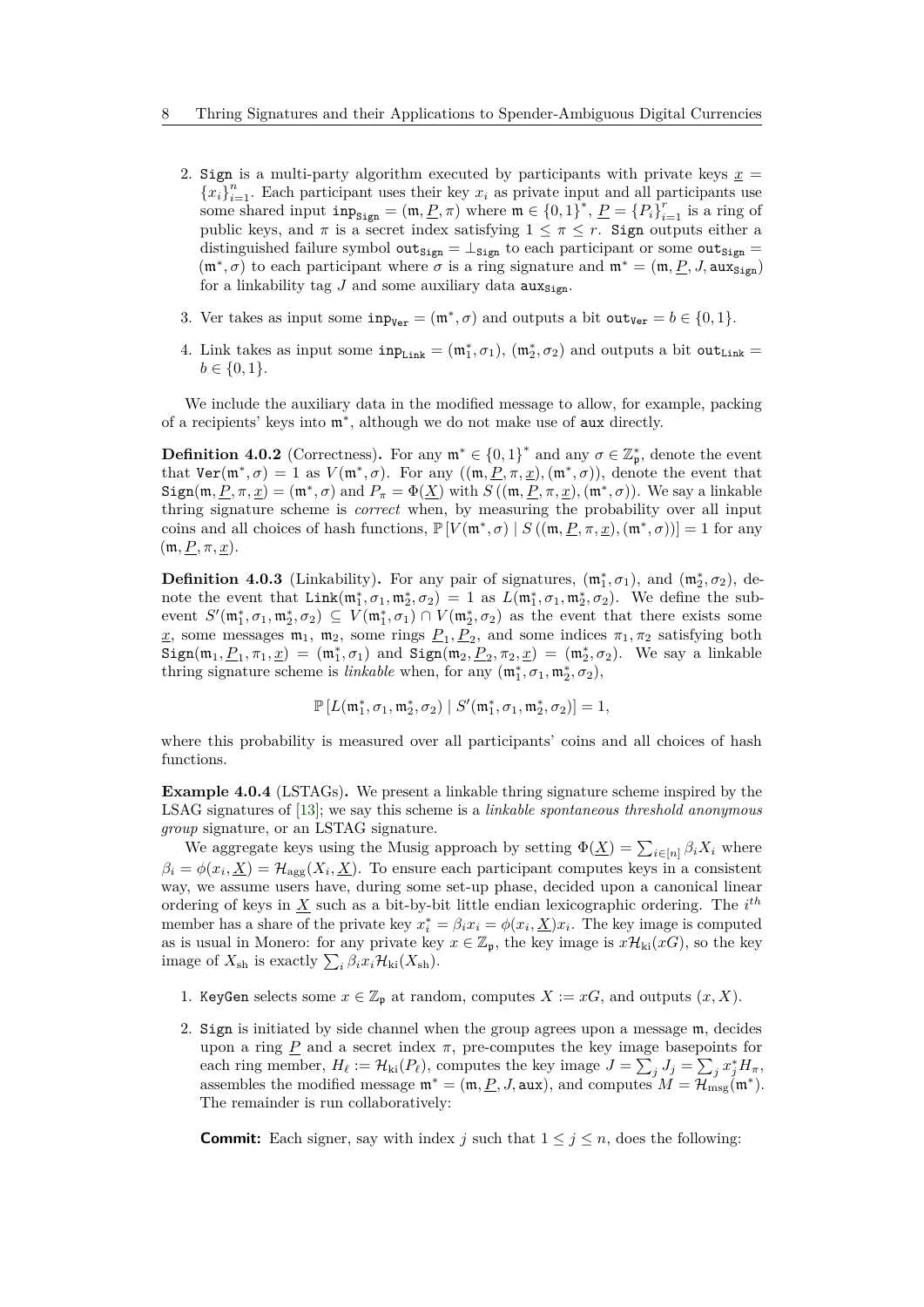- 2. Sign is a multi-party algorithm executed by participants with private keys  $\underline{x}$  =  ${x_i}_{i=1}^n$ . Each participant uses their key  $x_i$  as private input and all participants use some shared input  $\text{inp}_{\text{Sign}} = (\text{m}, \underline{P}, \pi)$  where  $\text{m} \in \{0, 1\}^*$ ,  $\underline{P} = \{P_i\}_{i=1}^r$  is a ring of public keys, and  $\pi$  is a secret index satisfying  $1 \leq \pi \leq r$ . Sign outputs either a distinguished failure symbol  $\text{out}_{\text{Sign}} = \perp_{\text{Sign}}$  to each participant or some  $\text{out}_{\text{Sign}} =$  $(\mathfrak{m}^*, \sigma)$  to each participant where  $\sigma$  is a ring signature and  $\mathfrak{m}^* = (\mathfrak{m}, \underline{P}, J, \text{aux}_{\text{Sign}})$ for a linkability tag  $J$  and some auxiliary data  $\mathbf{aux}_{\text{Sign}}$ .
- 3. Ver takes as input some  $\text{inp}_{\text{Ver}} = (\mathfrak{m}^*, \sigma)$  and outputs a bit  $\text{out}_{\text{Ver}} = b \in \{0, 1\}.$
- 4. Link takes as input some  $\text{inp}_{\text{Link}} = (\mathfrak{m}_1^*, \sigma_1), (\mathfrak{m}_2^*, \sigma_2)$  and outputs a bit out<sub>Link</sub> =  $b \in \{0, 1\}.$

We include the auxiliary data in the modified message to allow, for example, packing of a recipients' keys into m<sup>∗</sup> , although we do not make use of aux directly.

**Definition 4.0.2** (Correctness). For any  $\mathfrak{m}^* \in \{0,1\}^*$  and any  $\sigma \in \mathbb{Z}_{\mathfrak{p}}^*$ , denote the event that  $\text{Ver}(\mathfrak{m}^*, \sigma) = 1$  as  $V(\mathfrak{m}^*, \sigma)$ . For any  $((\mathfrak{m}, \underline{P}, \pi, \underline{x}), (\mathfrak{m}^*, \sigma))$ , denote the event that  $Sign(m, P, \pi, \underline{x}) = (m^*, \sigma)$  and  $P_{\pi} = \Phi(\underline{X})$  with  $S((m, P, \pi, \underline{x}), (m^*, \sigma))$ . We say a linkable thring signature scheme is *correct* when, by measuring the probability over all input coins and all choices of hash functions,  $\mathbb{P}[V(\mathfrak{m}^*, \sigma) \mid S((\mathfrak{m}, \underline{P}, \pi, \underline{x}), (\mathfrak{m}^*, \sigma))] = 1$  for any  $(m, P, \pi, \underline{x})$ .

**Definition 4.0.3** (Linkability). For any pair of signatures,  $(\mathfrak{m}_1^*, \sigma_1)$ , and  $(\mathfrak{m}_2^*, \sigma_2)$ , denote the event that  $\text{Link}(\mathfrak{m}_1^*, \sigma_1, \mathfrak{m}_2^*, \sigma_2) = 1$  as  $L(\mathfrak{m}_1^*, \sigma_1, \mathfrak{m}_2^*, \sigma_2)$ . We define the subevent  $S'(\mathfrak{m}_1^*, \sigma_1, \mathfrak{m}_2^*, \sigma_2) \subseteq V(\mathfrak{m}_1^*, \sigma_1) \cap V(\mathfrak{m}_2^*, \sigma_2)$  as the event that there exists some  $\underline{x}$ , some messages  $\mathfrak{m}_1$ ,  $\mathfrak{m}_2$ , some rings  $\underline{P}_1$ ,  $\underline{P}_2$ , and some indices  $\pi_1$ ,  $\pi_2$  satisfying both  $Sign(m_1, \underline{P}_1, \pi_1, \underline{x}) = (m_1^*, \sigma_1)$  and  $Sign(m_2, \underline{P}_2, \pi_2, \underline{x}) = (m_2^*, \sigma_2)$ . We say a linkable thring signature scheme is *linkable* when, for any  $(\mathfrak{m}_1^*, \sigma_1, \mathfrak{m}_2^*, \sigma_2)$ ,

$$
\mathbb{P}\left[L(\mathfrak{m}^*_1,\sigma_1,\mathfrak{m}^*_2,\sigma_2)\mid S'(\mathfrak{m}^*_1,\sigma_1,\mathfrak{m}^*_2,\sigma_2)\right]=1,
$$

where this probability is measured over all participants' coins and all choices of hash functions.

<span id="page-7-0"></span>**Example 4.0.4** (LSTAGs)**.** We present a linkable thring signature scheme inspired by the LSAG signatures of [\[13\]](#page-13-0); we say this scheme is a *linkable spontaneous threshold anonymous group* signature, or an LSTAG signature.

We aggregate keys using the Musig approach by setting  $\Phi(\underline{X}) = \sum_{i \in [n]} \beta_i X_i$  where  $\beta_i = \phi(x_i, \underline{X}) = \mathcal{H}_{\text{agg}}(X_i, \underline{X})$ . To ensure each participant computes keys in a consistent way, we assume users have, during some set-up phase, decided upon a canonical linear ordering of keys in *X* such as a bit-by-bit little endian lexicographic ordering. The *i th* member has a share of the private key  $x_i^* = \beta_i x_i = \phi(x_i, \underline{X}) x_i$ . The key image is computed as is usual in Monero: for any private key  $x \in \mathbb{Z}_p$ , the key image is  $x\mathcal{H}_{ki}(xG)$ , so the key image of  $X_{\text{sh}}$  is exactly  $\sum_{i} \beta_i x_i \mathcal{H}_{\text{ki}}(X_{\text{sh}})$ .

- 1. KeyGen selects some  $x \in \mathbb{Z}_p$  at random, computes  $X := xG$ , and outputs  $(x, X)$ .
- 2. Sign is initiated by side channel when the group agrees upon a message m, decides upon a ring  $P$  and a secret index  $\pi$ , pre-computes the key image basepoints for each ring member,  $H_{\ell} := \mathcal{H}_{ki}(P_{\ell})$ , computes the key image  $J = \sum_j J_j = \sum_j x_j^* H_{\pi}$ , assembles the modified message  $\mathfrak{m}^* = (\mathfrak{m}, \underline{P}, J, \text{aux})$ , and computes  $M = \mathcal{H}_{\text{msg}}(\mathfrak{m}^*)$ . The remainder is run collaboratively:

**Commit:** Each signer, say with index *j* such that  $1 \leq j \leq n$ , does the following: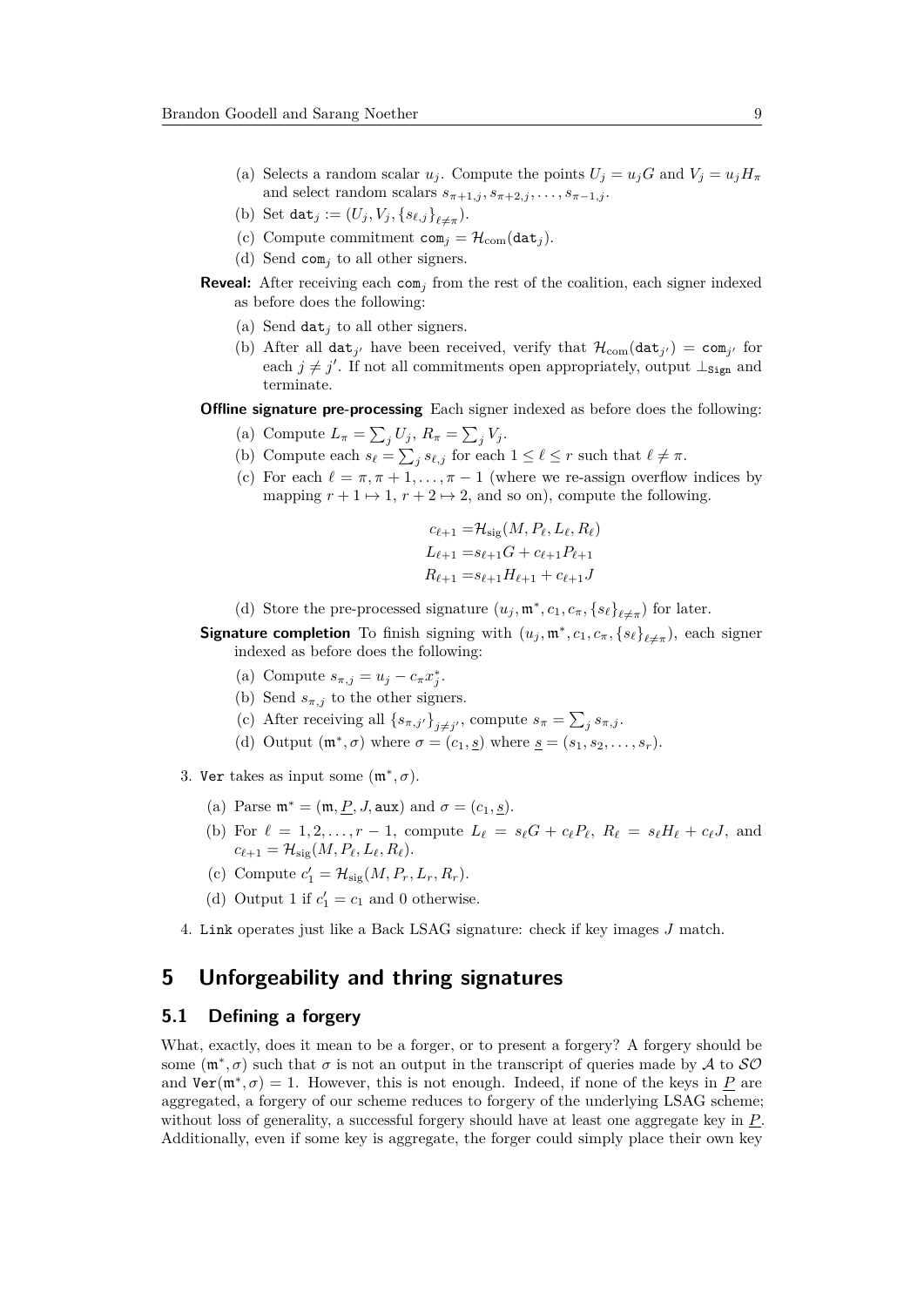- (a) Selects a random scalar  $u_j$ . Compute the points  $U_j = u_j G$  and  $V_j = u_j H_\pi$ and select random scalars  $s_{\pi+1,j}, s_{\pi+2,j}, \ldots, s_{\pi-1,j}$ .
- (b) Set dat<sub>*j*</sub> :=  $(U_j, V_j, \{s_{\ell,j}\}_{\ell \neq \pi})$ .
- (c) Compute commitment  $com_j = \mathcal{H}_{com}(dat_j)$ .
- (d) Send com*<sup>j</sup>* to all other signers.
- **Reveal:** After receiving each  $com<sub>j</sub>$  from the rest of the coalition, each signer indexed as before does the following:
	- (a) Send  $\det_i$  to all other signers.
	- (b) After all  $\text{dat}_{j'}$  have been received, verify that  $\mathcal{H}_{com}(\text{dat}_{j'}) = \text{com}_{j'}$  for each  $j \neq j'$ . If not all commitments open appropriately, output  $\perp_{\text{Sign}}$  and terminate.
- **Offline signature pre-processing** Each signer indexed as before does the following:
	- (a) Compute  $L_{\pi} = \sum_{j} U_j$ ,  $R_{\pi} = \sum_{j} V_j$ .
	- (b) Compute each  $s_\ell = \sum_j s_{\ell,j}$  for each  $1 \leq \ell \leq r$  such that  $\ell \neq \pi$ .
	- (c) For each  $\ell = \pi, \pi + 1, \ldots, \pi 1$  (where we re-assign overflow indices by mapping  $r + 1 \mapsto 1$ ,  $r + 2 \mapsto 2$ , and so on), compute the following.

$$
c_{\ell+1} = \mathcal{H}_{\text{sig}}(M, P_{\ell}, L_{\ell}, R_{\ell})
$$
  
\n
$$
L_{\ell+1} = s_{\ell+1}G + c_{\ell+1}P_{\ell+1}
$$
  
\n
$$
R_{\ell+1} = s_{\ell+1}H_{\ell+1} + c_{\ell+1}J
$$

- (d) Store the pre-processed signature  $(u_j, \mathfrak{m}^*, c_1, c_\pi, \{s_\ell\}_{\ell \neq \pi})$  for later.
- **Signature completion** To finish signing with  $(u_j, \mathfrak{m}^*, c_1, c_\pi, \{s_\ell\}_{\ell \neq \pi})$ , each signer indexed as before does the following:
	- (a) Compute  $s_{\pi,j} = u_j c_{\pi} x_j^*$ .
	- (b) Send  $s_{\pi,j}$  to the other signers.
	- (c) After receiving all  $\{s_{\pi,j'}\}_{j\neq j'}$ , compute  $s_{\pi} = \sum_j s_{\pi,j}$ .
	- (d) Output  $(\mathfrak{m}^*, \sigma)$  where  $\sigma = (c_1, s)$  where  $\underline{s} = (s_1, s_2, \ldots, s_r)$ .
- 3. Ver takes as input some  $(\mathfrak{m}^*, \sigma)$ .
	- (a) Parse  $\mathfrak{m}^* = (\mathfrak{m}, \underline{P}, J, \text{aux})$  and  $\sigma = (c_1, s)$ .
	- (b) For  $\ell = 1, 2, \ldots, r-1$ , compute  $L_{\ell} = s_{\ell}G + c_{\ell}P_{\ell}, R_{\ell} = s_{\ell}H_{\ell} + c_{\ell}J$ , and  $c_{\ell+1} = \mathcal{H}_{\text{sig}}(M, P_{\ell}, L_{\ell}, R_{\ell}).$
	- (c) Compute  $c'_1 = H_{sig}(M, P_r, L_r, R_r)$ .
	- (d) Output 1 if  $c'_1 = c_1$  and 0 otherwise.
- 4. Link operates just like a Back LSAG signature: check if key images *J* match.

# **5 Unforgeability and thring signatures**

#### **5.1 Defining a forgery**

What, exactly, does it mean to be a forger, or to present a forgery? A forgery should be some  $(\mathfrak{m}^*, \sigma)$  such that  $\sigma$  is not an output in the transcript of queries made by A to  $\mathcal{SO}$ and  $\text{Ver}(\mathfrak{m}^*, \sigma) = 1$ . However, this is not enough. Indeed, if none of the keys in <u>P</u> are aggregated, a forgery of our scheme reduces to forgery of the underlying LSAG scheme; without loss of generality, a successful forgery should have at least one aggregate key in *P*. Additionally, even if some key is aggregate, the forger could simply place their own key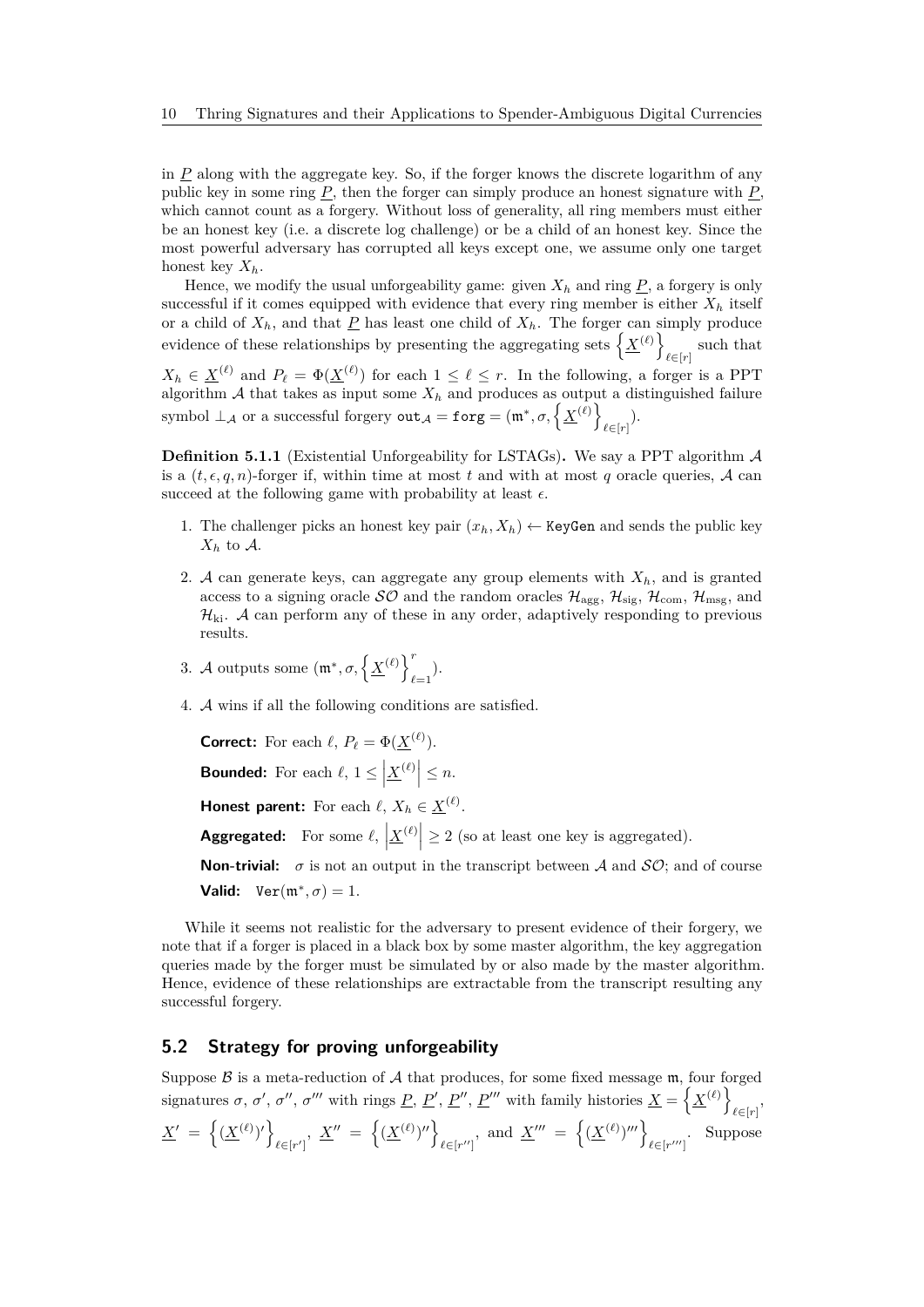in *P* along with the aggregate key. So, if the forger knows the discrete logarithm of any public key in some ring *P*, then the forger can simply produce an honest signature with *P*, which cannot count as a forgery. Without loss of generality, all ring members must either be an honest key (i.e. a discrete log challenge) or be a child of an honest key. Since the most powerful adversary has corrupted all keys except one, we assume only one target honest key *Xh*.

Hence, we modify the usual unforgeability game: given  $X_h$  and ring  $P$ , a forgery is only successful if it comes equipped with evidence that every ring member is either  $X_h$  itself or a child of  $X_h$ , and that  $\underline{P}$  has least one child of  $X_h$ . The forger can simply produce evidence of these relationships by presenting the aggregating sets  $\left\{ \underline{X}^{(\ell)} \right\}$ such that  $\ell \in [r]$  $X_h \in \underline{X}^{(\ell)}$  and  $P_\ell = \Phi(\underline{X}^{(\ell)})$  for each  $1 \leq \ell \leq r$ . In the following, a forger is a PPT algorithm  $A$  that takes as input some  $X_h$  and produces as output a distinguished failure symbol  $\perp_{\mathcal{A}}$  or a successful forgery  $\mathtt{out}_{\mathcal{A}} = \mathtt{forg} = (\mathfrak{m}^*, \sigma, \left\{ \underline{X}^{(\ell)} \right\}$  $_{\ell \in [r]}$ ).

<span id="page-9-0"></span>**Definition 5.1.1** (Existential Unforgeability for LSTAGs). We say a PPT algorithm  $\mathcal{A}$ is a  $(t, \epsilon, q, n)$ -forger if, within time at most t and with at most q oracle queries, A can succeed at the following game with probability at least  $\epsilon$ .

- 1. The challenger picks an honest key pair  $(x_h, X_h) \leftarrow$  KeyGen and sends the public key  $X_h$  to  $A$ *.*
- 2. A can generate keys, can aggregate any group elements with *Xh*, and is granted access to a signing oracle  $\mathcal{SO}$  and the random oracles  $\mathcal{H}_{\text{agg}}, \mathcal{H}_{\text{sig}}, \mathcal{H}_{\text{com}}, \mathcal{H}_{\text{msg}},$  and  $\mathcal{H}_{\text{ki}}$ . A can perform any of these in any order, adaptively responding to previous results.
- 3. *A* outputs some  $(\mathfrak{m}^*, \sigma, \left\{ \underline{X}^{(\ell)} \right\}^r)$  $_{\ell=1}$ ).
- 4. A wins if all the following conditions are satisfied.

**Correct:** For each  $\ell$ ,  $P_{\ell} = \Phi(\underline{X}^{(\ell)})$ . **Bounded:** For each  $\ell$ ,  $1 \leq \left| \underline{X}^{(\ell)} \right| \leq n$ . **Honest parent:** For each  $\ell$ ,  $X_h \in \underline{X}^{(\ell)}$ .

**Aggregated:** For some  $\ell$ ,  $\left| \underline{X}^{(\ell)} \right| \geq 2$  (so at least one key is aggregated).

**Non-trivial:**  $\sigma$  is not an output in the transcript between A and  $SO$ ; and of course **Valid:**  $\text{Ver}(\mathfrak{m}^*, \sigma) = 1.$ 

While it seems not realistic for the adversary to present evidence of their forgery, we note that if a forger is placed in a black box by some master algorithm, the key aggregation queries made by the forger must be simulated by or also made by the master algorithm. Hence, evidence of these relationships are extractable from the transcript resulting any successful forgery.

### **5.2 Strategy for proving unforgeability**

Suppose  $\beta$  is a meta-reduction of  $\mathcal A$  that produces, for some fixed message  $\mathfrak m$ , four forged signatures  $\sigma$ ,  $\sigma'$ ,  $\sigma''$ ,  $\sigma'''$  with rings  $\underline{P}$ ,  $\underline{P}'$ ,  $\underline{P}''$ ,  $\underline{P}'''$  with family histories  $\underline{X} = \{ \underline{X}^{(\ell)} \}$  $\ell \in [r]$ <sup>,</sup>

$$
\underline{X}' = \left\{ (\underline{X}^{(\ell)})' \right\}_{\ell \in [r']} , \ \underline{X}'' = \left\{ (\underline{X}^{(\ell)})'' \right\}_{\ell \in [r'']} , \text{ and } \underline{X}''' = \left\{ (\underline{X}^{(\ell)})''' \right\}_{\ell \in [r''']} . \ \text{ Suppose}
$$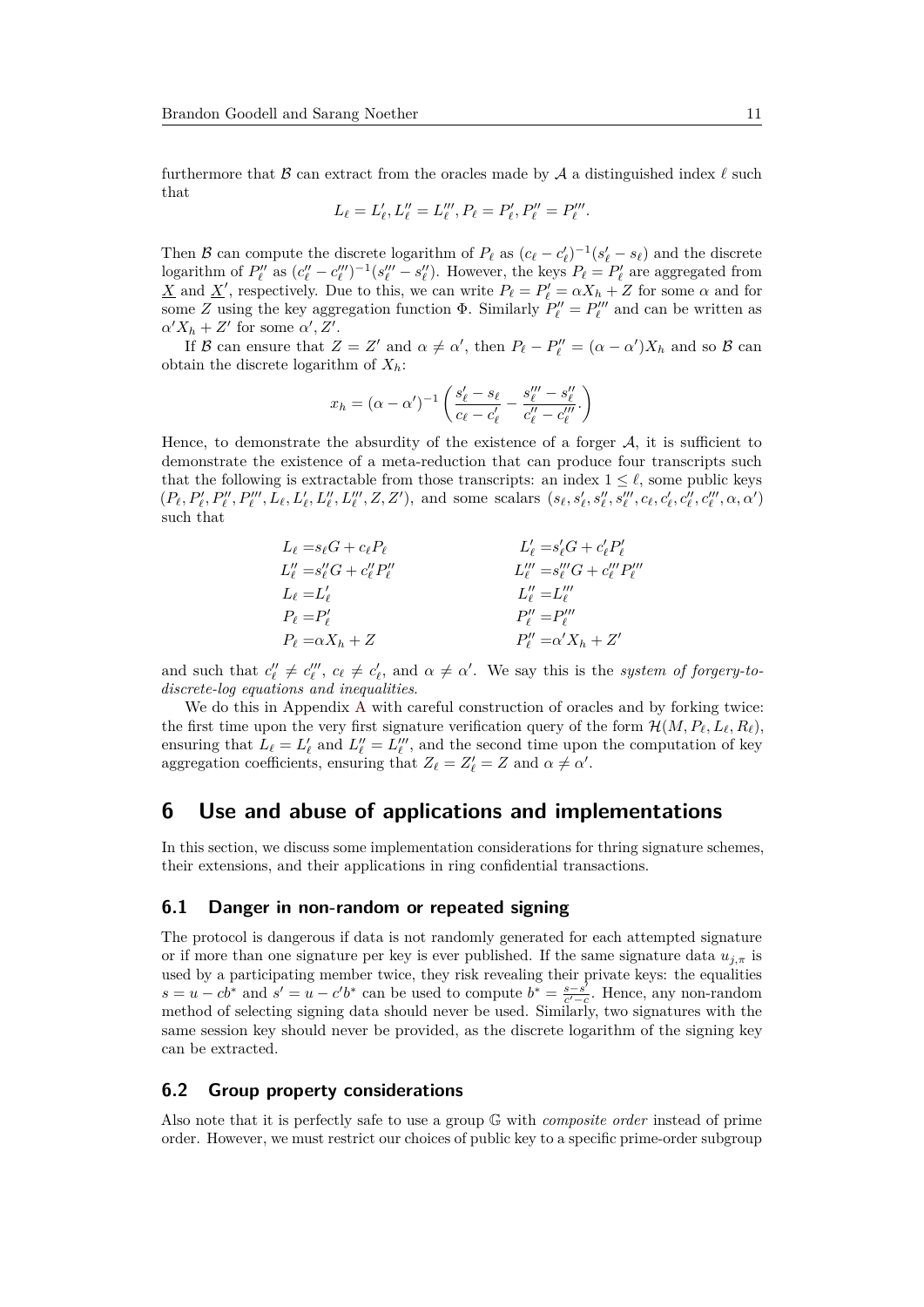furthermore that  $\beta$  can extract from the oracles made by  $\mathcal A$  a distinguished index  $\ell$  such that

$$
L_{\ell} = L'_{\ell}, L''_{\ell} = L'''_{\ell}, P_{\ell} = P'_{\ell}, P''_{\ell} = P'''_{\ell}.
$$

Then B can compute the discrete logarithm of  $P_\ell$  as  $(c_\ell - c'_\ell)^{-1} (s'_\ell - s_\ell)$  and the discrete logarithm of  $P''_{\ell}$  as  $(c''_{\ell} - c'''_{\ell})^{-1}(s'''_{\ell} - s''_{\ell})$ . However, the keys  $P_{\ell} = P'_{\ell}$  are aggregated from *X* and *X*<sup>'</sup>, respectively. Due to this, we can write  $P_\ell = P'_\ell = \alpha X_h + Z$  for some  $\alpha$  and for some *Z* using the key aggregation function  $\Phi$ . Similarly  $P''_l = P''_l$  and can be written as  $\alpha' X_h + Z'$  for some  $\alpha', Z'$ .

If B can ensure that  $Z = Z'$  and  $\alpha \neq \alpha'$ , then  $P_\ell - P''_\ell = (\alpha - \alpha')X_h$  and so B can obtain the discrete logarithm of *Xh*:

$$
x_h = (\alpha - \alpha')^{-1} \left( \frac{s'_\ell - s_\ell}{c_\ell - c'_\ell} - \frac{s'''_\ell - s''_\ell}{c''_\ell - c'''_\ell} \right)
$$

Hence, to demonstrate the absurdity of the existence of a forger  $A$ , it is sufficient to demonstrate the existence of a meta-reduction that can produce four transcripts such that the following is extractable from those transcripts: an index  $1 \leq \ell$ , some public keys  $(P_{\ell}, P_{\ell}', P_{\ell}'', P_{\ell}''', L_{\ell}, L_{\ell}', L_{\ell}'', L_{\ell}''', Z, Z'),$  and some scalars  $(s_{\ell}, s_{\ell}', s_{\ell}'', s_{\ell}'', c_{\ell}, c_{\ell}', c_{\ell}'', c_{\ell}''', \alpha, \alpha')$ such that

$$
L_{\ell} = s_{\ell}G + c_{\ell}P_{\ell}
$$
  
\n
$$
L'_{\ell} = s'_{\ell}G + c'_{\ell}P'_{\ell}
$$
  
\n
$$
L''_{\ell} = s''_{\ell}G + c''_{\ell}P''_{\ell}
$$
  
\n
$$
L'_{\ell} = s''_{\ell}G + c''_{\ell}P''_{\ell}
$$
  
\n
$$
L''_{\ell} = s''_{\ell}G + c''_{\ell}P''_{\ell}
$$
  
\n
$$
L''_{\ell} = s''_{\ell}G + c''_{\ell}P''_{\ell}
$$
  
\n
$$
L''_{\ell} = s''_{\ell}G + c''_{\ell}P''_{\ell}
$$
  
\n
$$
L''_{\ell} = s''_{\ell}G + c''_{\ell}P''_{\ell}
$$
  
\n
$$
L''_{\ell} = s''_{\ell}G + c''_{\ell}P''_{\ell}
$$
  
\n
$$
L''_{\ell} = s''_{\ell}G + c''_{\ell}P'_{\ell}
$$
  
\n
$$
L''_{\ell} = s''_{\ell}G + c''_{\ell}P'_{\ell}
$$

and such that  $c''_l \neq c''_l$ ,  $c_\ell \neq c'_\ell$ , and  $\alpha \neq \alpha'$ . We say this is the *system of forgery-todiscrete-log equations and inequalities*.

We do this in [A](#page-14-6)ppendix A with careful construction of oracles and by forking twice: the first time upon the very first signature verification query of the form  $\mathcal{H}(M, P_\ell, L_\ell, R_\ell)$ , ensuring that  $L_{\ell} = L'_{\ell}$  and  $L''_{\ell} = L''_{\ell}$ , and the second time upon the computation of key aggregation coefficients, ensuring that  $Z_{\ell} = Z'_{\ell} = Z$  and  $\alpha \neq \alpha'$ .

# **6 Use and abuse of applications and implementations**

In this section, we discuss some implementation considerations for thring signature schemes, their extensions, and their applications in ring confidential transactions.

#### **6.1 Danger in non-random or repeated signing**

The protocol is dangerous if data is not randomly generated for each attempted signature or if more than one signature per key is ever published. If the same signature data  $u_{j,\pi}$  is used by a participating member twice, they risk revealing their private keys: the equalities  $s = u - cb^*$  and  $s' = u - c'b^*$  can be used to compute  $b^* = \frac{s - s^*}{c' - c}$  $\frac{s-s'}{c'-c}$ . Hence, any non-random method of selecting signing data should never be used. Similarly, two signatures with the same session key should never be provided, as the discrete logarithm of the signing key can be extracted.

#### **6.2 Group property considerations**

Also note that it is perfectly safe to use a group G with *composite order* instead of prime order. However, we must restrict our choices of public key to a specific prime-order subgroup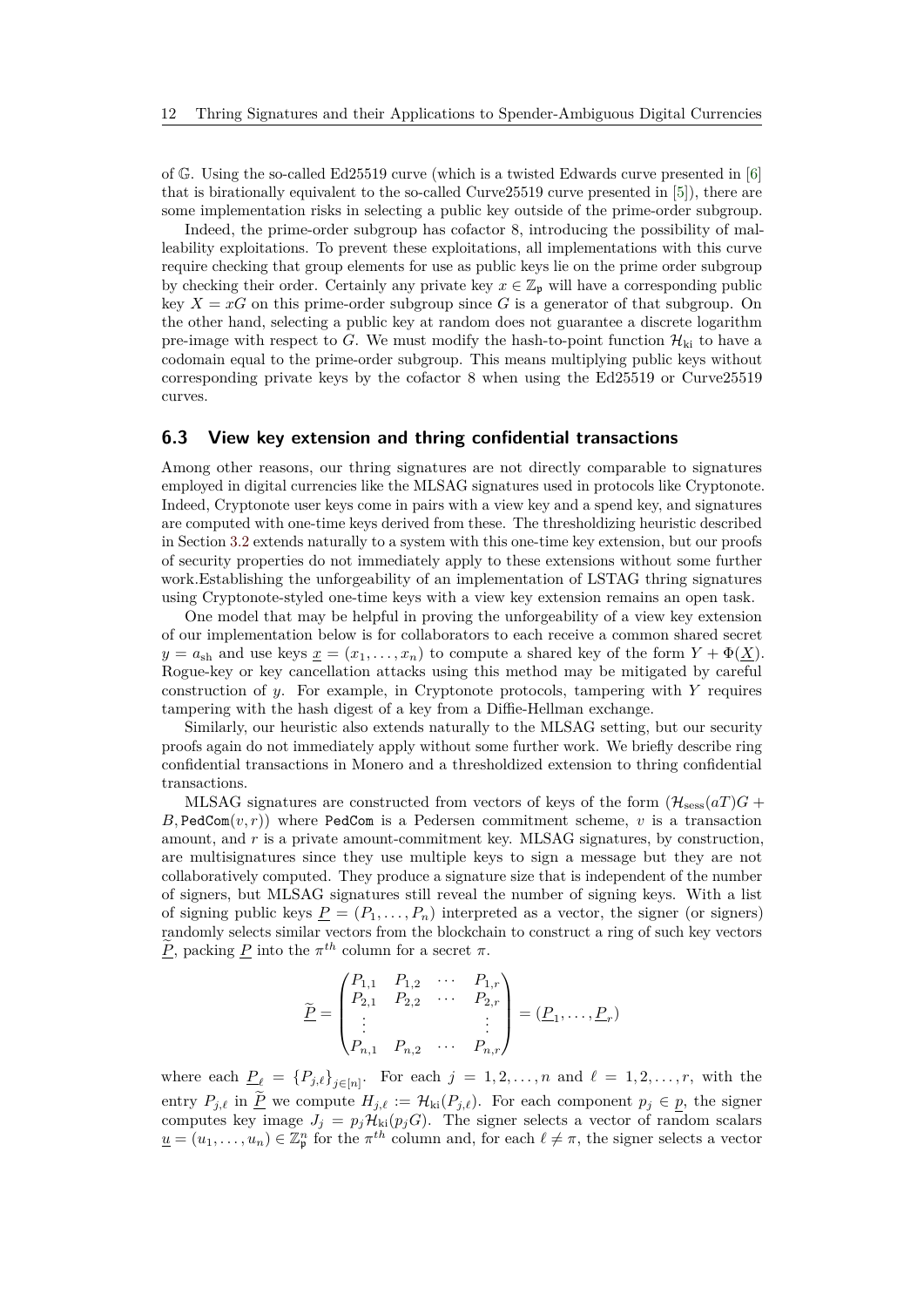of G. Using the so-called Ed25519 curve (which is a twisted Edwards curve presented in [\[6\]](#page-13-10) that is birationally equivalent to the so-called Curve25519 curve presented in [\[5\]](#page-13-11)), there are some implementation risks in selecting a public key outside of the prime-order subgroup.

Indeed, the prime-order subgroup has cofactor 8, introducing the possibility of malleability exploitations. To prevent these exploitations, all implementations with this curve require checking that group elements for use as public keys lie on the prime order subgroup by checking their order. Certainly any private key  $x \in \mathbb{Z}_p$  will have a corresponding public key  $X = xG$  on this prime-order subgroup since G is a generator of that subgroup. On the other hand, selecting a public key at random does not guarantee a discrete logarithm pre-image with respect to *G*. We must modify the hash-to-point function  $\mathcal{H}_{ki}$  to have a codomain equal to the prime-order subgroup. This means multiplying public keys without corresponding private keys by the cofactor 8 when using the Ed25519 or Curve25519 curves.

# **6.3 View key extension and thring confidential transactions**

Among other reasons, our thring signatures are not directly comparable to signatures employed in digital currencies like the MLSAG signatures used in protocols like Cryptonote. Indeed, Cryptonote user keys come in pairs with a view key and a spend key, and signatures are computed with one-time keys derived from these. The thresholdizing heuristic described in Section [3.2](#page-5-0) extends naturally to a system with this one-time key extension, but our proofs of security properties do not immediately apply to these extensions without some further work.Establishing the unforgeability of an implementation of LSTAG thring signatures using Cryptonote-styled one-time keys with a view key extension remains an open task.

One model that may be helpful in proving the unforgeability of a view key extension of our implementation below is for collaborators to each receive a common shared secret  $y = a_{\text{sh}}$  and use keys  $\underline{x} = (x_1, \ldots, x_n)$  to compute a shared key of the form  $Y + \Phi(\underline{X})$ . Rogue-key or key cancellation attacks using this method may be mitigated by careful construction of *y*. For example, in Cryptonote protocols, tampering with *Y* requires tampering with the hash digest of a key from a Diffie-Hellman exchange.

Similarly, our heuristic also extends naturally to the MLSAG setting, but our security proofs again do not immediately apply without some further work. We briefly describe ring confidential transactions in Monero and a thresholdized extension to thring confidential transactions.

MLSAG signatures are constructed from vectors of keys of the form  $(\mathcal{H}_{\text{sess}}(aT)G +$  $B$ , PedCom $(v, r)$ ) where PedCom is a Pedersen commitment scheme, *v* is a transaction amount, and *r* is a private amount-commitment key. MLSAG signatures, by construction, are multisignatures since they use multiple keys to sign a message but they are not collaboratively computed. They produce a signature size that is independent of the number of signers, but MLSAG signatures still reveal the number of signing keys. With a list of signing public keys  $P = (P_1, \ldots, P_n)$  interpreted as a vector, the signer (or signers) randomly selects similar vectors from the blockchain to construct a ring of such key vectors  $\tilde{P}_p$ , packing  $P$  into the  $\pi^{th}$  column for a secret  $\pi$ .

$$
\widetilde{\underline{P}} = \begin{pmatrix} P_{1,1} & P_{1,2} & \cdots & P_{1,r} \\ P_{2,1} & P_{2,2} & \cdots & P_{2,r} \\ \vdots & & & \vdots \\ P_{n,1} & P_{n,2} & \cdots & P_{n,r} \end{pmatrix} = (\underline{P}_1, \ldots, \underline{P}_r)
$$

where each  $\underline{P}_\ell = \{P_{j,\ell}\}_{j \in [n]}$ . For each  $j = 1, 2, \ldots, n$  and  $\ell = 1, 2, \ldots, r$ , with the entry  $P_{j,\ell}$  in  $\underline{P}$  we compute  $H_{j,\ell} := \mathcal{H}_{ki}(P_{j,\ell})$ . For each component  $p_j \in \underline{p}$ , the signer computes key image  $J_j = p_j \mathcal{H}_{ki}(p_j G)$ . The signer selects a vector of random scalars  $\underline{u} = (u_1, \ldots, u_n) \in \mathbb{Z}_p^n$  for the  $\pi^{th}$  column and, for each  $\ell \neq \pi$ , the signer selects a vector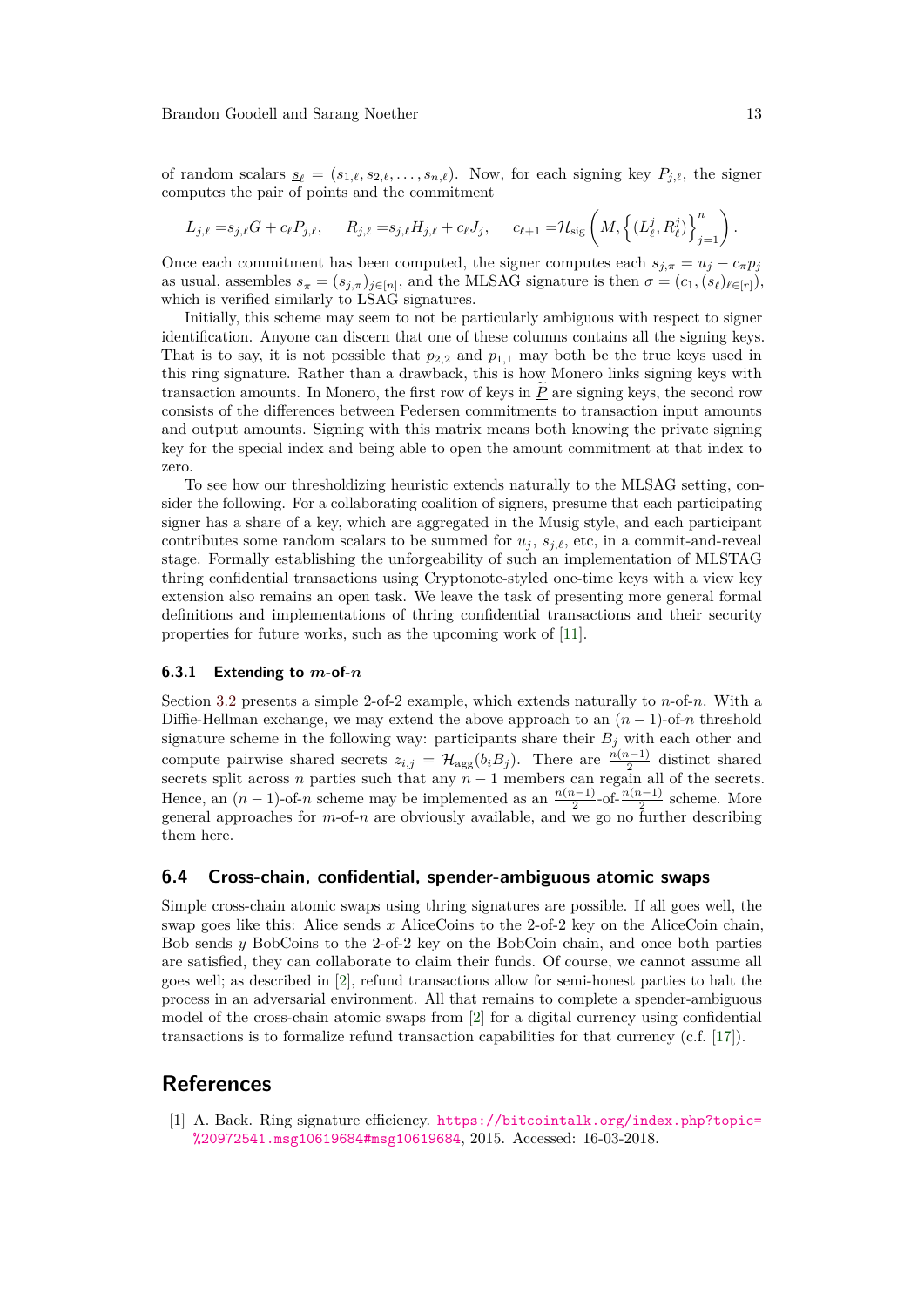of random scalars  $\underline{s}_{\ell} = (s_{1,\ell}, s_{2,\ell}, \ldots, s_{n,\ell})$ . Now, for each signing key  $P_{j,\ell}$ , the signer computes the pair of points and the commitment

$$
L_{j,\ell} = s_{j,\ell}G + c_{\ell}P_{j,\ell}, \qquad R_{j,\ell} = s_{j,\ell}H_{j,\ell} + c_{\ell}J_j, \qquad c_{\ell+1} = \mathcal{H}_{\text{sig}}\left(M, \left\{ (L_{\ell}^j, R_{\ell}^j) \right\}_{j=1}^n \right).
$$

Once each commitment has been computed, the signer computes each  $s_{i,\pi} = u_i - c_{\pi} p_i$ as usual, assembles  $s_{\pi} = (s_{j,\pi})_{j \in [n]}$ , and the MLSAG signature is then  $\sigma = (c_1, (s_\ell)_{\ell \in [r]})$ , which is verified similarly to LSAG signatures.

Initially, this scheme may seem to not be particularly ambiguous with respect to signer identification. Anyone can discern that one of these columns contains all the signing keys. That is to say, it is not possible that  $p_{2,2}$  and  $p_{1,1}$  may both be the true keys used in this ring signature. Rather than a drawback, this is how Monero links signing keys with transaction amounts. In Monero, the first row of keys in  $P$  are signing keys, the second row consists of the differences between Pedersen commitments to transaction input amounts and output amounts. Signing with this matrix means both knowing the private signing key for the special index and being able to open the amount commitment at that index to zero.

To see how our thresholdizing heuristic extends naturally to the MLSAG setting, consider the following. For a collaborating coalition of signers, presume that each participating signer has a share of a key, which are aggregated in the Musig style, and each participant contributes some random scalars to be summed for  $u_j$ ,  $s_{i,\ell}$ , etc, in a commit-and-reveal stage. Formally establishing the unforgeability of such an implementation of MLSTAG thring confidential transactions using Cryptonote-styled one-time keys with a view key extension also remains an open task. We leave the task of presenting more general formal definitions and implementations of thring confidential transactions and their security properties for future works, such as the upcoming work of [\[11\]](#page-13-9).

#### **6.3.1 Extending to** *m***-of-***n*

Section [3.2](#page-5-0) presents a simple 2-of-2 example, which extends naturally to *n*-of-*n*. With a Diffie-Hellman exchange, we may extend the above approach to an  $(n-1)$ -of-*n* threshold signature scheme in the following way: participants share their  $B_j$  with each other and compute pairwise shared secrets  $z_{i,j} = \mathcal{H}_{\text{agg}}(b_i B_j)$ . There are  $\frac{n(n-1)}{2}$  distinct shared secrets split across *n* parties such that any  $n-1$  members can regain all of the secrets. Hence, an  $(n-1)$ -of-*n* scheme may be implemented as an  $\frac{n(n-1)}{2}$ -of- $\frac{n(n-1)}{2}$  scheme. More general approaches for *m*-of-*n* are obviously available, and we go no further describing them here.

#### **6.4 Cross-chain, confidential, spender-ambiguous atomic swaps**

Simple cross-chain atomic swaps using thring signatures are possible. If all goes well, the swap goes like this: Alice sends *x* AliceCoins to the 2-of-2 key on the AliceCoin chain, Bob sends *y* BobCoins to the 2-of-2 key on the BobCoin chain, and once both parties are satisfied, they can collaborate to claim their funds. Of course, we cannot assume all goes well; as described in [\[2\]](#page-13-12), refund transactions allow for semi-honest parties to halt the process in an adversarial environment. All that remains to complete a spender-ambiguous model of the cross-chain atomic swaps from [\[2\]](#page-13-12) for a digital currency using confidential transactions is to formalize refund transaction capabilities for that currency (c.f. [\[17\]](#page-14-8)).

## **References**

<span id="page-12-0"></span>[1] A. Back. Ring signature efficiency. [https://bitcointalk.org/index.php?topic=](https://bitcointalk.org/index.php?topic=%20972541.msg10619684#msg10619684) [%20972541.msg10619684#msg10619684](https://bitcointalk.org/index.php?topic=%20972541.msg10619684#msg10619684), 2015. Accessed: 16-03-2018.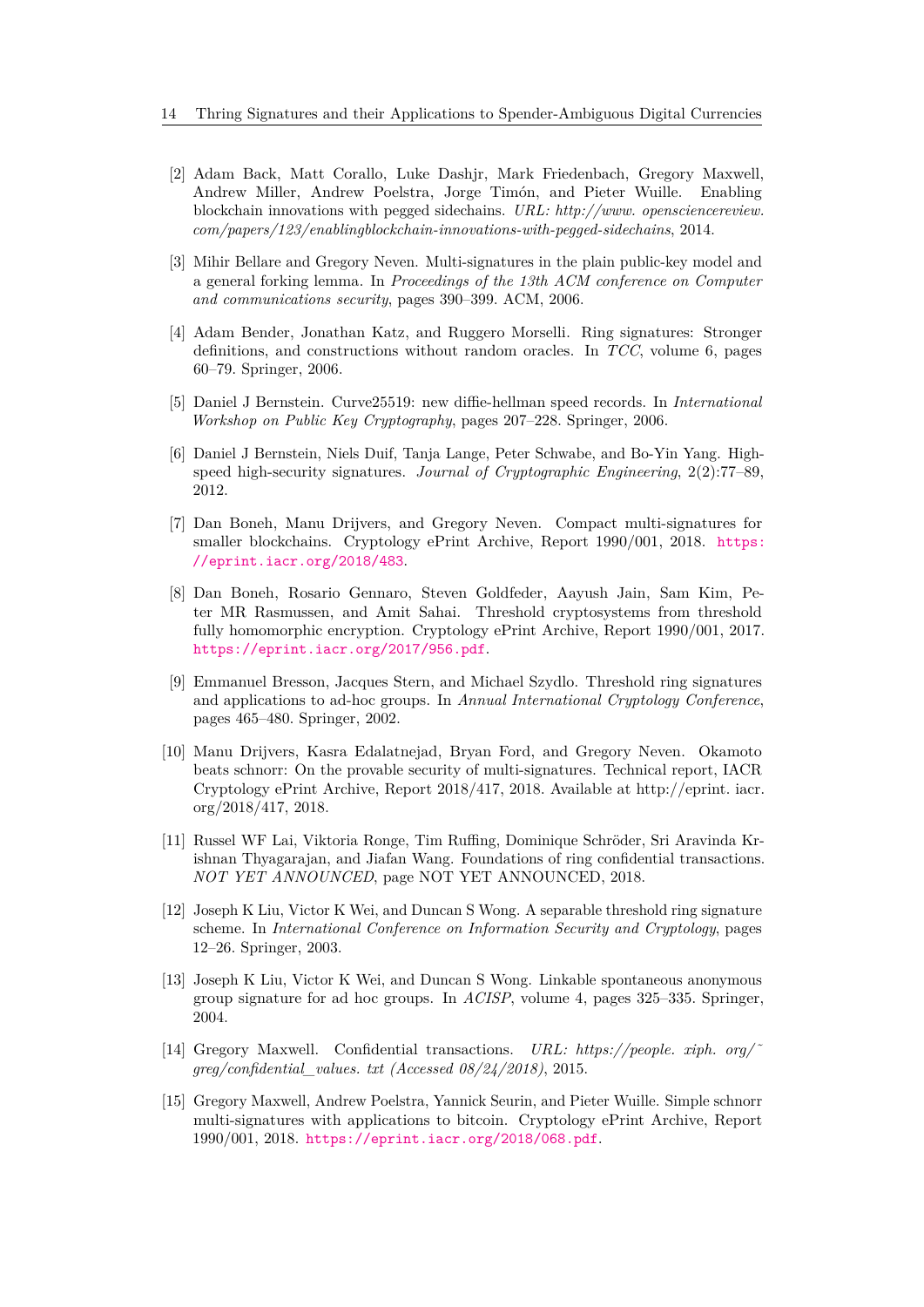- <span id="page-13-12"></span>[2] Adam Back, Matt Corallo, Luke Dashjr, Mark Friedenbach, Gregory Maxwell, Andrew Miller, Andrew Poelstra, Jorge Timón, and Pieter Wuille. Enabling blockchain innovations with pegged sidechains. *URL: http://www. opensciencereview. com/papers/123/enablingblockchain-innovations-with-pegged-sidechains*, 2014.
- <span id="page-13-6"></span>[3] Mihir Bellare and Gregory Neven. Multi-signatures in the plain public-key model and a general forking lemma. In *Proceedings of the 13th ACM conference on Computer and communications security*, pages 390–399. ACM, 2006.
- <span id="page-13-13"></span>[4] Adam Bender, Jonathan Katz, and Ruggero Morselli. Ring signatures: Stronger definitions, and constructions without random oracles. In *TCC*, volume 6, pages 60–79. Springer, 2006.
- <span id="page-13-11"></span>[5] Daniel J Bernstein. Curve25519: new diffie-hellman speed records. In *International Workshop on Public Key Cryptography*, pages 207–228. Springer, 2006.
- <span id="page-13-10"></span>[6] Daniel J Bernstein, Niels Duif, Tanja Lange, Peter Schwabe, and Bo-Yin Yang. Highspeed high-security signatures. *Journal of Cryptographic Engineering*, 2(2):77–89, 2012.
- <span id="page-13-8"></span>[7] Dan Boneh, Manu Drijvers, and Gregory Neven. Compact multi-signatures for smaller blockchains. Cryptology ePrint Archive, Report 1990/001, 2018. [https:](https://eprint.iacr.org/2018/483) [//eprint.iacr.org/2018/483](https://eprint.iacr.org/2018/483).
- <span id="page-13-7"></span>[8] Dan Boneh, Rosario Gennaro, Steven Goldfeder, Aayush Jain, Sam Kim, Peter MR Rasmussen, and Amit Sahai. Threshold cryptosystems from threshold fully homomorphic encryption. Cryptology ePrint Archive, Report 1990/001, 2017. <https://eprint.iacr.org/2017/956.pdf>.
- <span id="page-13-4"></span>[9] Emmanuel Bresson, Jacques Stern, and Michael Szydlo. Threshold ring signatures and applications to ad-hoc groups. In *Annual International Cryptology Conference*, pages 465–480. Springer, 2002.
- <span id="page-13-3"></span>[10] Manu Drijvers, Kasra Edalatnejad, Bryan Ford, and Gregory Neven. Okamoto beats schnorr: On the provable security of multi-signatures. Technical report, IACR Cryptology ePrint Archive, Report 2018/417, 2018. Available at http://eprint. iacr. org/2018/417, 2018.
- <span id="page-13-9"></span>[11] Russel WF Lai, Viktoria Ronge, Tim Ruffing, Dominique Schröder, Sri Aravinda Krishnan Thyagarajan, and Jiafan Wang. Foundations of ring confidential transactions. *NOT YET ANNOUNCED*, page NOT YET ANNOUNCED, 2018.
- <span id="page-13-5"></span>[12] Joseph K Liu, Victor K Wei, and Duncan S Wong. A separable threshold ring signature scheme. In *International Conference on Information Security and Cryptology*, pages 12–26. Springer, 2003.
- <span id="page-13-0"></span>[13] Joseph K Liu, Victor K Wei, and Duncan S Wong. Linkable spontaneous anonymous group signature for ad hoc groups. In *ACISP*, volume 4, pages 325–335. Springer, 2004.
- <span id="page-13-1"></span>[14] Gregory Maxwell. Confidential transactions. *URL: https://people. xiph. org/˜ greg/confidential\_values. txt (Accessed 08/24/2018)*, 2015.
- <span id="page-13-2"></span>[15] Gregory Maxwell, Andrew Poelstra, Yannick Seurin, and Pieter Wuille. Simple schnorr multi-signatures with applications to bitcoin. Cryptology ePrint Archive, Report 1990/001, 2018. <https://eprint.iacr.org/2018/068.pdf>.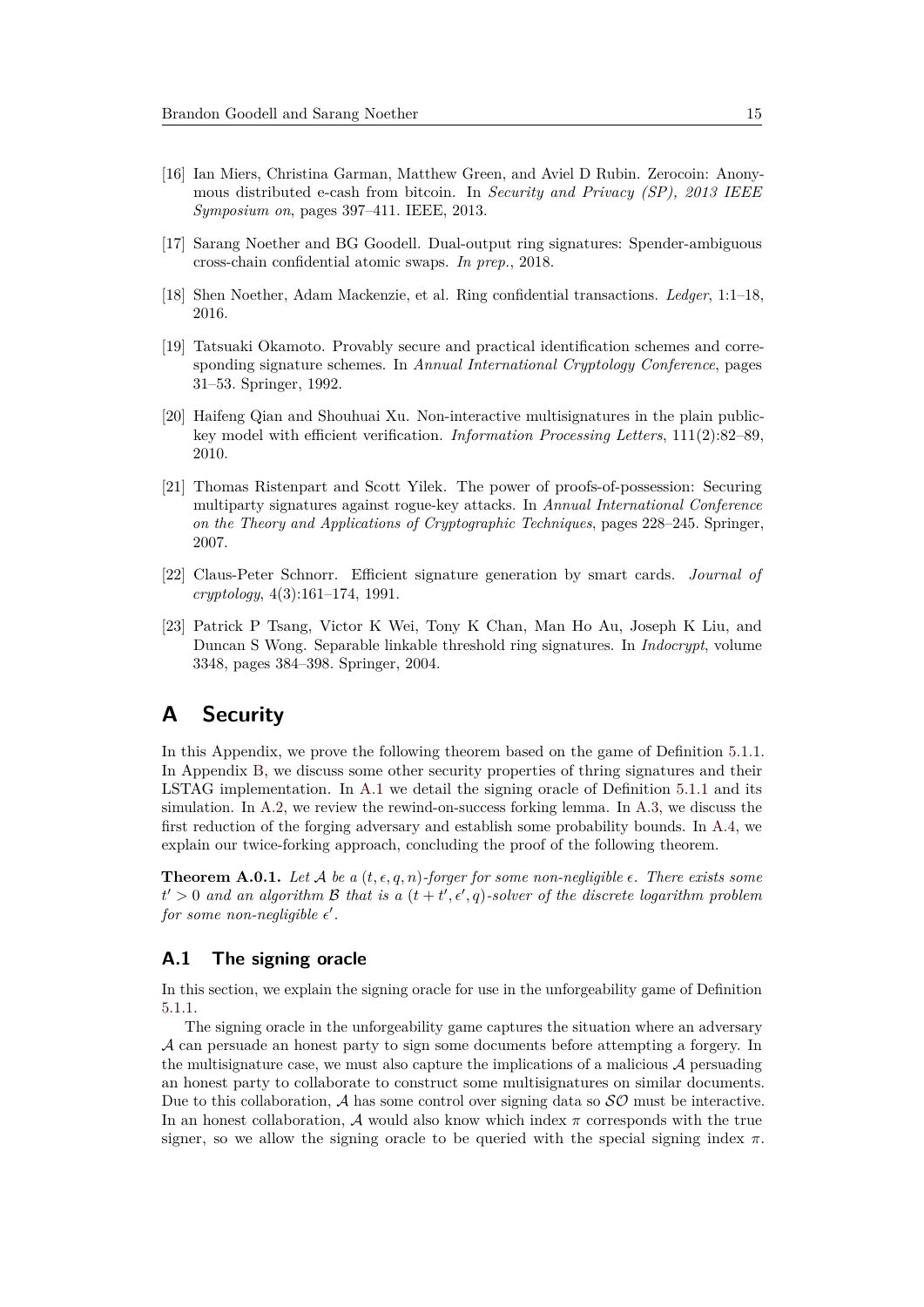- <span id="page-14-4"></span>[16] Ian Miers, Christina Garman, Matthew Green, and Aviel D Rubin. Zerocoin: Anonymous distributed e-cash from bitcoin. In *Security and Privacy (SP), 2013 IEEE Symposium on*, pages 397–411. IEEE, 2013.
- <span id="page-14-8"></span>[17] Sarang Noether and BG Goodell. Dual-output ring signatures: Spender-ambiguous cross-chain confidential atomic swaps. *In prep.*, 2018.
- <span id="page-14-1"></span>[18] Shen Noether, Adam Mackenzie, et al. Ring confidential transactions. *Ledger*, 1:1–18, 2016.
- <span id="page-14-3"></span>[19] Tatsuaki Okamoto. Provably secure and practical identification schemes and corresponding signature schemes. In *Annual International Cryptology Conference*, pages 31–53. Springer, 1992.
- <span id="page-14-0"></span>[20] Haifeng Qian and Shouhuai Xu. Non-interactive multisignatures in the plain publickey model with efficient verification. *Information Processing Letters*, 111(2):82–89, 2010.
- <span id="page-14-7"></span>[21] Thomas Ristenpart and Scott Yilek. The power of proofs-of-possession: Securing multiparty signatures against rogue-key attacks. In *Annual International Conference on the Theory and Applications of Cryptographic Techniques*, pages 228–245. Springer, 2007.
- <span id="page-14-2"></span>[22] Claus-Peter Schnorr. Efficient signature generation by smart cards. *Journal of cryptology*, 4(3):161–174, 1991.
- <span id="page-14-5"></span>[23] Patrick P Tsang, Victor K Wei, Tony K Chan, Man Ho Au, Joseph K Liu, and Duncan S Wong. Separable linkable threshold ring signatures. In *Indocrypt*, volume 3348, pages 384–398. Springer, 2004.

# <span id="page-14-6"></span>**A Security**

In this Appendix, we prove the following theorem based on the game of Definition [5.1.1.](#page-9-0) In Appendix [B,](#page-25-0) we discuss some other security properties of thring signatures and their LSTAG implementation. In [A.1](#page-14-9) we detail the signing oracle of Definition [5.1.1](#page-9-0) and its simulation. In [A.2,](#page-15-0) we review the rewind-on-success forking lemma. In [A.3,](#page-16-0) we discuss the first reduction of the forging adversary and establish some probability bounds. In [A.4,](#page-22-0) we explain our twice-forking approach, concluding the proof of the following theorem.

**Theorem A.0.1.** Let A be a  $(t, \epsilon, q, n)$ -forger for some non-negligible  $\epsilon$ . There exists some  $t' > 0$  *and an algorithm* B *that is a*  $(t + t', \epsilon', q)$ *-solver of the discrete logarithm problem* for some non-negligible  $\epsilon'$ .

### <span id="page-14-9"></span>**A.1 The signing oracle**

In this section, we explain the signing oracle for use in the unforgeability game of Definition [5.1.1.](#page-9-0)

The signing oracle in the unforgeability game captures the situation where an adversary A can persuade an honest party to sign some documents before attempting a forgery. In the multisignature case, we must also capture the implications of a malicious  $A$  persuading an honest party to collaborate to construct some multisignatures on similar documents. Due to this collaboration,  $A$  has some control over signing data so  $\mathcal{SO}$  must be interactive. In an honest collaboration, A would also know which index *π* corresponds with the true signer, so we allow the signing oracle to be queried with the special signing index  $\pi$ .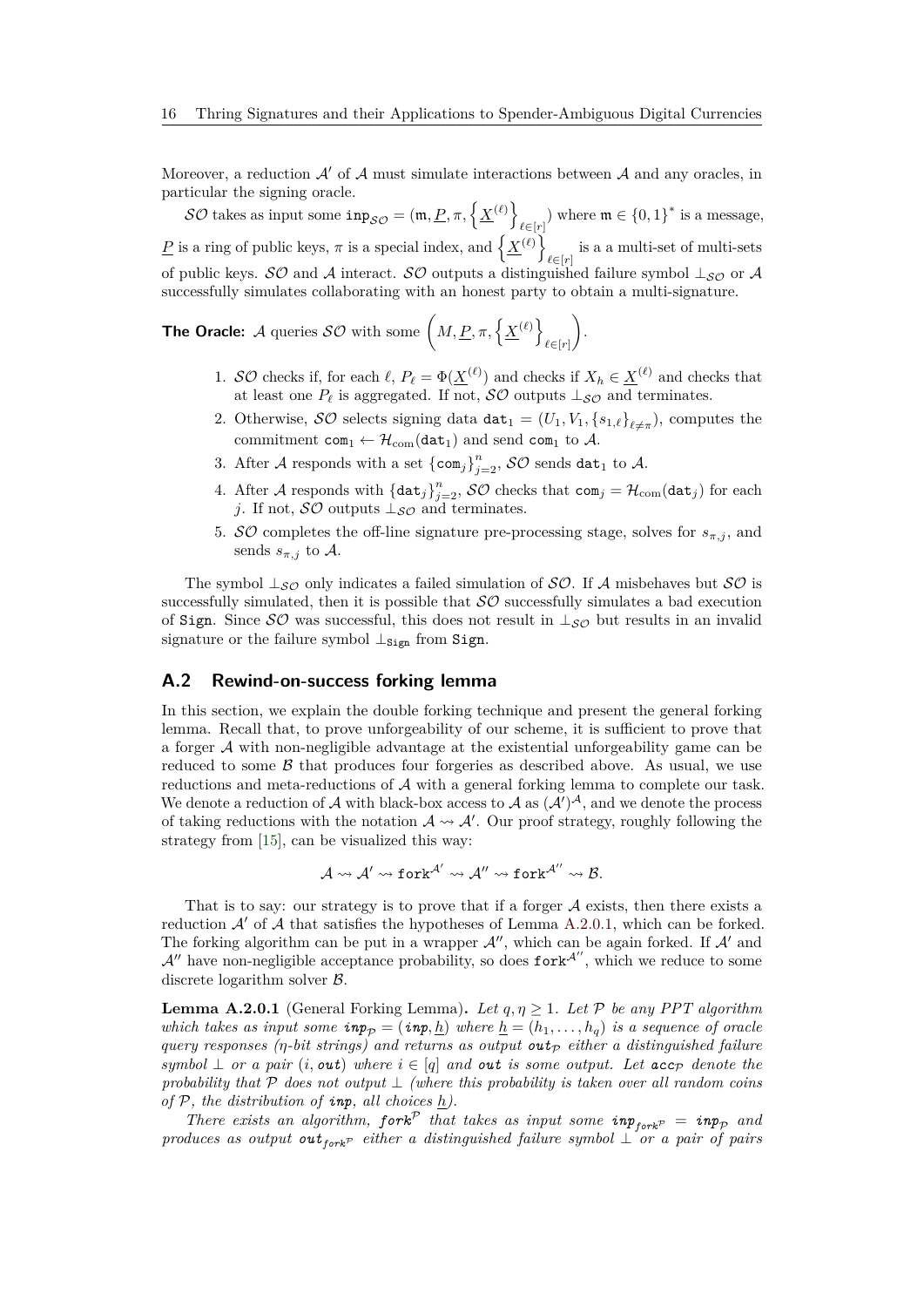Moreover, a reduction  $\mathcal{A}'$  of  $\mathcal{A}$  must simulate interactions between  $\mathcal{A}$  and any oracles, in particular the signing oracle.

 $\mathcal{SO}\text{ takes as input some } \text{inp}_{\mathcal{SO}} = (\mathfrak{m}, \underline{P}, \pi, \left\{ \underline{X}^{(\ell)} \right\}$  $\ell \in [r]$  where  $\mathfrak{m} \in \{0,1\}^*$  is a message, *P* is a ring of public keys,  $\pi$  is a special index, and  $\left\{ \underline{X}^{(\ell)} \right\}$ is a a multi-set of multi-sets  $\ell \in [r]$ of public keys. SO and A interact. SO outputs a distinguished failure symbol  $\perp_{\mathcal{SO}}$  or A successfully simulates collaborating with an honest party to obtain a multi-signature.

**The Oracle:** A queries  $\mathcal{SO}$  with some  $\left(M, \underline{P}, \pi, \left\{\underline{X}^{(\ell)}\right\}\right)$ *`*∈[*r*] .

- 1. SO checks if, for each  $\ell$ ,  $P_{\ell} = \Phi(\underline{X}^{(\ell)})$  and checks if  $X_h \in \underline{X}^{(\ell)}$  and checks that at least one  $P_\ell$  is aggregated. If not,  $\mathcal{SO}$  outputs  $\perp_{\mathcal{SO}}$  and terminates.
- <span id="page-15-2"></span>2. Otherwise,  $\mathcal{SO}$  selects signing data  $\text{dat}_1 = (U_1, V_1, \{s_{1,\ell}\}_{\ell \neq \pi})$ , computes the commitment  $com_1 \leftarrow \mathcal{H}_{com}(dat_1)$  and send com<sub>1</sub> to  $\mathcal{A}$ .
- 3. After  $\mathcal A$  responds with a set  $\{\mathsf{com}_j\}_{j=2}^n$ ,  $\mathcal {SO}$  sends  $\mathtt{dat}_1$  to  $\mathcal A$ .
- 4. After A responds with  $\{\text{dat}_j\}_{j=2}^n$ ,  $\mathcal{SO}$  checks that  $\text{com}_j = \mathcal{H}_{\text{com}}(\text{dat}_j)$  for each *j*. If not,  $\mathcal{SO}$  outputs  $\perp_{\mathcal{SO}}$  and terminates.
- 5. *SO* completes the off-line signature pre-processing stage, solves for  $s_{\pi,j}$ , and sends  $s_{\pi,j}$  to A.

The symbol  $\perp_{\mathcal{SO}}$  only indicates a failed simulation of  $\mathcal{SO}$ . If A misbehaves but  $\mathcal{SO}$  is successfully simulated, then it is possible that  $SO$  successfully simulates a bad execution of Sign. Since  $\mathcal{SO}$  was successful, this does not result in  $\perp_{\mathcal{SO}}$  but results in an invalid signature or the failure symbol  $\perp$ <sub>Sign</sub> from Sign.

#### <span id="page-15-0"></span>**A.2 Rewind-on-success forking lemma**

In this section, we explain the double forking technique and present the general forking lemma. Recall that, to prove unforgeability of our scheme, it is sufficient to prove that a forger A with non-negligible advantage at the existential unforgeability game can be reduced to some  $\beta$  that produces four forgeries as described above. As usual, we use reductions and meta-reductions of A with a general forking lemma to complete our task. We denote a reduction of A with black-box access to A as  $(\mathcal{A}')^{\mathcal{A}}$ , and we denote the process of taking reductions with the notation  $A \rightarrow A'$ . Our proof strategy, roughly following the strategy from [\[15\]](#page-13-2), can be visualized this way:

$$
\mathcal{A} \rightsquigarrow \mathcal{A}' \rightsquigarrow \texttt{fork}^{\mathcal{A}'} \rightsquigarrow \mathcal{A}'' \rightsquigarrow \texttt{fork}^{\mathcal{A}''} \rightsquigarrow \mathcal{B}.
$$

That is to say: our strategy is to prove that if a forger  $A$  exists, then there exists a reduction  $\mathcal{A}'$  of  $\mathcal A$  that satisfies the hypotheses of Lemma [A.2.0.1,](#page-15-1) which can be forked. The forking algorithm can be put in a wrapper  $\mathcal{A}''$ , which can be again forked. If  $\mathcal{A}'$  and  $A''$  have non-negligible acceptance probability, so does fork<sup> $A''$ </sup>, which we reduce to some discrete logarithm solver B.

<span id="page-15-1"></span>**Lemma A.2.0.1** (General Forking Lemma). Let  $q, \eta \geq 1$ . Let P be any PPT algorithm *which takes as input some*  $\mathbf{inp}_{\mathcal{P}} = (\mathbf{inp}, \underline{h})$  *where*  $\underline{h} = (h_1, \ldots, h_q)$  *is a sequence of oracle query responses (* $\eta$ *-bit strings) and returns as output*  $\text{out}_{\mathcal{P}}$  *either a distinguished failure*  $symbol \perp$  *or a pair*  $(i, \text{out})$  *where*  $i \in [q]$  *and out is some output. Let*  $\text{acc}_\mathcal{P}$  *denote the probability that* P *does not output* ⊥ *(where this probability is taken over all random coins of*  $P$ *, the distribution of <i>inp*, all choices  $h$ .

*There exists an algorithm,*  $f \circ r k^P$  *that takes as input some*  $i n p_{f \circ r k^P} = i n p_p$  *and produces as output out*<sub>*fork<sup>p</sup></sub> either a distinguished failure symbol*  $\bot$  *or a pair of pairs*</sub>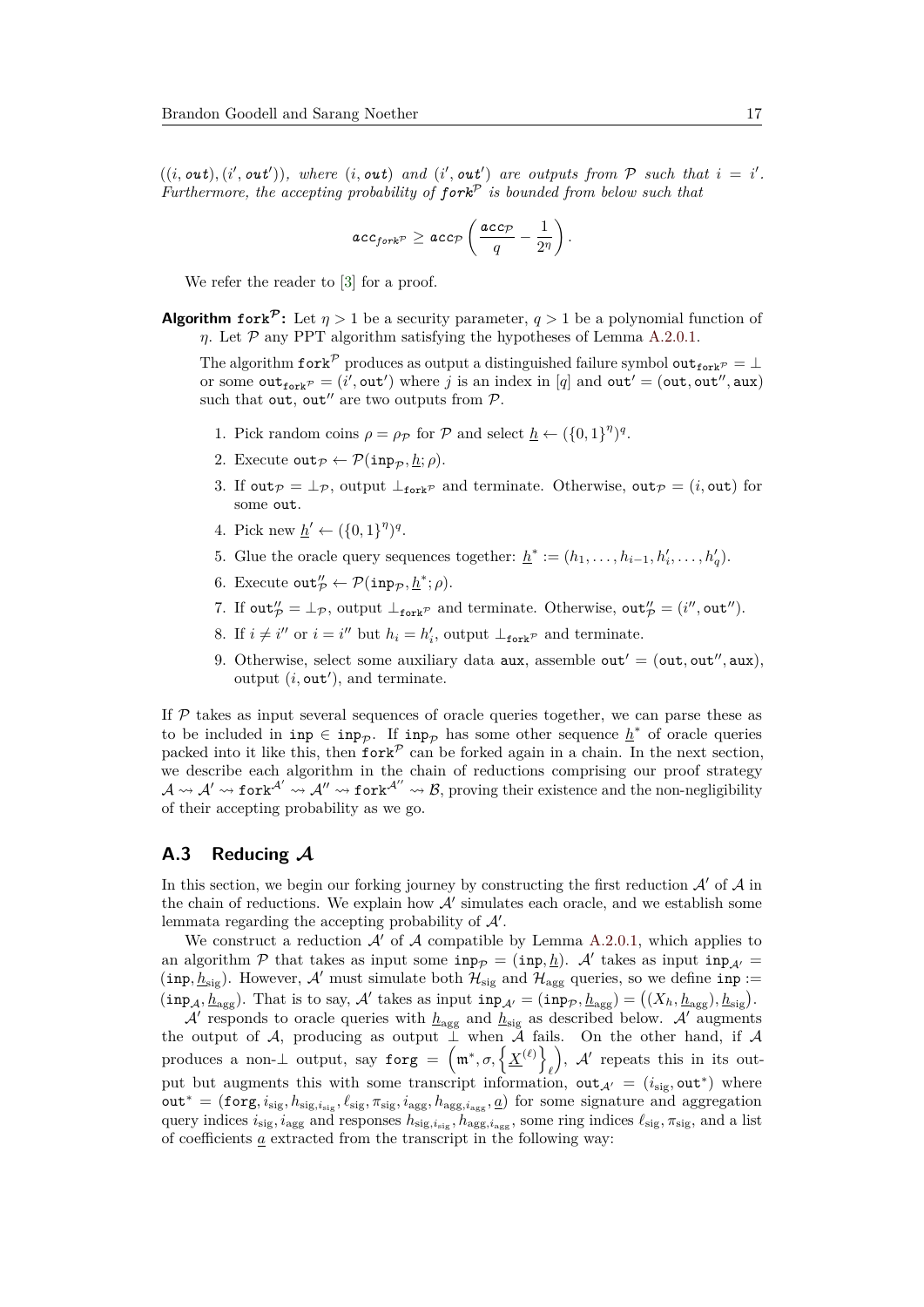$((i, \text{out}), (i', \text{out}'))$ , where  $(i, \text{out})$  and  $(i', \text{out}')$  are outputs from  $P$  such that  $i = i'$ . *Furthermore, the accepting probability of fork*<sup>P</sup> *is bounded from below such that*

$$
\mathit{acc}_{fork^{\mathcal{P}}} \geq \mathit{acc}_{\mathcal{P}}\left(\frac{\mathit{acc}_{\mathcal{P}}}{q} - \frac{1}{2^{\eta}}\right).
$$

We refer the reader to [\[3\]](#page-13-6) for a proof.

**Algorithm fork<sup>** $P$ **</sup>:** Let  $\eta > 1$  be a security parameter,  $q > 1$  be a polynomial function of *η*. Let  $P$  any PPT algorithm satisfying the hypotheses of Lemma [A.2.0.1.](#page-15-1)

The algorithm fork<sup>P</sup> produces as output a distinguished failure symbol out<sub>fork</sub> $\mathcal{P} = \perp$ or some  $\text{out}_{\text{fork}}^p = (i', \text{out}')$  where *j* is an index in [*q*] and  $\text{out}' = (\text{out}, \text{out}'', \text{aux})$ such that out, out" are two outputs from  $P$ .

- 1. Pick random coins  $\rho = \rho_{\mathcal{P}}$  for  $\mathcal{P}$  and select  $\underline{h} \leftarrow (\{0,1\}^{\eta})^q$ .
- 2. Execute out  $p \leftarrow \mathcal{P}(\text{inp}_{\mathcal{D}}, h; \rho)$ .
- 3. If out  $p = \perp_p$ , output  $\perp_{\text{fork}} p$  and terminate. Otherwise, out  $p = (i, \text{out})$  for some out.
- 4. Pick new  $\underline{h}' \leftarrow (\{0, 1\}^{\eta})^q$ .
- 5. Glue the oracle query sequences together:  $\underline{h}^* := (h_1, \ldots, h_{i-1}, h'_i, \ldots, h'_q)$ .
- 6. Execute  $\text{out}_{\mathcal{P}}^{\prime\prime} \leftarrow \mathcal{P}(\text{inp}_{\mathcal{P}}, \underline{h}^*; \rho).$
- 7. If  $\text{out}_{\mathcal{P}}^{\prime\prime} = \perp_{\mathcal{P}}$ , output  $\perp_{\text{fork}^{\mathcal{P}}}$  and terminate. Otherwise,  $\text{out}_{\mathcal{P}}^{\prime\prime} = (i^{\prime\prime}, \text{out}^{\prime\prime})$ .
- 8. If  $i \neq i''$  or  $i = i''$  but  $h_i = h'_i$ , output  $\perp_{\text{fork}}$ <sup>*p*</sup> and terminate.
- 9. Otherwise, select some auxiliary data  $aux$ , assemble  $out' = (out,out'', aux)$ , output  $(i, \text{out}'),$  and terminate.

If  $P$  takes as input several sequences of oracle queries together, we can parse these as to be included in  $\text{inp}_{\mathcal{P}}$ . If  $\text{inp}_{\mathcal{P}}$  has some other sequence  $\underline{h}^*$  of oracle queries packed into it like this, then  $f \circ \text{c}$  can be forked again in a chain. In the next section, we describe each algorithm in the chain of reductions comprising our proof strategy  $\mathcal{A} \rightsquigarrow \mathcal{A}' \rightsquigarrow$  fork<sup> $\mathcal{A}' \rightsquigarrow$  fork $\mathcal{A}'' \rightsquigarrow \mathcal{B}$ , proving their existence and the non-negligibility</sup> of their accepting probability as we go.

#### <span id="page-16-0"></span>**A.3 Reducing A**

In this section, we begin our forking journey by constructing the first reduction  $\mathcal{A}'$  of  $\mathcal{A}$  in the chain of reductions. We explain how  $A'$  simulates each oracle, and we establish some lemmata regarding the accepting probability of  $\mathcal{A}'$ .

We construct a reduction  $\mathcal{A}'$  of  $\mathcal A$  compatible by Lemma [A.2.0.1,](#page-15-1) which applies to an algorithm  $P$  that takes as input some  $\text{inp}_{\mathcal{P}} = (\text{inp}, \underline{h})$ . A' takes as input  $\text{inp}_{\mathcal{A}'} =$ (inp,  $h_{sig}$ ). However, A' must simulate both  $\mathcal{H}_{sig}$  and  $\mathcal{H}_{agg}$  queries, so we define inp :=  $(\text{inp}_{\mathcal{A}}, \underline{h}_{\text{agg}})$ . That is to say,  $\mathcal{A}'$  takes as input  $\text{inp}_{\mathcal{A}'} = (\text{inp}_{\mathcal{P}}, \underline{h}_{\text{agg}}) = ((X_h, \underline{h}_{\text{agg}}), \underline{h}_{\text{sig}})$ .

 $\mathcal{A}'$  responds to oracle queries with  $h_{\text{agg}}$  and  $h_{\text{sig}}$  as described below.  $\mathcal{A}'$  augments the output of A, producing as output  $\bar{\perp}$  when  $\bar{\mathcal{A}}$  fails. On the other hand, if A produces a non- $\perp$  output, say forg =  $(m^*, \sigma, \{\underline{X}^{(\ell)}\})$ *`* ),  $A'$  repeats this in its output but augments this with some transcript information,  $out_{\mathcal{A}} = (i_{sig}, out^*)$  where out<sup>∗</sup> = (forg*, i*sig*, h*sig*,i*sig *, `*sig*, π*sig*, i*agg*, h*agg*,i*agg *, a*) for some signature and aggregation query indices  $i_{\text{sig}}$ ,  $i_{\text{agg}}$  and responses  $h_{\text{sig}}$ ,  $i_{\text{agg}}$ ,  $h_{\text{agg}}$ , some ring indices  $\ell_{\text{sig}}$ ,  $\pi_{\text{sig}}$ , and a list of coefficients  $\underline{a}$  extracted from the transcript in the following way: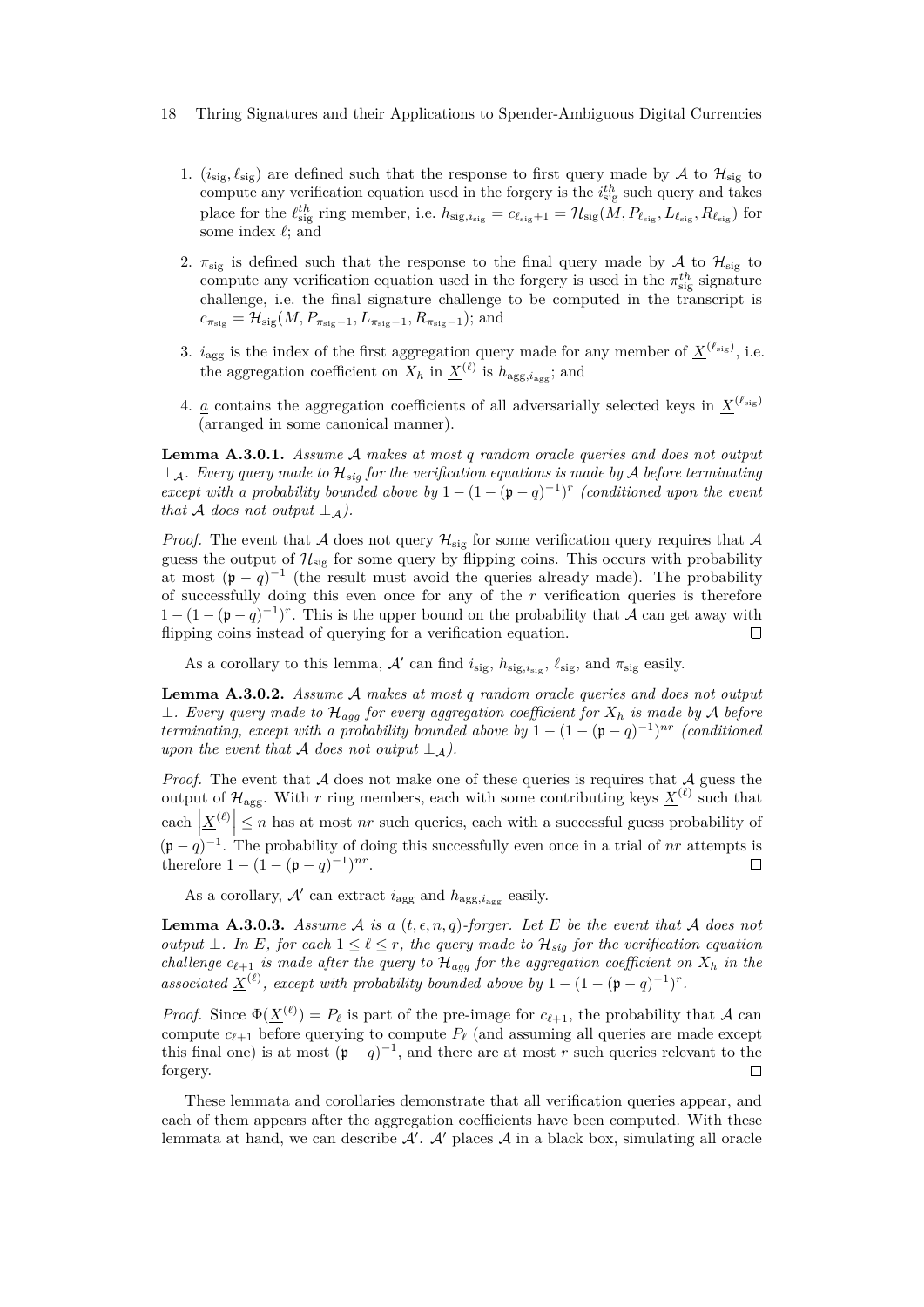- 1.  $(i_{\text{sig}}, \ell_{\text{sig}})$  are defined such that the response to first query made by A to  $\mathcal{H}_{\text{sig}}$  to compute any verification equation used in the forgery is the  $i_{\text{sig}}^{th}$  such query and takes place for the  $\ell_{\text{sig}}^{th}$  ring member, i.e.  $h_{\text{sig},i_{\text{sig}}} = c_{\ell_{\text{sig}}+1} = \mathcal{H}_{\text{sig}}(M, P_{\ell_{\text{sig}}}, L_{\ell_{\text{sig}}}, R_{\ell_{\text{sig}}})$  for some index  $\ell$ ; and
- 2.  $\pi_{\text{sig}}$  is defined such that the response to the final query made by A to  $\mathcal{H}_{\text{sig}}$  to compute any verification equation used in the forgery is used in the  $\pi_{sig}^{th}$  signature challenge, i.e. the final signature challenge to be computed in the transcript is  $c_{\pi_{\text{sig}}} = \mathcal{H}_{\text{sig}}(M, P_{\pi_{\text{sig}}-1}, L_{\pi_{\text{sig}}-1}, R_{\pi_{\text{sig}}-1})$ ; and
- 3.  $i_{\text{agg}}$  is the index of the first aggregation query made for any member of  $\underline{X}^{(\ell_{\text{sig}})}$ , i.e. the aggregation coefficient on  $X_h$  in  $\underline{X}^{(\ell)}$  is  $h_{\text{agg}, i_{\text{agg}}};$  and
- 4. <u>*a*</u> contains the aggregation coefficients of all adversarially selected keys in  $\underline{X}^{(\ell_{sig})}$ (arranged in some canonical manner).

**Lemma A.3.0.1.** *Assume* A *makes at most q random oracle queries and does not output*  $\perp_{\mathcal{A}}$ *. Every query made to*  $\mathcal{H}_{sig}$  *for the verification equations is made by*  $\mathcal{A}$  *before terminating except with a probability bounded above by*  $1 - (1 - (p - q)^{-1})^r$  *(conditioned upon the event that*  $\mathcal A$  *does not output*  $\perp_{\mathcal A}$ *).* 

*Proof.* The event that A does not query  $\mathcal{H}_{sig}$  for some verification query requires that A guess the output of  $\mathcal{H}_{sig}$  for some query by flipping coins. This occurs with probability at most  $(p - q)^{-1}$  (the result must avoid the queries already made). The probability of successfully doing this even once for any of the *r* verification queries is therefore  $1 - (1 - (p - q)^{-1})^r$ . This is the upper bound on the probability that A can get away with flipping coins instead of querying for a verification equation.  $\Box$ 

As a corollary to this lemma,  $\mathcal{A}'$  can find  $i_{\text{sig}}$ ,  $h_{\text{sig}}$ ,  $i_{\text{sig}}$ , and  $\pi_{\text{sig}}$  easily.

**Lemma A.3.0.2.** *Assume* A *makes at most q random oracle queries and does not output* ⊥*. Every query made to* H*agg for every aggregation coefficient for X<sup>h</sup> is made by* A *before terminating, except with a probability bounded above by*  $1 - (1 - (\mathfrak{p} - q)^{-1})^{nr}$  *(conditioned*) *upon the event that* A *does not output*  $\perp$   $\perp$ *A*).

*Proof.* The event that  $A$  does not make one of these queries is requires that  $A$  guess the output of  $\mathcal{H}_{\text{agg}}$ . With r ring members, each with some contributing keys  $\underline{X}^{(\ell)}$  such that each  $\left|\underline{X}^{(\ell)}\right| \leq n$  has at most *nr* such queries, each with a successful guess probability of  $(p - q)^{-1}$ . The probability of doing this successfully even once in a trial of *nr* attempts is therefore  $1 - (1 - (\mathfrak{p} - q)^{-1})^{nr}$ .  $\Box$ 

As a corollary,  $A'$  can extract  $i_{\text{agg}}$  and  $h_{\text{agg}, i_{\text{agg}}}$  easily.

**Lemma A.3.0.3.** *Assume* A *is a*  $(t, \epsilon, n, q)$ *-forger. Let E be the event that* A *does not output*  $\perp$ *. In E, for each*  $1 \leq \ell \leq r$ *, the query made to*  $\mathcal{H}_{\text{sig}}$  *for the verification equation challenge*  $c_{\ell+1}$  *is made after the query to*  $\mathcal{H}_{agg}$  *for the aggregation coefficient on*  $X_h$  *in the associated*  $\underline{X}^{(\ell)}$ , except with probability bounded above by  $1 - (1 - (\mathfrak{p} - q)^{-1})^r$ .

*Proof.* Since  $\Phi(\underline{X}^{(\ell)}) = P_{\ell}$  is part of the pre-image for  $c_{\ell+1}$ , the probability that A can compute  $c_{\ell+1}$  before querying to compute  $P_\ell$  (and assuming all queries are made except this final one) is at most  $(p - q)^{-1}$ , and there are at most *r* such queries relevant to the forgery. П

These lemmata and corollaries demonstrate that all verification queries appear, and each of them appears after the aggregation coefficients have been computed. With these lemmata at hand, we can describe  $A'$ .  $A'$  places  $A$  in a black box, simulating all oracle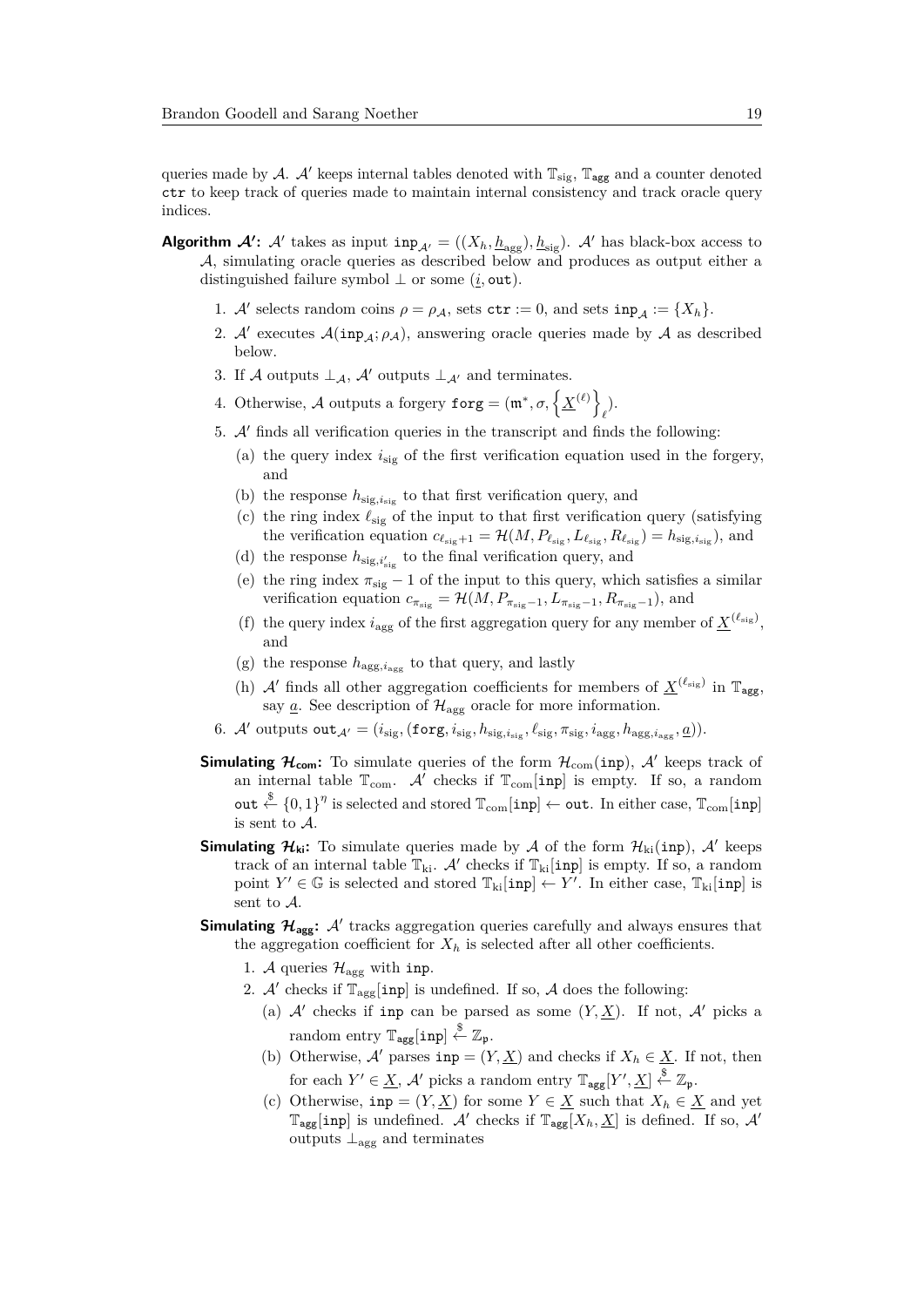queries made by A. A' keeps internal tables denoted with  $\mathbb{T}_{sig}$ ,  $\mathbb{T}_{agg}$  and a counter denoted ctr to keep track of queries made to maintain internal consistency and track oracle query indices.

- **Algorithm**  $A'$ : A' takes as input  $\text{inp}_{A'} = ((X_h, \underline{h}_{\text{agg}}), \underline{h}_{\text{sig}})$ . A' has black-box access to A, simulating oracle queries as described below and produces as output either a distinguished failure symbol  $\perp$  or some (*i*, out).
	- 1. A' selects random coins  $\rho = \rho_{\mathcal{A}}$ , sets  $\texttt{ctr} := 0$ , and sets  $\texttt{inp}_{\mathcal{A}} := \{X_h\}.$
	- 2. A' executes  $\mathcal{A}(inp_{\mathcal{A}}; \rho_{\mathcal{A}})$ , answering oracle queries made by  $\mathcal{A}$  as described below.
	- 3. If A outputs  $\perp_A$ , A' outputs  $\perp_{A'}$  and terminates.
	- 4. Otherwise, A outputs a forgery  $\texttt{forg} = (\mathfrak{m}^*, \sigma, \left\{ \underline{X}^{(\ell)} \right\})$ *`* ).
	- 5.  $A'$  finds all verification queries in the transcript and finds the following:
		- (a) the query index  $i_{\rm sig}$  of the first verification equation used in the forgery, and
		- (b) the response  $h_{sig,i_{sig}}$  to that first verification query, and
		- (c) the ring index  $\ell_{\text{sig}}$  of the input to that first verification query (satisfying the verification equation  $c_{\ell_{\text{sig}}+1} = \mathcal{H}(M, P_{\ell_{\text{sig}}}, L_{\ell_{\text{sig}}}, R_{\ell_{\text{sig}}}) = h_{\text{sig}, i_{\text{sig}}},$  and
		- (d) the response  $h_{\text{sig},i'_{\text{sig}}}$  to the final verification query, and
		- (e) the ring index  $\pi_{sig} 1$  of the input to this query, which satisfies a similar verification equation  $c_{\pi_{\text{sig}}} = \mathcal{H}(M, P_{\pi_{\text{sig}}-1}, L_{\pi_{\text{sig}}-1}, R_{\pi_{\text{sig}}-1})$ , and
		- (f) the query index  $i_{\text{agg}}$  of the first aggregation query for any member of  $\underline{X}^{(\ell_{\text{sig}})}$ , and
		- (g) the response  $h_{\text{agg}, i_{\text{agg}}}$  to that query, and lastly
		- (h)  $\mathcal{A}'$  finds all other aggregation coefficients for members of  $\underline{X}^{(\ell_{sig})}$  in  $\mathbb{T}_{agg}$ , say  $\underline{a}$ . See description of  $\mathcal{H}_{\text{agg}}$  oracle for more information.
	- 6. A' outputs  $\text{out}_{\mathcal{A}'} = (i_{\text{sig}},(\text{forg}, i_{\text{sig}}, h_{\text{sig}, i_{\text{sig}}}, \ell_{\text{sig}}, \pi_{\text{sig}}, i_{\text{agg}}, h_{\text{agg}, i_{\text{agg}}, \underline{a}})).$
	- **Simulating**  $\mathcal{H}_{com}$ : To simulate queries of the form  $\mathcal{H}_{com}(inp)$ ,  $\mathcal{A}'$  keeps track of an internal table  $\mathbb{T}_{com}$ . A checks if  $\mathbb{T}_{com}$  [inp] is empty. If so, a random out  $\stackrel{\$}{\leftarrow}$   $\{0,1\}^{\eta}$  is selected and stored  $\mathbb{T}_{\text{com}}[\texttt{inp}] \leftarrow \texttt{out}.$  In either case,  $\mathbb{T}_{\text{com}}[\texttt{inp}]$ is sent to A.
	- **Simulating**  $\mathcal{H}_{ki}$ : To simulate queries made by A of the form  $\mathcal{H}_{ki}(inp)$ , A' keeps track of an internal table  $\mathbb{T}_{ki}$ . A' checks if  $\mathbb{T}_{ki}$ [inp] is empty. If so, a random point  $Y' \in \mathbb{G}$  is selected and stored  $\mathbb{T}_{ki}[\text{inp}] \leftarrow Y'$ . In either case,  $\mathbb{T}_{ki}[\text{inp}]$  is sent to A.
	- **Simulating**  $\mathcal{H}_{\text{agg}}$ :  $\mathcal{A}'$  tracks aggregation queries carefully and always ensures that the aggregation coefficient for  $X_h$  is selected after all other coefficients.
		- 1. A queries  $\mathcal{H}_{\text{agg}}$  with inp.
		- 2. A' checks if  $\mathbb{T}_{\text{agg}}[\text{inp}]$  is undefined. If so, A does the following:
			- (a)  $A'$  checks if inp can be parsed as some  $(Y, \underline{X})$ . If not,  $A'$  picks a random entry  $\mathbb{T}_{\text{agg}}[\text{inp}] \overset{\$}{\leftarrow} \mathbb{Z}_{\mathfrak{p}}$ .
			- (b) Otherwise, A' parses  $\text{inp} = (Y, \underline{X})$  and checks if  $X_h \in \underline{X}$ . If not, then for each  $Y' \in \underline{X}$ ,  $\mathcal{A}'$  picks a random entry  $\mathbb{T}_{\text{agg}}[Y', \underline{X}] \stackrel{\$}{\leftarrow} \mathbb{Z}_{\mathfrak{p}}$ .
			- (c) Otherwise,  $\text{inp} = (Y, \underline{X})$  for some  $Y \in \underline{X}$  such that  $X_h \in \underline{X}$  and yet  $\mathbb{T}_{\text{agg}}[\text{inp}]$  is undefined. A' checks if  $\mathbb{T}_{\text{agg}}[X_h, \underline{X}]$  is defined. If so, A' outputs  $\perp$ <sub>agg</sub> and terminates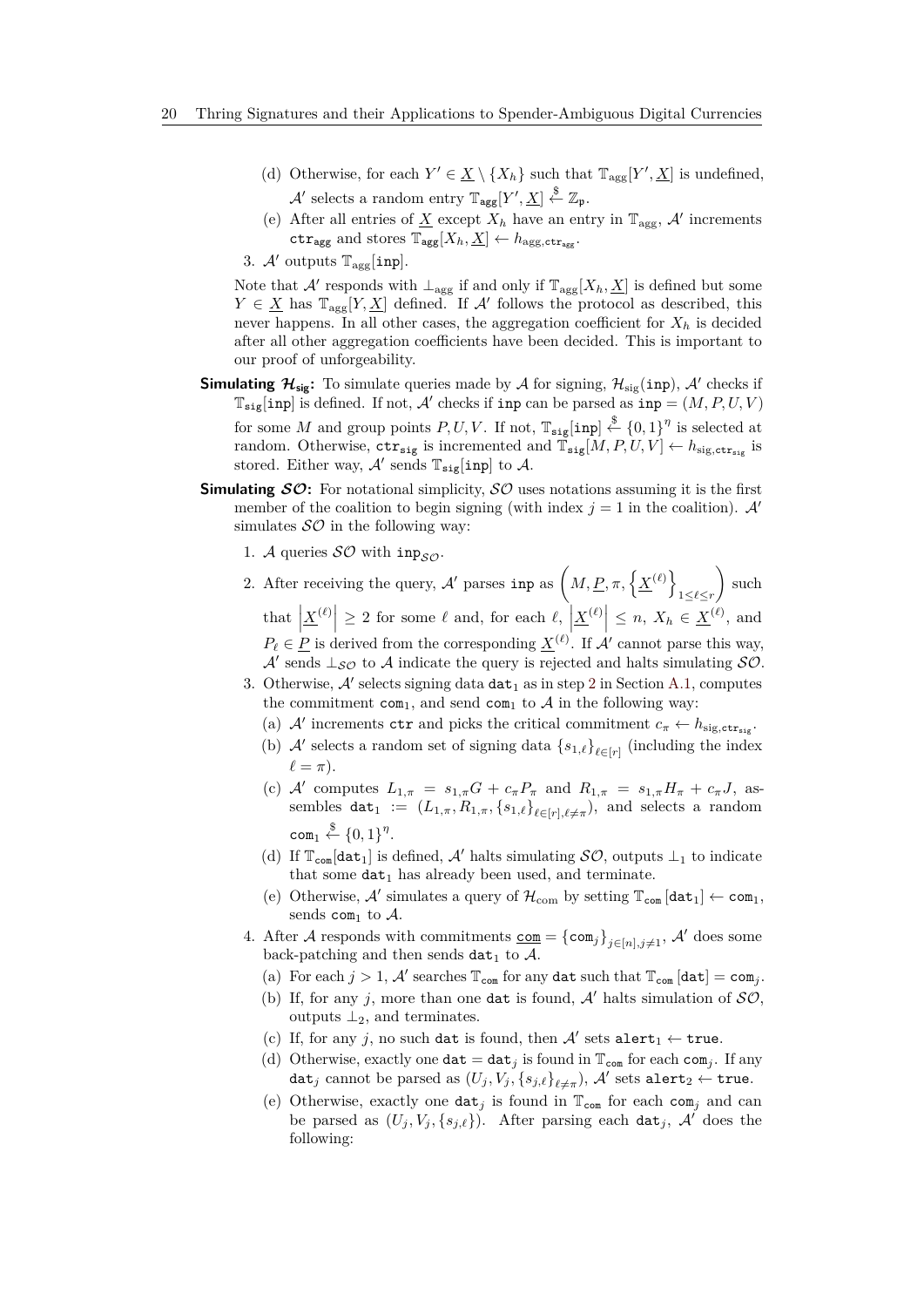- (d) Otherwise, for each  $Y' \in \underline{X} \setminus \{X_h\}$  such that  $\mathbb{T}_{\text{agg}}[Y', \underline{X}]$  is undefined,  $\mathcal{A}'$  selects a random entry  $\mathbb{T}_{\text{agg}}[Y', \underline{X}] \stackrel{\$}{\leftarrow} \mathbb{Z}_{\mathfrak{p}}$ .
- (e) After all entries of  $\underline{X}$  except  $X_h$  have an entry in  $\mathbb{T}_{\text{agg}}, \mathcal{A}'$  increments  $\texttt{ctr}_{\texttt{agg}}$  and stores  $\mathbb{T}_{\texttt{agg}}[X_h, \underline{X}] \leftarrow h_{\texttt{agg,ctr}_{\texttt{agg}}}.$
- 3.  $\mathcal{A}'$  outputs  $\mathbb{T}_{\text{agg}}[\texttt{inp}].$

Note that  $\mathcal{A}'$  responds with  $\perp_{\text{agg}}$  if and only if  $\mathbb{T}_{\text{agg}}[X_h, \underline{X}]$  is defined but some  $Y \in \underline{X}$  has  $\mathbb{T}_{\text{agg}}[Y, \underline{X}]$  defined. If A' follows the protocol as described, this never happens. In all other cases, the aggregation coefficient for  $X_h$  is decided after all other aggregation coefficients have been decided. This is important to our proof of unforgeability.

- **Simulating**  $\mathcal{H}_{sig}$ : To simulate queries made by  $\mathcal{A}$  for signing,  $\mathcal{H}_{sig}(inp)$ ,  $\mathcal{A}'$  checks if  $\mathbb{T}_{\texttt{sig}}[\texttt{inp}]$  is defined. If not,  $\mathcal{A}'$  checks if inp can be parsed as inp =  $(M, P, U, V)$ for some *M* and group points  $P, U, V$ . If not,  $\mathbb{T}_{\text{sig}}[\text{inp}] \overset{\$}{\leftarrow} \{0,1\}^{\eta}$  is selected at random. Otherwise,  $\texttt{ctr}_{\texttt{sig}}$  is incremented and  $\overline{\mathbb{T}}_{\texttt{sig}}[M, P, U, V] \leftarrow h_{\texttt{sig}, \texttt{ctr}_{\texttt{sig}}}$  is stored. Either way,  $\mathcal{A}'$  sends  $\mathbb{T}_{\text{sig}}[\text{inp}]$  to  $\mathcal{A}$ .
- **Simulating SO:** For notational simplicity, SO uses notations assuming it is the first member of the coalition to begin signing (with index  $j = 1$  in the coalition). A<sup>t</sup> simulates  $\mathcal{SO}$  in the following way:
	- 1. A queries  $SO$  with inp<sub>so</sub>.
	- 2. After receiving the query,  $\mathcal{A}'$  parses inp as  $\left(M, \underline{P}, \pi, \left\{ \underline{X}^{(\ell)} \right\}\right)$ 1≤*`*≤*r*  $\Big)$  such that  $\left|\underline{X}^{(\ell)}\right| \geq 2$  for some  $\ell$  and, for each  $\ell$ ,  $\left|\underline{X}^{(\ell)}\right| \leq n$ ,  $X_h \in \underline{X}^{(\ell)}$ , and  $P_{\ell} \in \underline{P}$  is derived from the corresponding  $\underline{X}^{(\ell)}$ . If A' cannot parse this way, A' sends  $\perp_{\mathcal{SO}}$  to A indicate the query is rejected and halts simulating  $\mathcal{SO}$ . 3. Otherwise,  $\mathcal{A}'$  selects signing data  $\texttt{dat}_1$  as in step [2](#page-15-2) in Section [A.1,](#page-14-9) computes
		- the commitment com<sub>1</sub>, and send com<sub>1</sub> to  $A$  in the following way:
		- (a) A' increments  $\texttt{ctr}$  and picks the critical commitment  $c_{\pi} \leftarrow h_{\text{sig,ctr}_{\text{sig}}}$ .
		- (b)  $\mathcal{A}'$  selects a random set of signing data  $\{s_{1,\ell}\}_{\ell \in [r]}$  (including the index  $\ell = \pi$ ).
		- (c) A' computes  $L_{1,\pi} = s_{1,\pi}G + c_{\pi}P_{\pi}$  and  $R_{1,\pi} = s_{1,\pi}H_{\pi} + c_{\pi}J$ , assembles dat<sub>1</sub> :=  $(L_{1,\pi}, R_{1,\pi}, \{s_{1,\ell}\}_{\ell \in [r], \ell \neq \pi})$ , and selects a random  $\mathsf{com}_1 \overset{\$}{\leftarrow} \{0,1\}^{\eta}.$
		- (d) If  $\mathbb{T}_{\text{com}}[\text{dat}_1]$  is defined, A' halts simulating  $\mathcal{SO}$ , outputs  $\perp_1$  to indicate that some  $\text{dat}_1$  has already been used, and terminate.
		- (e) Otherwise, A' simulates a query of  $\mathcal{H}_{com}$  by setting  $\mathbb{T}_{com}$  [dat<sub>1</sub>]  $\leftarrow$  com<sub>1</sub>, sends com<sub>1</sub> to  $A$ .
	- 4. After A responds with commitments  $\underline{\text{com}} = {\text{com}_j}_{j \in [n], j \neq 1}$ , A' does some back-patching and then sends  $\texttt{dat}_1$  to  $\mathcal{A}$ .
		- (a) For each  $j > 1$ , A' searches  $\mathbb{T}_{com}$  for any dat such that  $\mathbb{T}_{com}$  [dat] = com<sub>j</sub>.
		- (b) If, for any *j*, more than one dat is found,  $A'$  halts simulation of  $SO$ , outputs  $\perp_2$ , and terminates.
		- (c) If, for any  $j$ , no such dat is found, then  $A'$  sets alert<sub>1</sub>  $\leftarrow$  true.
		- (d) Otherwise, exactly one  $\texttt{dat} = \texttt{dat}_j$  is found in  $\mathbb{T}_{\texttt{com}}$  for each  $\texttt{com}_j$ . If any  $\texttt{dat}_j \text{ cannot be parsed as } (U_j, V_j, \{s_{j,\ell}\}_{\ell \neq \pi}), \, \mathcal{A}' \text{ sets } \texttt{alert}_2 \leftarrow \texttt{true}.$
		- (e) Otherwise, exactly one  $\texttt{dat}_i$  is found in  $\mathbb{T}_{\texttt{com}}$  for each com<sub>i</sub> and can be parsed as  $(U_j, V_j, \{s_{j,\ell}\})$ . After parsing each dat<sub>j</sub>, A' does the following: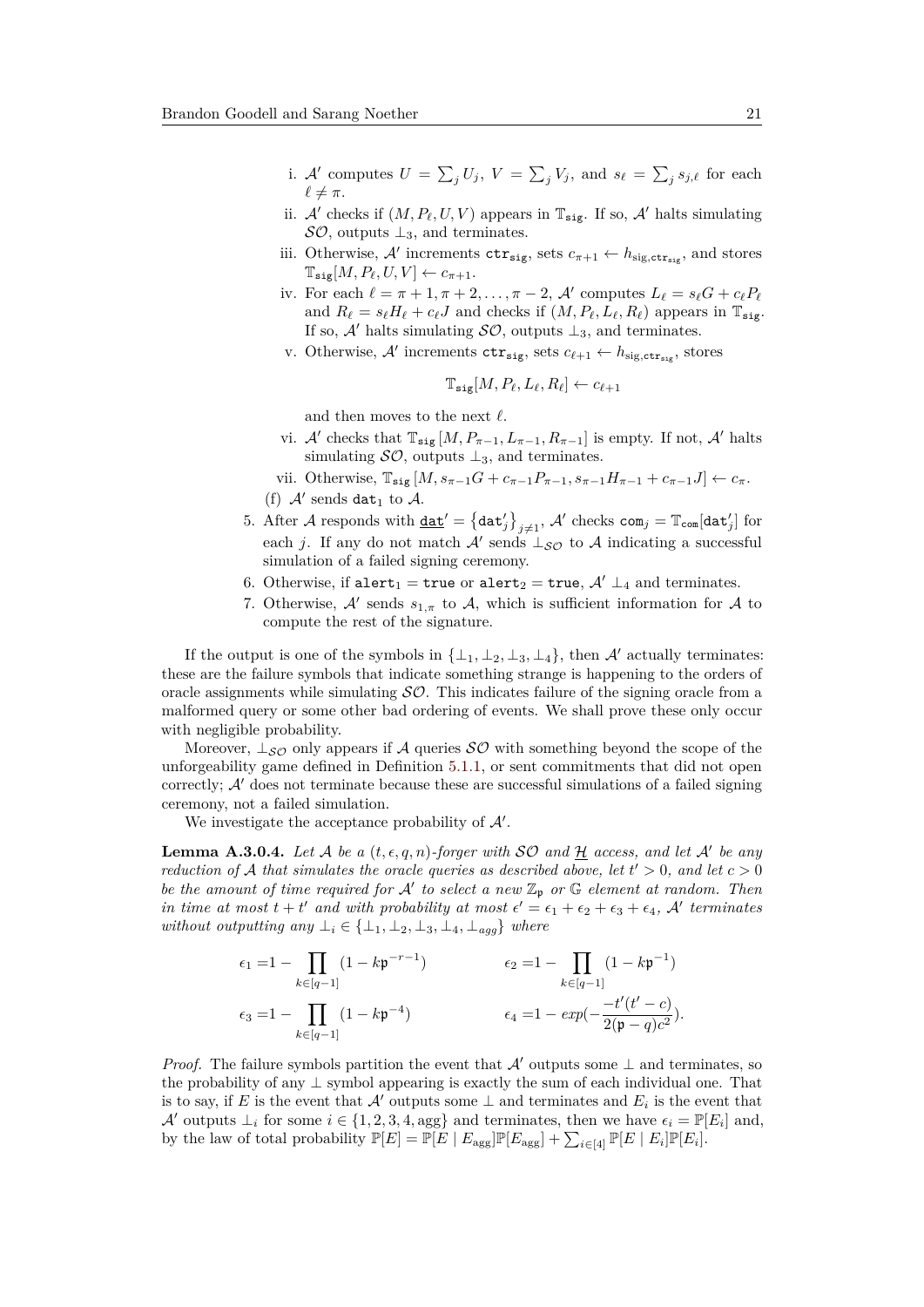- i. A' computes  $U = \sum_j U_j$ ,  $V = \sum_j V_j$ , and  $s_\ell = \sum_j s_{j,\ell}$  for each  $\ell \neq \pi$ .
- ii.  $\mathcal{A}'$  checks if  $(M, P_\ell, U, V)$  appears in  $\mathbb{T}_{\texttt{sig}}$ . If so,  $\mathcal{A}'$  halts simulating  $\mathcal{SO}$ , outputs  $\perp_3$ , and terminates.
- iii. Otherwise,  $\mathcal{A}'$  increments  $\text{ctr}_{\text{sig}}$ , sets  $c_{\pi+1} \leftarrow h_{\text{sig},\text{ctr}_{\text{sig}}}$ , and stores  $\mathbb{T}_{\text{sig}}[M, P_{\ell}, U, V] \leftarrow c_{\pi+1}.$
- iv. For each  $\ell = \pi + 1, \pi + 2, \ldots, \pi 2, \mathcal{A}'$  computes  $L_{\ell} = s_{\ell}G + c_{\ell}P_{\ell}$ and  $R_\ell = s_\ell H_\ell + c_\ell J$  and checks if  $(M, P_\ell, L_\ell, R_\ell)$  appears in  $\mathbb{T}_{\text{size}}$ . If so,  $\mathcal{A}'$  halts simulating  $\mathcal{SO}$ , outputs  $\perp_3$ , and terminates.
- v. Otherwise,  $\mathcal{A}'$  increments  $\text{ctr}_{\text{sig}}$ , sets  $c_{\ell+1} \leftarrow h_{\text{sig,ctr}_{\text{sig}}}$ , stores

$$
\mathbb{T}_{\text{sig}}[M, P_{\ell}, L_{\ell}, R_{\ell}] \leftarrow c_{\ell+1}
$$

and then moves to the next  $\ell$ .

- vi. A' checks that  $\mathbb{T}_{\text{sig}} [M, P_{\pi-1}, L_{\pi-1}, R_{\pi-1}]$  is empty. If not, A' halts simulating  $\mathcal{SO}$ , outputs  $\perp_3$ , and terminates.
- vii. Otherwise,  $\mathbb{T}_{\text{sig}} [M, s_{\pi-1}G + c_{\pi-1}P_{\pi-1}, s_{\pi-1}H_{\pi-1} + c_{\pi-1}J] \leftarrow c_{\pi}$ . (f)  $A'$  sends dat<sub>1</sub> to  $A$ .
- 5. After  $\mathcal A$  responds with  $\underline{\mathtt{dat}}' = \big\{\mathtt{dat}_j'\big\}_{j\neq 1}, \, \mathcal A'$  checks  $\mathtt{com}_j = \mathbb T_{\mathtt{com}}[\mathtt{dat}_j']$  for each *j*. If any do not match  $\mathcal{A}'$  sends  $\bot_{\mathcal{SO}}$  to  $\mathcal{A}$  indicating a successful simulation of a failed signing ceremony.
- 6. Otherwise, if alert<sub>1</sub> = true or alert<sub>2</sub> = true,  $A' \perp_4$  and terminates.
- 7. Otherwise,  $\mathcal{A}'$  sends  $s_{1,\pi}$  to  $\mathcal{A}$ , which is sufficient information for  $\mathcal{A}$  to compute the rest of the signature.

If the output is one of the symbols in  $\{\perp_1, \perp_2, \perp_3, \perp_4\}$ , then A' actually terminates: these are the failure symbols that indicate something strange is happening to the orders of oracle assignments while simulating  $SO$ . This indicates failure of the signing oracle from a malformed query or some other bad ordering of events. We shall prove these only occur with negligible probability.

Moreover,  $\perp_{\mathcal{SO}}$  only appears if A queries  $\mathcal{SO}$  with something beyond the scope of the unforgeability game defined in Definition [5.1.1,](#page-9-0) or sent commitments that did not open correctly;  $A'$  does not terminate because these are successful simulations of a failed signing ceremony, not a failed simulation.

We investigate the acceptance probability of  $A'$ .

**Lemma A.3.0.4.** Let A be a  $(t, \epsilon, q, n)$ -forger with SO and  $\overline{\mathcal{H}}$  access, and let A' be any *reduction of* A *that simulates the oracle queries as described above, let*  $t' > 0$ *, and let*  $c > 0$ *be the amount of time required for*  $A'$  to select a new  $\mathbb{Z}_p$  or  $\mathbb{G}$  element at random. Then *in time at most*  $t + t'$  *and with probability at most*  $\epsilon' = \epsilon_1 + \epsilon_2 + \epsilon_3 + \epsilon_4$ , A' *terminates without outputting any*  $\perp_i \in \{\perp_1, \perp_2, \perp_3, \perp_4, \perp_{aag}\}$  *where* 

$$
\epsilon_1 = 1 - \prod_{k \in [q-1]} (1 - k\mathfrak{p}^{-r-1})
$$
  
\n
$$
\epsilon_2 = 1 - \prod_{k \in [q-1]} (1 - k\mathfrak{p}^{-1})
$$
  
\n
$$
\epsilon_3 = 1 - \prod_{k \in [q-1]} (1 - k\mathfrak{p}^{-4})
$$
  
\n
$$
\epsilon_4 = 1 - exp(-\frac{-t'(t' - c)}{2(\mathfrak{p} - q)c^2}).
$$

*Proof.* The failure symbols partition the event that A' outputs some  $\perp$  and terminates, so the probability of any  $\perp$  symbol appearing is exactly the sum of each individual one. That is to say, if *E* is the event that  $\mathcal{A}'$  outputs some  $\perp$  and terminates and  $E_i$  is the event that A' outputs  $\perp_i$  for some  $i \in \{1, 2, 3, 4, \text{agg}\}\$  and terminates, then we have  $\epsilon_i = \mathbb{P}[E_i]$  and, by the law of total probability  $\mathbb{P}[E] = \mathbb{P}[E \mid E_{\text{agg}}] \mathbb{P}[E_{\text{agg}}] + \sum_{i \in [4]} \mathbb{P}[E \mid E_i] \mathbb{P}[E_i].$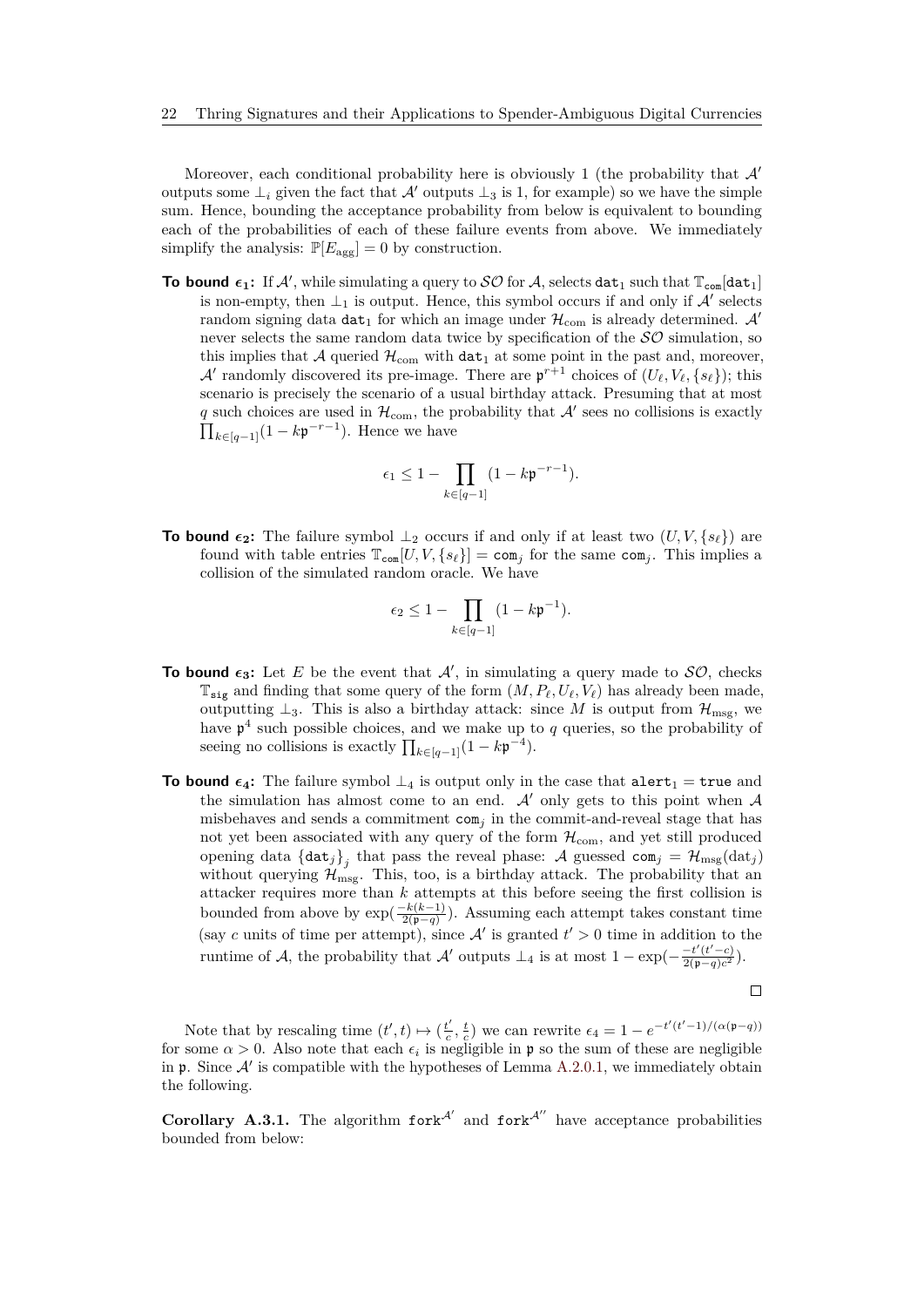Moreover, each conditional probability here is obviously 1 (the probability that  $\mathcal{A}'$ outputs some  $\perp_i$  given the fact that A' outputs  $\perp_3$  is 1, for example) so we have the simple sum. Hence, bounding the acceptance probability from below is equivalent to bounding each of the probabilities of each of these failure events from above. We immediately simplify the analysis:  $\mathbb{P}[E_{\text{agg}}] = 0$  by construction.

**To bound**  $\epsilon_1$ : If A', while simulating a query to  $SO$  for A, selects dat<sub>1</sub> such that  $\mathbb{T}_{con}$  [dat<sub>1</sub>] is non-empty, then  $\perp_1$  is output. Hence, this symbol occurs if and only if  $\mathcal A'$  selects random signing data  $\texttt{dat}_1$  for which an image under  $\mathcal{H}_{\text{com}}$  is already determined.  $\mathcal{A}'$ never selects the same random data twice by specification of the  $\mathcal{SO}$  simulation, so this implies that A queried  $\mathcal{H}_{com}$  with  $\texttt{dat}_1$  at some point in the past and, moreover, A' randomly discovered its pre-image. There are  $p^{r+1}$  choices of  $(U_{\ell}, V_{\ell}, \{s_{\ell}\})$ ; this scenario is precisely the scenario of a usual birthday attack. Presuming that at most q such choices are used in  $\mathcal{H}_{com}$ , the probability that  $\mathcal{A}'$  sees no collisions is exactly  $\prod_{k \in [q-1]} (1 - k \mathfrak{p}^{-r-1})$ . Hence we have

$$
\epsilon_1 \leq 1 - \prod_{k \in [q-1]} (1-k\mathfrak{p}^{-r-1}).
$$

**To bound**  $\epsilon_2$ : The failure symbol  $\perp_2$  occurs if and only if at least two  $(U, V, \{s_\ell\})$  are found with table entries  $\mathbb{T}_{con}[U, V, \{s_\ell\}] = \text{com}_i$  for the same  $\text{com}_i$ . This implies a collision of the simulated random oracle. We have

$$
\epsilon_2 \leq 1 - \prod_{k \in [q-1]} (1-k\mathfrak{p}^{-1}).
$$

- **To bound**  $\epsilon_3$ : Let *E* be the event that *A'*, in simulating a query made to *SO*, checks  $\mathbb{T}_{\text{sig}}$  and finding that some query of the form  $(M, P_\ell, U_\ell, V_\ell)$  has already been made, outputting  $\perp_3$ . This is also a birthday attack: since M is output from  $\mathcal{H}_{\text{mse}}$ , we have  $\mathfrak{p}^4$  such possible choices, and we make up to *q* queries, so the probability of seeing no collisions is exactly  $\prod_{k \in [q-1]}(1 - k\mathfrak{p}^{-4})$ .
- **To bound**  $\epsilon_4$ : The failure symbol  $\perp_4$  is output only in the case that  $\text{alert}_1 = \text{true}$  and the simulation has almost come to an end.  $\mathcal{A}'$  only gets to this point when  $\mathcal{A}$ misbehaves and sends a commitment  $com_j$  in the commit-and-reveal stage that has not yet been associated with any query of the form  $\mathcal{H}_{com}$ , and yet still produced opening data  $\{ \text{dat}_j \}_j$  that pass the reveal phase:  $\mathcal A$  guessed com<sub>j</sub> =  $\mathcal H_{\text{msg}}(\text{dat}_j)$ without querying  $\mathcal{H}_{\text{msg}}$ . This, too, is a birthday attack. The probability that an attacker requires more than *k* attempts at this before seeing the first collision is bounded from above by  $\exp(\frac{-k(k-1)}{2(n-a)})$  $\frac{-\kappa(\kappa-1)}{2(\mathfrak{p}-q)}$ . Assuming each attempt takes constant time (say c units of time per attempt), since  $A'$  is granted  $t' > 0$  time in addition to the runtime of A, the probability that A' outputs  $\perp_4$  is at most  $1 - \exp(-\frac{t'(t'-c)}{2(p-a)c^2})$  $\frac{-\tau (t - c)}{2(p-q)c^2}$ .

$$
\qquad \qquad \Box
$$

Note that by rescaling time  $(t', t) \mapsto (\frac{t'}{c})$  $\frac{t'}{c}$ ,  $\frac{t}{c}$ ) we can rewrite  $\epsilon_4 = 1 - e^{-t'(t'-1)/(\alpha(\mathfrak{p}-q))}$ for some  $\alpha > 0$ . Also note that each  $\epsilon_i$  is negligible in p so the sum of these are negligible in  $\mathfrak p$ . Since  $\mathcal A'$  is compatible with the hypotheses of Lemma [A.2.0.1,](#page-15-1) we immediately obtain the following.

**Corollary A.3.1.** The algorithm  $f{or}k^{A'}$  and  $f{or}k^{A''}$  have acceptance probabilities bounded from below: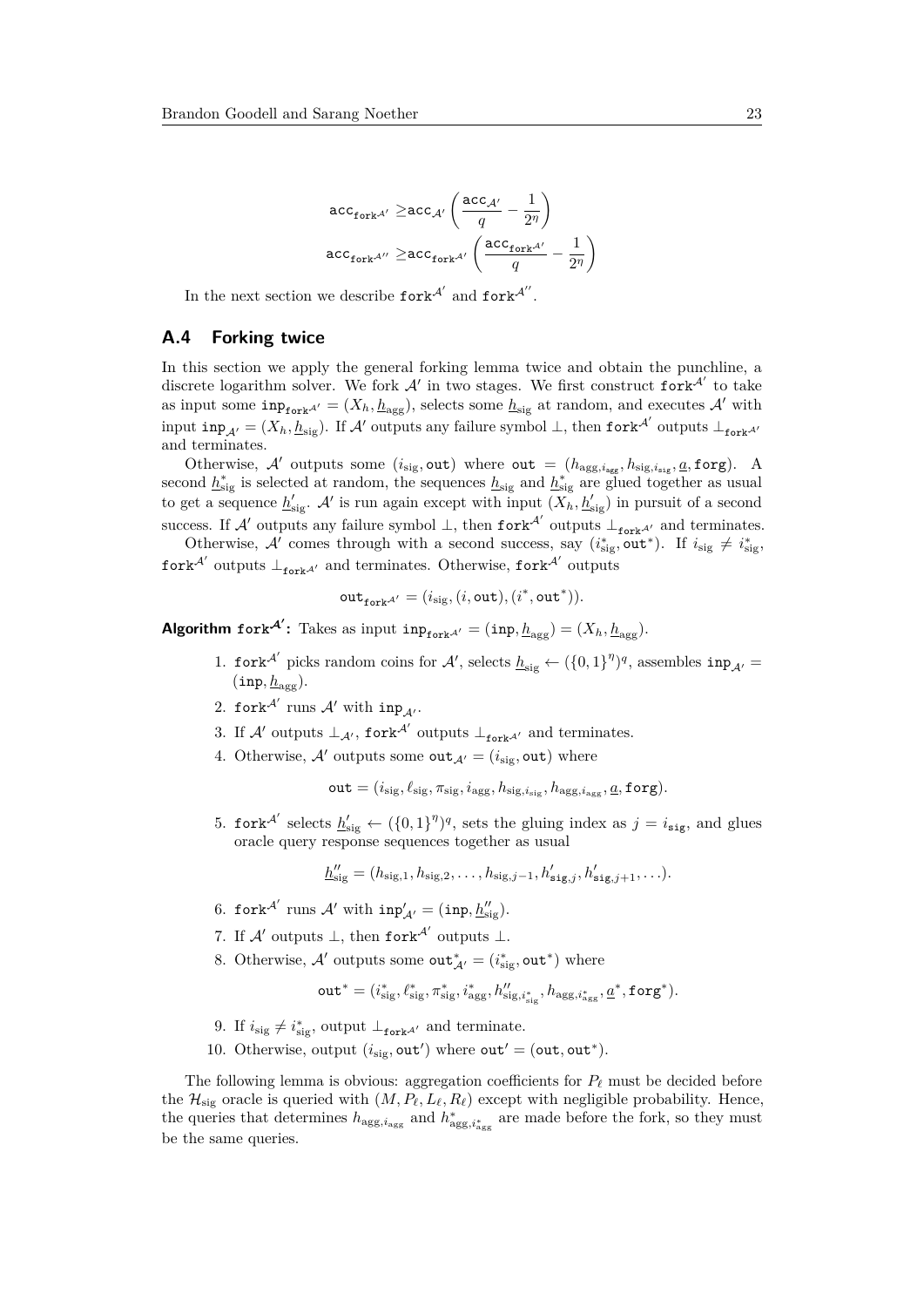$$
\begin{aligned}\n\text{acc}_{\text{fork}^{\mathcal{A}'}} &\geq \text{acc}_{\mathcal{A}'} \left( \frac{\text{acc}_{\mathcal{A}'} }{q} - \frac{1}{2^{\eta}} \right) \\
\text{acc}_{\text{fork}^{\mathcal{A}'}} &\geq \text{acc}_{\text{fork}^{\mathcal{A}'}} \left( \frac{\text{acc}_{\text{fork}^{\mathcal{A}'}} }{q} - \frac{1}{2^{\eta}} \right)\n\end{aligned}
$$

In the next section we describe  $\text{fork}^{\mathcal{A}'}$  and  $\text{fork}^{\mathcal{A}''}$ .

#### <span id="page-22-0"></span>**A.4 Forking twice**

In this section we apply the general forking lemma twice and obtain the punchline, a discrete logarithm solver. We fork  $A'$  in two stages. We first construct  $f \circ r k^{A'}$  to take as input some  $\text{inp}_{\text{fork}}A' = (X_h, \underline{h}_{\text{agg}})$ , selects some  $\underline{h}_{\text{sig}}$  at random, and executes A' with input  $\text{inp}_{\mathcal{A}'} = (X_h, \underline{h}_{\text{sig}})$ . If A' outputs any failure symbol  $\bot$ , then  $\text{fork}^{\mathcal{A}'}$  outputs  $\bot_{\text{fork}^{\mathcal{A}'}}$ and terminates.

Otherwise, A' outputs some  $(i_{sig}, out)$  where out =  $(h_{agg,i_{agg}}, h_{sig,i_{sig}}, a, forg)$ . A second  $h_{\text{sig}}^*$  is selected at random, the sequences  $h_{\text{sig}}$  and  $h_{\text{sig}}^*$  are glued together as usual to get a sequence  $h'_{sig}$ . A' is run again except with input  $(X_h, h'_{sig})$  in pursuit of a second success. If A' outputs any failure symbol  $\perp$ , then fork<sup>A'</sup> outputs  $\perp_{\text{fork}^{A'}}$  and terminates.

Otherwise, A' comes through with a second success, say  $(i_{\text{sig}}^*$ , out<sup>\*</sup>). If  $i_{\text{sig}} \neq i_{\text{sig}}^*$  $fork^{\mathcal{A}'}$  outputs  $\perp_{fork^{\mathcal{A}'}}$  and terminates. Otherwise,  $fork^{\mathcal{A}'}$  outputs

$$
\mathtt{out}_{\mathtt{fork}^{\mathcal{A}'}} = (i_{\mathtt{sig}}, (i, \mathtt{out}), (i^*, \mathtt{out}^*)).
$$

**Algorithm** fork<sup>A</sup>: Takes as input  $\text{inp}_{\text{fork}^{A'}} = (\text{inp}, \underline{h}_{\text{agg}}) = (X_h, \underline{h}_{\text{agg}}).$ 

- 1. fork<sup>A'</sup> picks random coins for A', selects  $h_{sig} \leftarrow (\{0,1\}^{\eta})^q$ , assembles  $inp_{\mathcal{A}'}$  $(\texttt{inp}, \underline{h}_{\texttt{agg}}).$
- 2. fork $^{\mathcal{A}'}$  runs  $\mathcal{A}'$  with  $inp_{\mathcal{A}'}$ .
- 3. If  $\mathcal{A}'$  outputs  $\perp_{\mathcal{A}'},$  fork<sup> $\mathcal{A}'$ </sup> outputs  $\perp_{\text{fork}}$ <sup> $\mathcal{A}'$ </sup> and terminates.
- 4. Otherwise, A' outputs some out<sub>A'</sub> =  $(i_{\text{sig}}$ , out) where

$$
\mathtt{out} = (i_\text{sig}, \ell_\text{sig}, \pi_\text{sig}, i_\text{agg}, h_{\text{sig}, i_\text{sig}}, h_{\text{agg}, i_\text{agg}}, \underline{a}, \mathtt{forg}).
$$

5. fork<sup>A'</sup> selects  $\underline{h}'_{sig} \leftarrow (\{0,1\}^{\eta})^q$ , sets the gluing index as  $j = i_{sig}$ , and glues oracle query response sequences together as usual

$$
\underline{h}''_{\text{sig}} = (h_{\text{sig},1}, h_{\text{sig},2}, \dots, h_{\text{sig},j-1}, h'_{\text{sig},j}, h'_{\text{sig},j+1}, \dots).
$$

- 6. fork<sup>A'</sup> runs A' with  $inp'_{A'} = (inp, \underline{h}''_{sig}).$
- 7. If  $\mathcal{A}'$  outputs  $\bot$ , then fork $^{\mathcal{A}'}$  outputs  $\bot$ .
- 8. Otherwise,  $\mathcal{A}'$  outputs some  $\text{out}_{\mathcal{A}'}^* = (i_{\text{sig}}^*, \text{out}^*)$  where

$$
\mathtt{out}^* = (i^*_{\textnormal{sig}}, \ell^*_{\textnormal{sig}}, \pi^*_{\textnormal{sig}}, i^*_{\textnormal{agg}}, h''_{\textnormal{sig}, i^*_{\textnormal{sig}}}, h_{\textnormal{agg}, i^*_{\textnormal{agg}}, \underline{a}^*}, \mathtt{forg}^*).
$$

- 9. If  $i_{\text{sig}} \neq i_{\text{sig}}^*$ , output  $\perp_{\text{fork}^{\mathcal{A}'}}$  and terminate.
- 10. Otherwise, output  $(i_{\text{sig}}, \text{out}')$  where  $\text{out}' = (\text{out}, \text{out}^*)$ .

The following lemma is obvious: aggregation coefficients for  $P_\ell$  must be decided before the  $\mathcal{H}_{\text{sig}}$  oracle is queried with  $(M, P_\ell, L_\ell, R_\ell)$  except with negligible probability. Hence, the queries that determines  $h_{\text{agg}, i_{\text{agg}}}$  and  $h_{\text{agg}, i_{\text{agg}}}^*$  are made before the fork, so they must be the same queries.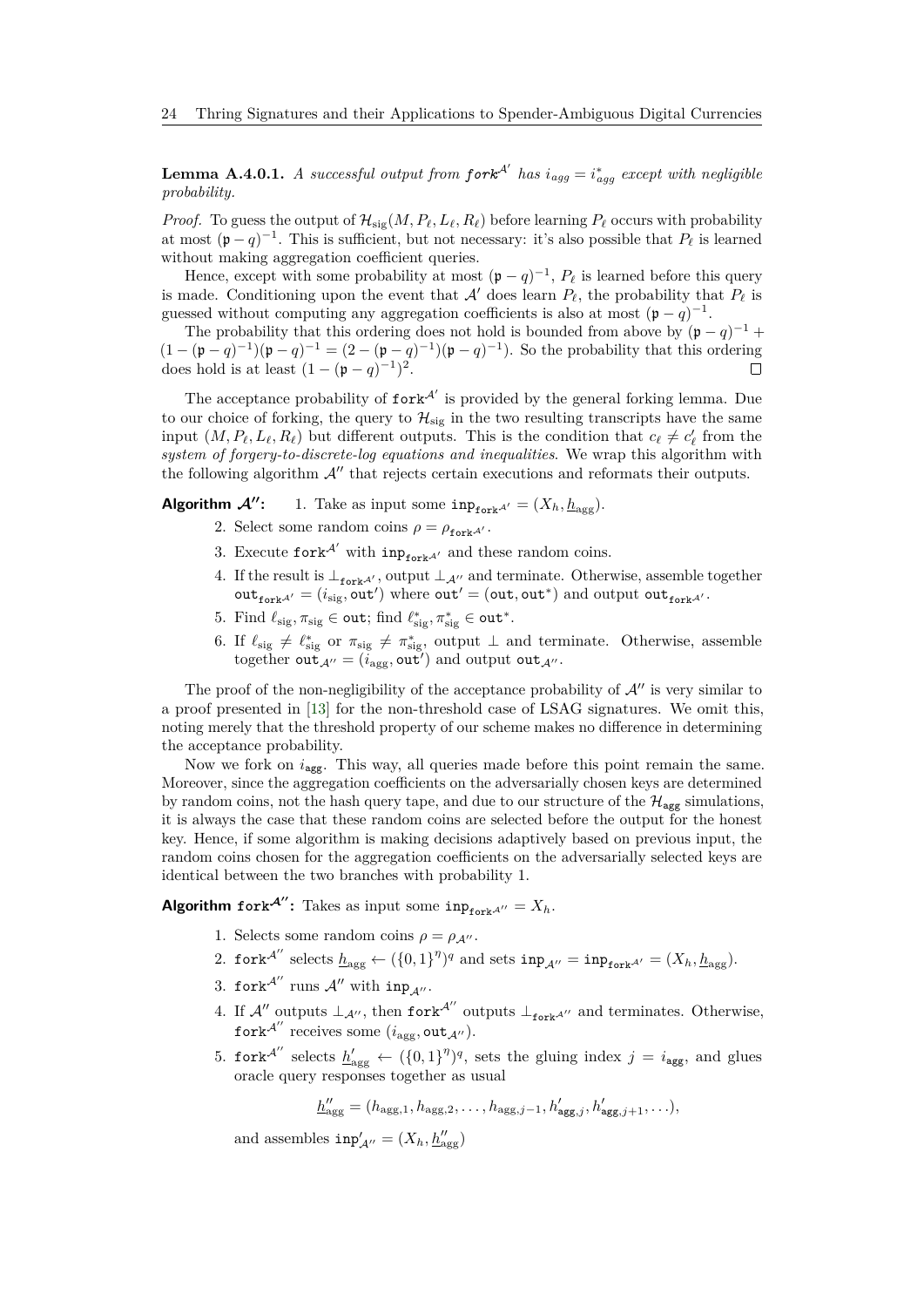**Lemma A.4.0.1.** *A successful output from*  $fork^{A'}$  *has*  $i_{agg} = i_{agg}^*$  *except with negligible probability.*

*Proof.* To guess the output of  $\mathcal{H}_{\text{sig}}(M, P_\ell, L_\ell, R_\ell)$  before learning  $P_\ell$  occurs with probability at most  $(p - q)^{-1}$ . This is sufficient, but not necessary: it's also possible that  $P_\ell$  is learned without making aggregation coefficient queries.

Hence, except with some probability at most  $(p - q)^{-1}$ ,  $P_\ell$  is learned before this query is made. Conditioning upon the event that  $A'$  does learn  $P_\ell$ , the probability that  $P_\ell$  is guessed without computing any aggregation coefficients is also at most  $(p - q)^{-1}$ .

The probability that this ordering does not hold is bounded from above by  $(p - q)^{-1}$  +  $(1 - (\mathfrak{p} - q)^{-1})(\mathfrak{p} - q)^{-1} = (2 - (\mathfrak{p} - q)^{-1})(\mathfrak{p} - q)^{-1}$ . So the probability that this ordering does hold is at least  $(1 - (\mathfrak{p} - q)^{-1})^2$ .

The acceptance probability of  $fork^{A'}$  is provided by the general forking lemma. Due to our choice of forking, the query to  $\mathcal{H}_{\text{sig}}$  in the two resulting transcripts have the same input  $(M, P_\ell, L_\ell, R_\ell)$  but different outputs. This is the condition that  $c_\ell \neq c'_\ell$  from the *system of forgery-to-discrete-log equations and inequalities*. We wrap this algorithm with the following algorithm  $A''$  that rejects certain executions and reformats their outputs.

**Algorithm**  $\mathcal{A}''$ : 1. Take as input some  $\text{inp}_{\text{fork}^{A'}} = (X_h, h_{\text{agg}})$ .

- 2. Select some random coins  $\rho = \rho_{\text{fork}}A'$ .
- 3. Execute  $\text{fork}^{\mathcal{A}'}$  with  $\text{inp}_{\text{fork}^{\mathcal{A}'}}$  and these random coins.
- 4. If the result is  $\perp_{\text{fork}^{A'}}$ , output  $\perp_{A''}$  and terminate. Otherwise, assemble together  $\text{out}_{\text{fork}^{A'}} = (i_{\text{sig}}, \text{out'})$  where  $\text{out'} = (\text{out}, \text{out}^*)$  and  $\text{output out}_{\text{fork}^{A'}}$ .
- 5. Find  $\ell_{\text{sig}}, \pi_{\text{sig}} \in \text{out}$ ; find  $\ell^*_{\text{sig}}, \pi^*_{\text{sig}} \in \text{out}^*$ .
- 6. If  $\ell_{\text{sig}} \neq \ell_{\text{sig}}^*$  or  $\pi_{\text{sig}} \neq \pi_{\text{sig}}^*$ , output  $\perp$  and terminate. Otherwise, assemble together out  $A'' = (i_{\text{agg}}, \text{out}')$  and output out  $A''$ .

The proof of the non-negligibility of the acceptance probability of  $\mathcal{A}$ <sup> $\prime\prime$ </sup> is very similar to a proof presented in [\[13\]](#page-13-0) for the non-threshold case of LSAG signatures. We omit this, noting merely that the threshold property of our scheme makes no difference in determining the acceptance probability.

Now we fork on  $i_{\text{agg}}$ . This way, all queries made before this point remain the same. Moreover, since the aggregation coefficients on the adversarially chosen keys are determined by random coins, not the hash query tape, and due to our structure of the  $\mathcal{H}_{\text{agg}}$  simulations, it is always the case that these random coins are selected before the output for the honest key. Hence, if some algorithm is making decisions adaptively based on previous input, the random coins chosen for the aggregation coefficients on the adversarially selected keys are identical between the two branches with probability 1.

**Algorithm** fork<sup>A''</sup>: Takes as input some  $\text{inp}_{\text{forkA''}} = X_h$ .

- 1. Selects some random coins  $\rho = \rho_{\mathcal{A}''}$ .
- 2. fork<sup>A''</sup> selects  $\underline{h}_{\text{agg}} \leftarrow (\{0,1\}^{\eta})^q$  and sets  $\text{inp}_{\mathcal{A}''} = \text{inp}_{\text{fork}^{A'}} = (X_h, \underline{h}_{\text{agg}})$ .
- 3. fork $^{\mathcal{A}^{\prime\prime}}$  runs  $\mathcal{A}^{\prime\prime}$  with  $\mathtt{inp}_{\mathcal{A}^{\prime\prime}}.$
- 4. If  $\mathcal{A}''$  outputs  $\perp_{\mathcal{A}''}$ , then fork<sup> $\mathcal{A}''$ </sup> outputs  $\perp_{\text{fork}}$  and terminates. Otherwise,  ${\rm fork}^{{\mathcal A}''} \textrm{ receives some } (i_{\rm agg}, {\tt out}_{\mathcal A''}).$
- 5. fork<sup>A''</sup> selects  $h'_{\text{agg}} \leftarrow (\{0,1\}^{\eta})^q$ , sets the gluing index  $j = i_{\text{agg}}$ , and glues oracle query responses together as usual

$$
\underline{h}''_{\text{agg}} = (h_{\text{agg},1}, h_{\text{agg},2}, \dots, h_{\text{agg},j-1}, h'_{\text{agg},j}, h'_{\text{agg},j+1}, \dots),
$$

and assembles  $\text{inp}'_{\mathcal{A}''} = (X_h, \underline{h}''_{\text{agg}})$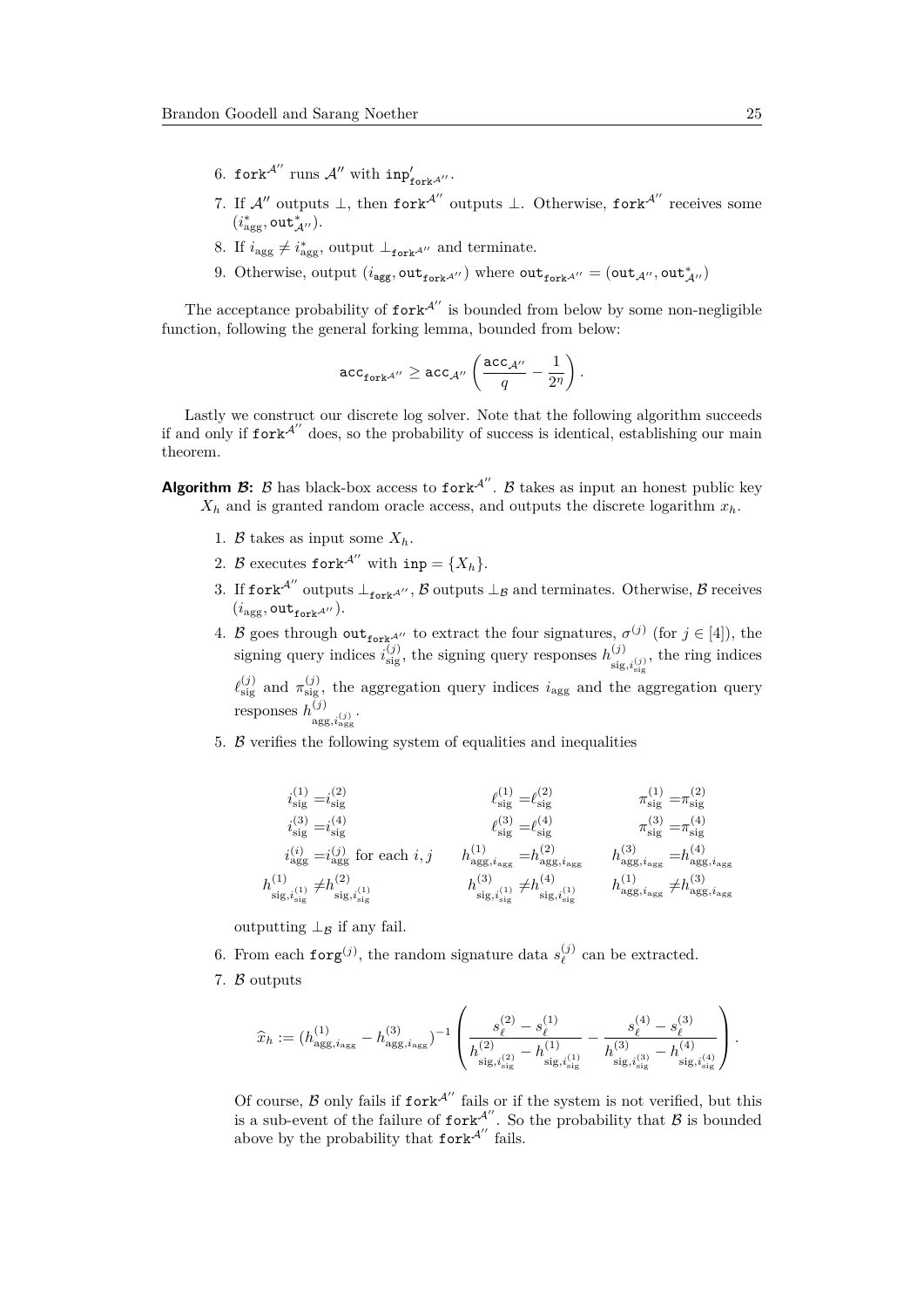- 6. fork<sup> $\mathcal{A}''$ </sup> runs  $\mathcal{A}''$  with  $inp'_{fork}$ <sup> $\mathcal{A}''$ </sup>.
- 7. If  $\mathcal{A}''$  outputs  $\perp$ , then fork $\mathcal{A}''$  outputs  $\perp$ . Otherwise, fork $\mathcal{A}''$  receives some  $(i^*_{\text{agg}}, \text{out}^*_{\mathcal{A}''}).$
- 8. If  $i_{\text{agg}} \neq i_{\text{agg}}^*$ , output  $\perp_{\text{fork}} A''$  and terminate.
- 9. Otherwise, output  $(i_{\text{agg}}, \text{out}_{\text{fork}}^A)$  where  $\text{out}_{\text{fork}}^A$ <sup>*n*</sup> = ( $\text{out}_{\mathcal{A}''}, \text{out}_{\mathcal{A}''}^*$ )

The acceptance probability of  $fork^{A''}$  is bounded from below by some non-negligible function, following the general forking lemma, bounded from below:

$$
\mathsf{acc}_{\mathsf{fork}^{\mathcal{A}''}} \geq \mathsf{acc}_{\mathcal{A}''}\left(\frac{\mathsf{acc}_{\mathcal{A}''}}{q} - \frac{1}{2^{\eta}}\right).
$$

Lastly we construct our discrete log solver. Note that the following algorithm succeeds if and only if  $fork^{A''}$  does, so the probability of success is identical, establishing our main theorem.

- **Algorithm**  $\mathcal{B}$ **:**  $\beta$  **has black-box access to fork<sup>A''</sup>.**  $\beta$  **takes as input an honest public key**  $X_h$  and is granted random oracle access, and outputs the discrete logarithm  $x_h$ .
	- 1. B takes as input some  $X_h$ .
	- 2. B executes fork<sup>A''</sup> with inp = { $X_h$  }.
	- 3. If fork<sup>A''</sup> outputs  $\perp_{\text{fork}}$ A'',  $\beta$  outputs  $\perp_B$  and terminates. Otherwise,  $\beta$  receives  $(i_{\text{agg}}, \text{out}_{\text{fork}}$ <sup> $\mathcal{A}^{\prime\prime}$ ).</sup>
	- 4. B goes through out<sub>fork</sub><sup> $\mathcal{A}''$ </sup> to extract the four signatures,  $\sigma^{(j)}$  (for  $j \in [4]$ ), the signing query indices  $i_{\text{sig}}^{(j)}$ , the signing query responses  $h_{\text{sig}}^{(j)}$  $\sum_{\text{sig},i_{\text{sig}}^{(j)}}^{(J)}$ , the ring indices

 $\ell_{\text{sig}}^{(j)}$  and  $\pi_{\text{sig}}^{(j)}$ , the aggregation query indices *i*<sub>agg</sub> and the aggregation query responses  $h^{(j)}$  $\frac{(\mathcal{J})}{\arg g,i_{\text{agg}}^{(j)}}$ 

5.  $\beta$  verifies the following system of equalities and inequalities

$$
\begin{aligned} i_{\rm sig}^{(1)}=&i_{\rm sig}^{(2)} &\ell_{\rm sig}^{(1)}=&\ell_{\rm sig}^{(2)} &\pi_{\rm sig}^{(1)}=&\pi_{\rm sig}^{(2)}\\ i_{\rm sig}^{(3)}=&i_{\rm sig}^{(4)} &\ell_{\rm sig}^{(3)}=&\ell_{\rm sig}^{(4)} &\pi_{\rm sig}^{(3)}=&\pi_{\rm sig}^{(4)}\\ i_{\rm agg}^{(i)}=&i_{\rm agg}^{(j)}\ {\rm for\ each}\ i,j &\ h_{\rm agg,i_{\rm agg}}^{(1)}=&h_{\rm agg,i_{\rm agg}}^{(2)} &\ h_{\rm agg,i_{\rm agg}}^{(3)}=&h_{\rm agg,i_{\rm agg}}^{(4)}\\ h_{\rm sig,i_{\rm sig}^{(1)}}^{(1)}\neq&h_{\rm sig,i_{\rm sig}^{(1)}}^{(3)}&h_{\rm sig,i_{\rm sig}^{(1)}}^{(4)}&h_{\rm agg,i_{\rm agg}}^{(1)}\neq&h_{\rm agg,i_{\rm agg}^{(3)}}^{(3)} \end{aligned}
$$

outputting  $\perp_B$  if any fail.

- 6. From each  $\mathbf{forg}^{(j)}$ , the random signature data  $s_{\ell}^{(j)}$  $\ell^{(J)}$  can be extracted.
- 7. B outputs

$$
\widehat{x}_h := (h^{(1)}_{\mathrm{agg}, i_{\mathrm{agg}}} - h^{(3)}_{\mathrm{agg}, i_{\mathrm{agg}}})^{-1} \left( \frac{s_\ell^{(2)} - s_\ell^{(1)}}{h^{(2)}_{\mathrm{sig}, i^{(2)}_{\mathrm{sig}}} - h^{(1)}_{\mathrm{sig}, i^{(1)}_{\mathrm{sig}}} } - \frac{s_\ell^{(4)} - s_\ell^{(3)}}{h^{(3)}_{\mathrm{sig}, i^{(3)}_{\mathrm{sig}}} - h^{(4)}_{\mathrm{sig}, i^{(4)}_{\mathrm{sig}}}} \right).
$$

Of course,  $\beta$  only fails if  $fork^{A''}$  fails or if the system is not verified, but this is a sub-event of the failure of  $f \circ \mathbf{r} \cdot \mathbf{r}^{A''}$ . So the probability that  $\mathcal B$  is bounded above by the probability that  $fork^{A''}$  fails.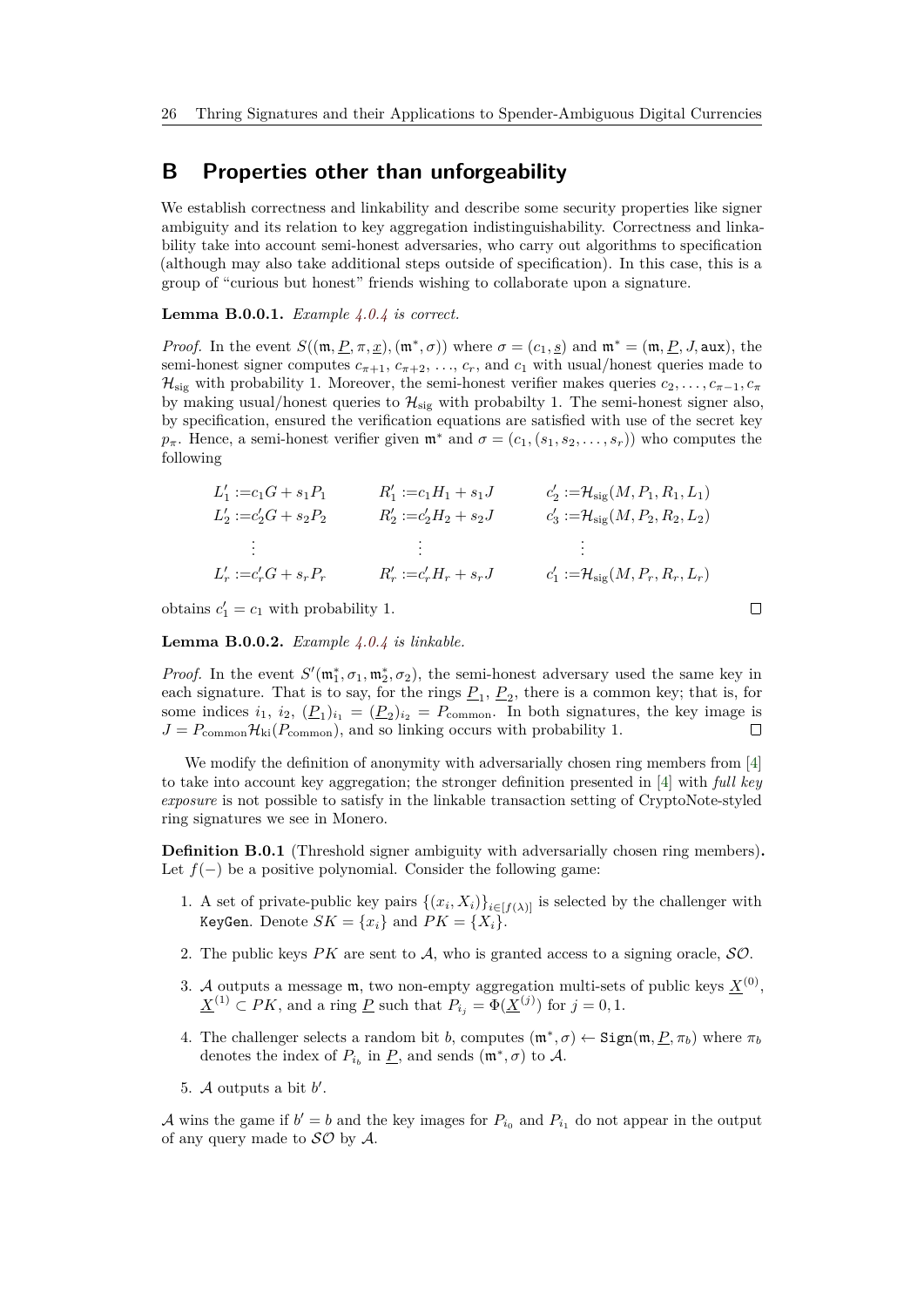# <span id="page-25-0"></span>**B Properties other than unforgeability**

We establish correctness and linkability and describe some security properties like signer ambiguity and its relation to key aggregation indistinguishability. Correctness and linkability take into account semi-honest adversaries, who carry out algorithms to specification (although may also take additional steps outside of specification). In this case, this is a group of "curious but honest" friends wishing to collaborate upon a signature.

### **Lemma B.0.0.1.** *Example [4.0.4](#page-7-0) is correct.*

*Proof.* In the event  $S((\mathfrak{m}, \underline{P}, \pi, \underline{x}), (\mathfrak{m}^*, \sigma))$  where  $\sigma = (c_1, s)$  and  $\mathfrak{m}^* = (\mathfrak{m}, \underline{P}, J, \text{aux})$ , the semi-honest signer computes  $c_{\pi+1}$ ,  $c_{\pi+2}$ , ...,  $c_r$ , and  $c_1$  with usual/honest queries made to  $\mathcal{H}_{\text{sig}}$  with probability 1. Moreover, the semi-honest verifier makes queries  $c_2, \ldots, c_{\pi-1}, c_{\pi}$ by making usual/honest queries to  $\mathcal{H}_{\text{sig}}$  with probabilty 1. The semi-honest signer also, by specification, ensured the verification equations are satisfied with use of the secret key  $p_{\pi}$ . Hence, a semi-honest verifier given  $\mathfrak{m}^*$  and  $\sigma = (c_1, (s_1, s_2, \ldots, s_r))$  who computes the following

$$
L'_{1} := c_{1}G + s_{1}P_{1} \t R'_{1} := c_{1}H_{1} + s_{1}J \t c'_{2} := \mathcal{H}_{sig}(M, P_{1}, R_{1}, L_{1})
$$
  
\n
$$
L'_{2} := c'_{2}G + s_{2}P_{2} \t R'_{2} := c'_{2}H_{2} + s_{2}J \t c'_{3} := \mathcal{H}_{sig}(M, P_{2}, R_{2}, L_{2})
$$
  
\n
$$
\vdots \t \vdots \t \vdots
$$
  
\n
$$
L'_{r} := c'_{r}G + s_{r}P_{r} \t R'_{r} := c'_{r}H_{r} + s_{r}J \t c'_{1} := \mathcal{H}_{sig}(M, P_{r}, R_{r}, L_{r})
$$

 $\Box$ 

obtains  $c'_1 = c_1$  with probability 1.

**Lemma B.0.0.2.** *Example [4.0.4](#page-7-0) is linkable.*

*Proof.* In the event  $S'(\mathfrak{m}_1^*, \sigma_1, \mathfrak{m}_2^*, \sigma_2)$ , the semi-honest adversary used the same key in each signature. That is to say, for the rings  $P_1, P_2$ , there is a common key; that is, for some indices  $i_1$ ,  $i_2$ ,  $(\underline{P}_1)_{i_1} = (\underline{P}_2)_{i_2} = P_{\text{common}}$ . In both signatures, the key image is  $J = P_{\text{common}}\mathcal{H}_{\text{ki}}(P_{\text{common}})$ , and so linking occurs with probability 1.

We modify the definition of anonymity with adversarially chosen ring members from [\[4\]](#page-13-13) to take into account key aggregation; the stronger definition presented in [\[4\]](#page-13-13) with *full key exposure* is not possible to satisfy in the linkable transaction setting of CryptoNote-styled ring signatures we see in Monero.

**Definition B.0.1** (Threshold signer ambiguity with adversarially chosen ring members)**.** Let  $f(-)$  be a positive polynomial. Consider the following game:

- 1. A set of private-public key pairs  $\{(x_i, X_i)\}_{i \in [f(\lambda)]}$  is selected by the challenger with KeyGen. Denote  $SK = \{x_i\}$  and  $PK = \{X_i\}$ .
- 2. The public keys  $PK$  are sent to  $A$ , who is granted access to a signing oracle,  $SO$ .
- 3. A outputs a message  $m$ , two non-empty aggregation multi-sets of public keys  $\underline{X}^{(0)}$ ,  $\underline{X}^{(1)} \subset PK$ , and a ring  $\underline{P}$  such that  $P_{i_j} = \Phi(\underline{X}^{(j)})$  for  $j = 0, 1$ .
- 4. The challenger selects a random bit *b*, computes  $(\mathfrak{m}^*, \sigma) \leftarrow \text{Sign}(\mathfrak{m}, \underline{P}, \pi_b)$  where  $\pi_b$ denotes the index of  $P_{i_b}$  in  $\underline{P}$ , and sends  $(\mathfrak{m}^*, \sigma)$  to  $\mathcal{A}$ .
- 5.  $A$  outputs a bit  $b'$ .

A wins the game if  $b' = b$  and the key images for  $P_{i_0}$  and  $P_{i_1}$  do not appear in the output of any query made to  $\mathcal{SO}$  by  $\mathcal{A}$ .